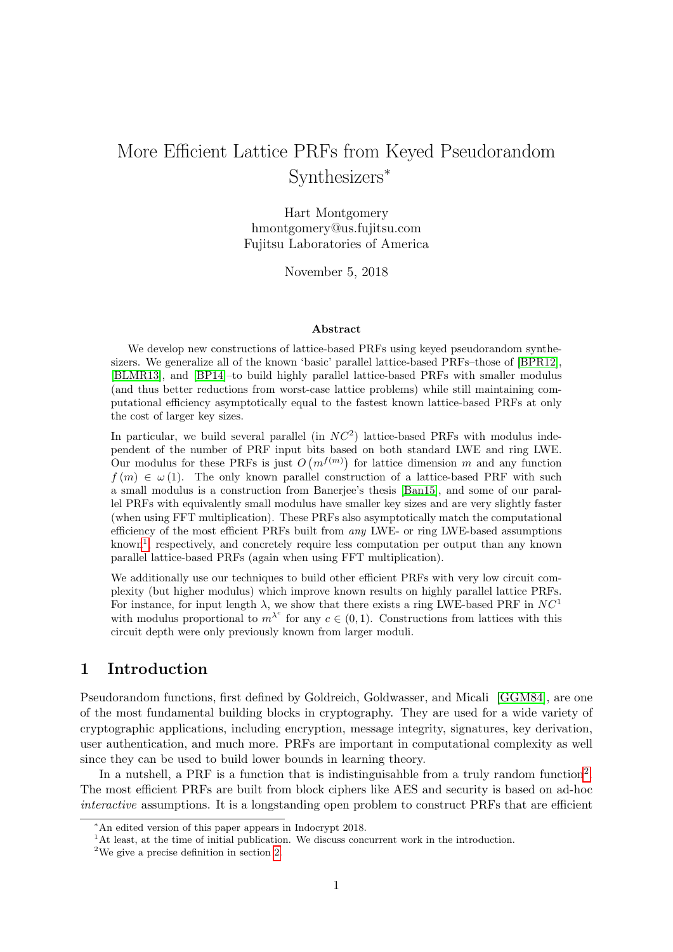# More Efficient Lattice PRFs from Keyed Pseudorandom Synthesizers<sup>∗</sup>

Hart Montgomery hmontgomery@us.fujitsu.com Fujitsu Laboratories of America

November 5, 2018

#### Abstract

We develop new constructions of lattice-based PRFs using keyed pseudorandom synthesizers. We generalize all of the known 'basic' parallel lattice-based PRFs–those of [\[BPR12\]](#page-45-0), [\[BLMR13\]](#page-44-0), and [\[BP14\]](#page-45-1)–to build highly parallel lattice-based PRFs with smaller modulus (and thus better reductions from worst-case lattice problems) while still maintaining computational efficiency asymptotically equal to the fastest known lattice-based PRFs at only the cost of larger key sizes.

In particular, we build several parallel (in  $NC<sup>2</sup>$ ) lattice-based PRFs with modulus independent of the number of PRF input bits based on both standard LWE and ring LWE. Our modulus for these PRFs is just  $O(m^{f(m)})$  for lattice dimension m and any function  $f(m) \in \omega(1)$ . The only known parallel construction of a lattice-based PRF with such a small modulus is a construction from Banerjee's thesis [\[Ban15\]](#page-44-1), and some of our parallel PRFs with equivalently small modulus have smaller key sizes and are very slightly faster (when using FFT multiplication). These PRFs also asymptotically match the computational efficiency of the most efficient PRFs built from any LWE- or ring LWE-based assumptions known<sup>[1](#page-0-0)</sup>, respectively, and concretely require less computation per output than any known parallel lattice-based PRFs (again when using FFT multiplication).

We additionally use our techniques to build other efficient PRFs with very low circuit complexity (but higher modulus) which improve known results on highly parallel lattice PRFs. For instance, for input length  $\lambda$ , we show that there exists a ring LWE-based PRF in  $NC<sup>1</sup>$ with modulus proportional to  $m^{\lambda^c}$  for any  $c \in (0,1)$ . Constructions from lattices with this circuit depth were only previously known from larger moduli.

# 1 Introduction

Pseudorandom functions, first defined by Goldreich, Goldwasser, and Micali [\[GGM84\]](#page-46-0), are one of the most fundamental building blocks in cryptography. They are used for a wide variety of cryptographic applications, including encryption, message integrity, signatures, key derivation, user authentication, and much more. PRFs are important in computational complexity as well since they can be used to build lower bounds in learning theory.

In a nutshell, a PRF is a function that is indistinguisahble from a truly random function<sup>[2](#page-0-1)</sup>. The most efficient PRFs are built from block ciphers like AES and security is based on ad-hoc interactive assumptions. It is a longstanding open problem to construct PRFs that are efficient

<sup>∗</sup>An edited version of this paper appears in Indocrypt 2018.

<span id="page-0-0"></span><sup>&</sup>lt;sup>1</sup>At least, at the time of initial publication. We discuss concurrent work in the introduction.

<span id="page-0-1"></span> $^2\mathrm{We}$  give a precise definition in section [2.](#page-10-0)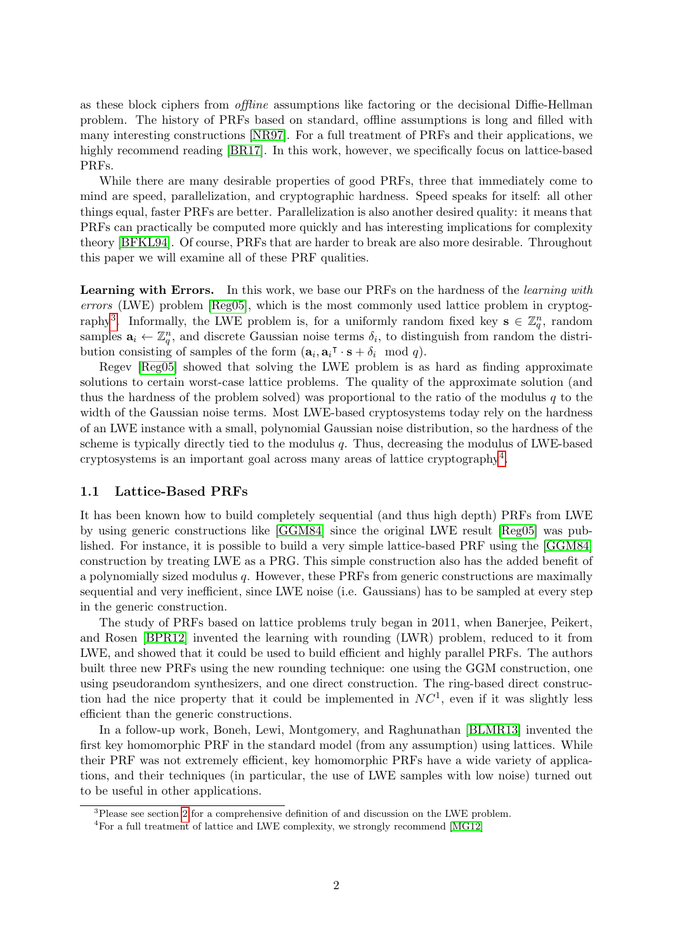as these block ciphers from offline assumptions like factoring or the decisional Diffie-Hellman problem. The history of PRFs based on standard, offline assumptions is long and filled with many interesting constructions [\[NR97\]](#page-47-0). For a full treatment of PRFs and their applications, we highly recommend reading [\[BR17\]](#page-45-2). In this work, however, we specifically focus on lattice-based PRFs.

While there are many desirable properties of good PRFs, three that immediately come to mind are speed, parallelization, and cryptographic hardness. Speed speaks for itself: all other things equal, faster PRFs are better. Parallelization is also another desired quality: it means that PRFs can practically be computed more quickly and has interesting implications for complexity theory [\[BFKL94\]](#page-44-2). Of course, PRFs that are harder to break are also more desirable. Throughout this paper we will examine all of these PRF qualities.

Learning with Errors. In this work, we base our PRFs on the hardness of the *learning with* errors (LWE) problem [\[Reg05\]](#page-47-1), which is the most commonly used lattice problem in cryptog-raphy<sup>[3](#page-1-0)</sup>. Informally, the LWE problem is, for a uniformly random fixed key  $s \in \mathbb{Z}_q^n$ , random samples  $a_i \leftarrow \mathbb{Z}_q^n$ , and discrete Gaussian noise terms  $\delta_i$ , to distinguish from random the distribution consisting of samples of the form  $(\mathbf{a}_i, \mathbf{a}_i \cdot \mathbf{s} + \delta_i \mod q)$ .

Regev [\[Reg05\]](#page-47-1) showed that solving the LWE problem is as hard as finding approximate solutions to certain worst-case lattice problems. The quality of the approximate solution (and thus the hardness of the problem solved) was proportional to the ratio of the modulus  $q$  to the width of the Gaussian noise terms. Most LWE-based cryptosystems today rely on the hardness of an LWE instance with a small, polynomial Gaussian noise distribution, so the hardness of the scheme is typically directly tied to the modulus  $q$ . Thus, decreasing the modulus of LWE-based cryptosystems is an important goal across many areas of lattice cryptography[4](#page-1-1) .

### 1.1 Lattice-Based PRFs

It has been known how to build completely sequential (and thus high depth) PRFs from LWE by using generic constructions like [\[GGM84\]](#page-46-0) since the original LWE result [\[Reg05\]](#page-47-1) was published. For instance, it is possible to build a very simple lattice-based PRF using the [\[GGM84\]](#page-46-0) construction by treating LWE as a PRG. This simple construction also has the added benefit of a polynomially sized modulus q. However, these PRFs from generic constructions are maximally sequential and very inefficient, since LWE noise (i.e. Gaussians) has to be sampled at every step in the generic construction.

The study of PRFs based on lattice problems truly began in 2011, when Banerjee, Peikert, and Rosen [\[BPR12\]](#page-45-0) invented the learning with rounding (LWR) problem, reduced to it from LWE, and showed that it could be used to build efficient and highly parallel PRFs. The authors built three new PRFs using the new rounding technique: one using the GGM construction, one using pseudorandom synthesizers, and one direct construction. The ring-based direct construction had the nice property that it could be implemented in  $NC<sup>1</sup>$ , even if it was slightly less efficient than the generic constructions.

In a follow-up work, Boneh, Lewi, Montgomery, and Raghunathan [\[BLMR13\]](#page-44-0) invented the first key homomorphic PRF in the standard model (from any assumption) using lattices. While their PRF was not extremely efficient, key homomorphic PRFs have a wide variety of applications, and their techniques (in particular, the use of LWE samples with low noise) turned out to be useful in other applications.

<span id="page-1-0"></span><sup>&</sup>lt;sup>3</sup>Please see section [2](#page-10-0) for a comprehensive definition of and discussion on the LWE problem.

<span id="page-1-1"></span><sup>&</sup>lt;sup>4</sup>For a full treatment of lattice and LWE complexity, we strongly recommend [\[MG12\]](#page-46-1)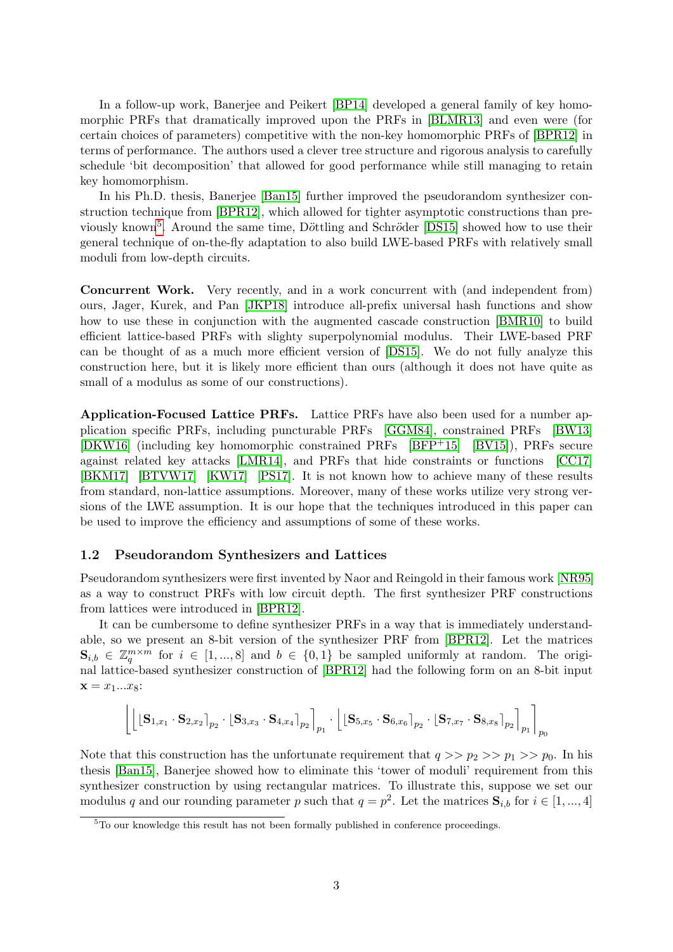In a follow-up work, Banerjee and Peikert [\[BP14\]](#page-45-1) developed a general family of key homomorphic PRFs that dramatically improved upon the PRFs in [\[BLMR13\]](#page-44-0) and even were (for certain choices of parameters) competitive with the non-key homomorphic PRFs of [\[BPR12\]](#page-45-0) in terms of performance. The authors used a clever tree structure and rigorous analysis to carefully schedule 'bit decomposition' that allowed for good performance while still managing to retain key homomorphism.

In his Ph.D. thesis, Banerjee [\[Ban15\]](#page-44-1) further improved the pseudorandom synthesizer construction technique from [\[BPR12\]](#page-45-0), which allowed for tighter asymptotic constructions than pre-viously known<sup>[5](#page-2-0)</sup>. Around the same time, Döttling and Schröder [\[DS15\]](#page-45-3) showed how to use their general technique of on-the-fly adaptation to also build LWE-based PRFs with relatively small moduli from low-depth circuits.

Concurrent Work. Very recently, and in a work concurrent with (and independent from) ours, Jager, Kurek, and Pan [\[JKP18\]](#page-46-2) introduce all-prefix universal hash functions and show how to use these in conjunction with the augmented cascade construction [\[BMR10\]](#page-44-3) to build efficient lattice-based PRFs with slighty superpolynomial modulus. Their LWE-based PRF can be thought of as a much more efficient version of [\[DS15\]](#page-45-3). We do not fully analyze this construction here, but it is likely more efficient than ours (although it does not have quite as small of a modulus as some of our constructions).

Application-Focused Lattice PRFs. Lattice PRFs have also been used for a number application specific PRFs, including puncturable PRFs [\[GGM84\]](#page-46-0), constrained PRFs [\[BW13\]](#page-45-4) [\[DKW16\]](#page-45-5) (including key homomorphic constrained PRFs [\[BFP](#page-44-4)+15] [\[BV15\]](#page-45-6)), PRFs secure against related key attacks [\[LMR14\]](#page-46-3), and PRFs that hide constraints or functions [\[CC17\]](#page-45-7) [\[BKM17\]](#page-44-5) [\[BTVW17\]](#page-45-8) [\[KW17\]](#page-46-4) [\[PS17\]](#page-47-2). It is not known how to achieve many of these results from standard, non-lattice assumptions. Moreover, many of these works utilize very strong versions of the LWE assumption. It is our hope that the techniques introduced in this paper can be used to improve the efficiency and assumptions of some of these works.

### 1.2 Pseudorandom Synthesizers and Lattices

Pseudorandom synthesizers were first invented by Naor and Reingold in their famous work [\[NR95\]](#page-47-3) as a way to construct PRFs with low circuit depth. The first synthesizer PRF constructions from lattices were introduced in [\[BPR12\]](#page-45-0).

It can be cumbersome to define synthesizer PRFs in a way that is immediately understandable, so we present an 8-bit version of the synthesizer PRF from [\[BPR12\]](#page-45-0). Let the matrices  $\mathbf{S}_{i,b} \in \mathbb{Z}_q^{m \times m}$  for  $i \in [1,...,8]$  and  $b \in \{0,1\}$  be sampled uniformly at random. The original lattice-based synthesizer construction of [\[BPR12\]](#page-45-0) had the following form on an 8-bit input  $x = x_1...x_8:$ 

$$
\left\lfloor \left\lfloor \left[\textbf{S}_{1,x_1}\cdot \textbf{S}_{2,x_2}\right]_{p_2}\cdot \left[\textbf{S}_{3,x_3}\cdot \textbf{S}_{4,x_4}\right]_{p_2}\right\rfloor_{p_1} \cdot \left\lfloor \left[\textbf{S}_{5,x_5}\cdot \textbf{S}_{6,x_6}\right]_{p_2}\cdot \left[\textbf{S}_{7,x_7}\cdot \textbf{S}_{8,x_8}\right]_{p_2}\right\rfloor_{p_1}\right\rfloor_{p_0}
$$

Note that this construction has the unfortunate requirement that  $q >> p_2 >> p_1 >> p_0$ . In his thesis [\[Ban15\]](#page-44-1), Banerjee showed how to eliminate this 'tower of moduli' requirement from this synthesizer construction by using rectangular matrices. To illustrate this, suppose we set our modulus q and our rounding parameter p such that  $q = p^2$ . Let the matrices  $S_{i,b}$  for  $i \in [1, ..., 4]$ 

<span id="page-2-0"></span><sup>&</sup>lt;sup>5</sup>To our knowledge this result has not been formally published in conference proceedings.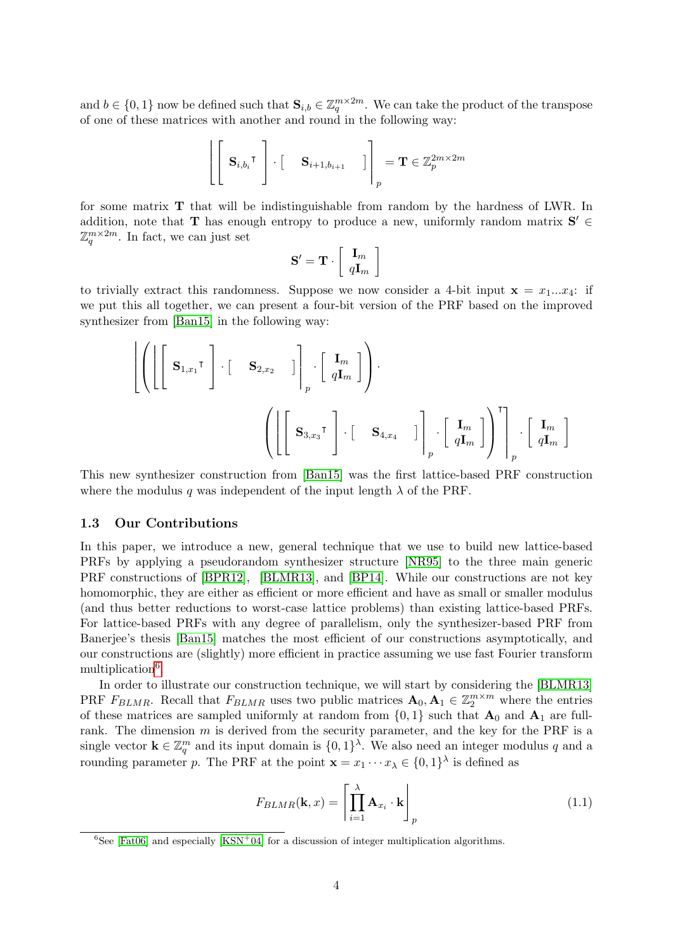and  $b \in \{0,1\}$  now be defined such that  $\mathbf{S}_{i,b} \in \mathbb{Z}_q^{m \times 2m}$ . We can take the product of the transpose of one of these matrices with another and round in the following way:

$$
\left\| \begin{bmatrix} \mathbf{S}_{i,b_i}^{\mathsf{T}} \end{bmatrix} \cdot \begin{bmatrix} \mathbf{S}_{i+1,b_{i+1}} & \end{bmatrix} \right\|_p = \mathbf{T} \in \mathbb{Z}_p^{2m \times 2m}
$$

for some matrix T that will be indistinguishable from random by the hardness of LWR. In addition, note that **T** has enough entropy to produce a new, uniformly random matrix  $S' \in$  $\mathbb{Z}_q^{m \times 2m}$ . In fact, we can just set

$$
\mathbf{S}' = \mathbf{T} \cdot \left[ \begin{array}{c} \mathbf{I}_m \\ q \mathbf{I}_m \end{array} \right]
$$

to trivially extract this randomness. Suppose we now consider a 4-bit input  $x = x_1...x_4$ : if we put this all together, we can present a four-bit version of the PRF based on the improved synthesizer from [\[Ban15\]](#page-44-1) in the following way:

$$
\left[ \left( \left[ \begin{bmatrix} \mathbf{S}_{1,x_1}^{\mathsf{T}} \end{bmatrix} \cdot \begin{bmatrix} \mathbf{S}_{2,x_2} \end{bmatrix} \right]_{p} \cdot \begin{bmatrix} \mathbf{I}_m \\ q\mathbf{I}_m \end{bmatrix} \right) \right] \cdot \left[ \begin{bmatrix} \mathbf{I}_m \\ \mathbf{S}_{3,x_3}^{\mathsf{T}} \end{bmatrix} \cdot \begin{bmatrix} \mathbf{S}_{4,x_4} & \mathbf{I} \end{bmatrix} \right]_{p} \cdot \begin{bmatrix} \mathbf{I}_m \\ q\mathbf{I}_m \end{bmatrix} \right] \right] \cdot \begin{bmatrix} \mathbf{I}_m \\ \mathbf{I}_m \end{bmatrix}
$$

This new synthesizer construction from [\[Ban15\]](#page-44-1) was the first lattice-based PRF construction where the modulus q was independent of the input length  $\lambda$  of the PRF.

### 1.3 Our Contributions

In this paper, we introduce a new, general technique that we use to build new lattice-based PRFs by applying a pseudorandom synthesizer structure [\[NR95\]](#page-47-3) to the three main generic PRF constructions of [\[BPR12\]](#page-45-0), [\[BLMR13\]](#page-44-0), and [\[BP14\]](#page-45-1). While our constructions are not key homomorphic, they are either as efficient or more efficient and have as small or smaller modulus (and thus better reductions to worst-case lattice problems) than existing lattice-based PRFs. For lattice-based PRFs with any degree of parallelism, only the synthesizer-based PRF from Banerjee's thesis [\[Ban15\]](#page-44-1) matches the most efficient of our constructions asymptotically, and our constructions are (slightly) more efficient in practice assuming we use fast Fourier transform multiplication<sup>[6](#page-3-0)</sup>.

In order to illustrate our construction technique, we will start by considering the [\[BLMR13\]](#page-44-0) PRF  $F_{BLMR}$ . Recall that  $F_{BLMR}$  uses two public matrices  $\mathbf{A}_0, \mathbf{A}_1 \in \mathbb{Z}_2^{m \times m}$  where the entries of these matrices are sampled uniformly at random from  $\{0,1\}$  such that  $A_0$  and  $A_1$  are fullrank. The dimension  $m$  is derived from the security parameter, and the key for the PRF is a single vector  $\mathbf{k} \in \mathbb{Z}_q^m$  and its input domain is  $\{0,1\}^{\lambda}$ . We also need an integer modulus q and a rounding parameter p. The PRF at the point  $\mathbf{x} = x_1 \cdots x_\lambda \in \{0,1\}^\lambda$  is defined as

$$
F_{BLMR}(\mathbf{k},x) = \left[\prod_{i=1}^{\lambda} \mathbf{A}_{x_i} \cdot \mathbf{k}\right]_p
$$
\n(1.1)

<span id="page-3-0"></span><sup>&</sup>lt;sup>6</sup>See [\[Fat06\]](#page-45-9) and especially  $[KSN<sup>+</sup>04]$  $[KSN<sup>+</sup>04]$  for a discussion of integer multiplication algorithms.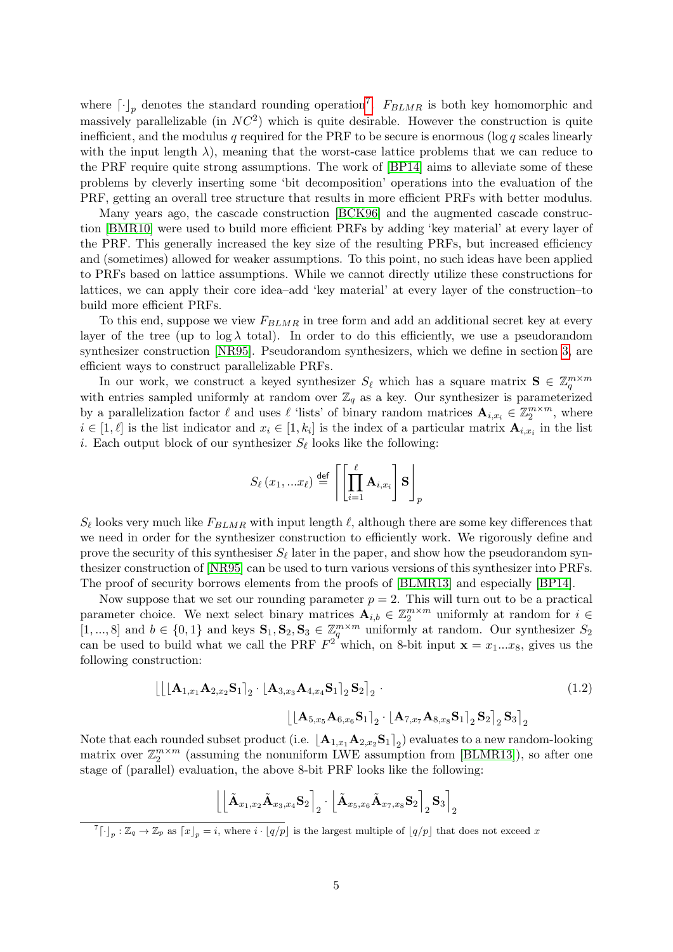where  $\lceil \cdot \rceil_p$  denotes the standard rounding operation<sup>[7](#page-4-0)</sup>.  $F_{BLMR}$  is both key homomorphic and massively parallelizable (in  $NC<sup>2</sup>$ ) which is quite desirable. However the construction is quite inefficient, and the modulus q required for the PRF to be secure is enormous (log q scales linearly with the input length  $\lambda$ ), meaning that the worst-case lattice problems that we can reduce to the PRF require quite strong assumptions. The work of [\[BP14\]](#page-45-1) aims to alleviate some of these problems by cleverly inserting some 'bit decomposition' operations into the evaluation of the PRF, getting an overall tree structure that results in more efficient PRFs with better modulus.

Many years ago, the cascade construction [\[BCK96\]](#page-44-6) and the augmented cascade construction [\[BMR10\]](#page-44-3) were used to build more efficient PRFs by adding 'key material' at every layer of the PRF. This generally increased the key size of the resulting PRFs, but increased efficiency and (sometimes) allowed for weaker assumptions. To this point, no such ideas have been applied to PRFs based on lattice assumptions. While we cannot directly utilize these constructions for lattices, we can apply their core idea–add 'key material' at every layer of the construction–to build more efficient PRFs.

To this end, suppose we view  $F_{BLMR}$  in tree form and add an additional secret key at every layer of the tree (up to  $\log \lambda$  total). In order to do this efficiently, we use a pseudorandom synthesizer construction [\[NR95\]](#page-47-3). Pseudorandom synthesizers, which we define in section [3,](#page-15-0) are efficient ways to construct parallelizable PRFs.

In our work, we construct a keyed synthesizer  $S_\ell$  which has a square matrix  $S \in \mathbb{Z}_q^{m \times m}$ with entries sampled uniformly at random over  $\mathbb{Z}_q$  as a key. Our synthesizer is parameterized by a parallelization factor  $\ell$  and uses  $\ell$  'lists' of binary random matrices  $\mathbf{A}_{i,x_i} \in \mathbb{Z}_2^{m \times m}$ , where  $i \in [1, \ell]$  is the list indicator and  $x_i \in [1, k_i]$  is the index of a particular matrix  $\mathbf{A}_{i,x_i}$  in the list *i*. Each output block of our synthesizer  $S_{\ell}$  looks like the following:

$$
S_{\ell}(x_1,...x_{\ell}) \stackrel{\text{def}}{=} \left\lceil \left[ \prod_{i=1}^{\ell} \mathbf{A}_{i,x_i} \right] \mathbf{S} \right\rceil_p
$$

 $S_{\ell}$  looks very much like  $F_{BLMR}$  with input length  $\ell$ , although there are some key differences that we need in order for the synthesizer construction to efficiently work. We rigorously define and prove the security of this synthesiser  $S_{\ell}$  later in the paper, and show how the pseudorandom synthesizer construction of [\[NR95\]](#page-47-3) can be used to turn various versions of this synthesizer into PRFs. The proof of security borrows elements from the proofs of [\[BLMR13\]](#page-44-0) and especially [\[BP14\]](#page-45-1).

Now suppose that we set our rounding parameter  $p = 2$ . This will turn out to be a practical parameter choice. We next select binary matrices  $\mathbf{A}_{i,b} \in \mathbb{Z}_2^{m \times m}$  uniformly at random for  $i \in$  $[1, ..., 8]$  and  $b \in \{0, 1\}$  and keys  $\mathbf{S}_1, \mathbf{S}_2, \mathbf{S}_3 \in \mathbb{Z}_q^{m \times m}$  uniformly at random. Our synthesizer  $S_2$ can be used to build what we call the PRF  $F^2$  which, on 8-bit input  $\mathbf{x} = x_1...x_8$ , gives us the following construction:

<span id="page-4-1"></span>
$$
\left[\left[\left[\mathbf{A}_{1,x_1}\mathbf{A}_{2,x_2}\mathbf{S}_1\right]_2 \cdot \left[\mathbf{A}_{3,x_3}\mathbf{A}_{4,x_4}\mathbf{S}_1\right]_2 \mathbf{S}_2\right]_2 \cdot \left[\left[\mathbf{A}_{5,x_5}\mathbf{A}_{6,x_6}\mathbf{S}_1\right]_2 \cdot \left[\mathbf{A}_{7,x_7}\mathbf{A}_{8,x_8}\mathbf{S}_1\right]_2 \mathbf{S}_2\right]_2 \mathbf{S}_3\right]_2
$$
\n(1.2)

Note that each rounded subset product (i.e.  $\lfloor{\bf A}_{1,x_1}{\bf A}_{2,x_2}{\bf S}_1\rceil_2$ ) evaluates to a new random-looking roce that each founded subset product (i.e.  $[A_{1,x_1}A_{2,x_2}S_{1|2}]$ ) evaluates to a new random-looking<br>matrix over  $\mathbb{Z}_2^{m \times m}$  (assuming the nonuniform LWE assumption from [\[BLMR13\]](#page-44-0)), so after one stage of (parallel) evaluation, the above 8-bit PRF looks like the following:

$$
\left\lbrack\left\lbrack\tilde{\mathbf{A}}_{x_1,x_2}\tilde{\mathbf{A}}_{x_3,x_4}\mathbf{S}_2\right\rbrack_2\cdot\left\lbrack\tilde{\mathbf{A}}_{x_5,x_6}\tilde{\mathbf{A}}_{x_7,x_8}\mathbf{S}_2\right\rbrack_2\mathbf{S}_3\right\rbrack_2
$$

<span id="page-4-0"></span><sup>&</sup>lt;sup>7</sup>[ $\cdot$ ]<sub>p</sub> :  $\mathbb{Z}_q \to \mathbb{Z}_p$  as  $\lceil x \rfloor_p = i$ , where  $i \cdot \lfloor q/p \rfloor$  is the largest multiple of  $\lfloor q/p \rfloor$  that does not exceed x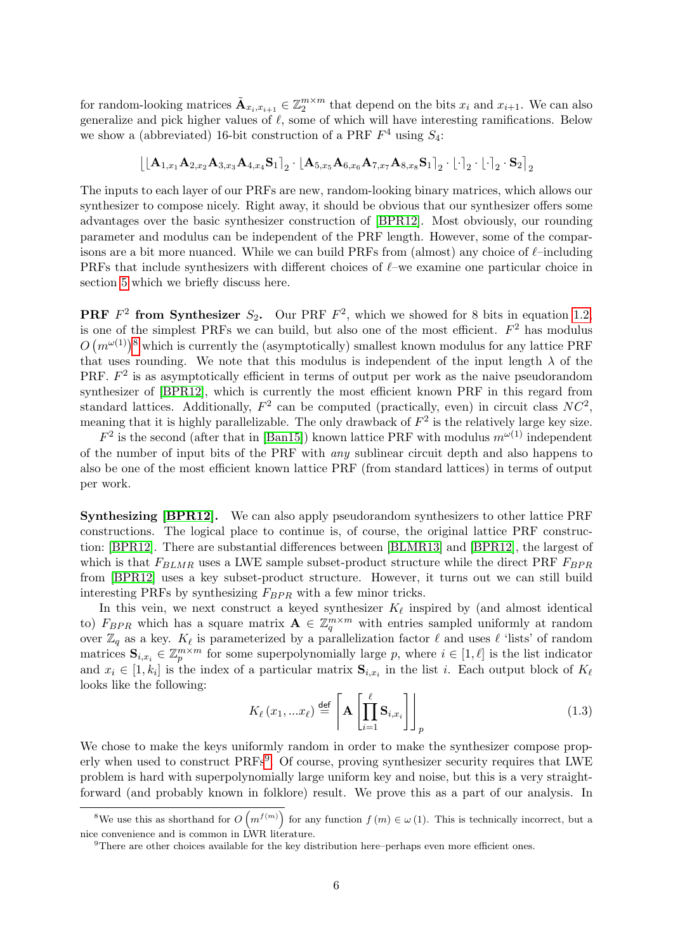for random-looking matrices  $\tilde{\mathbf{A}}_{x_i,x_{i+1}} \in \mathbb{Z}_2^{m \times m}$  that depend on the bits  $x_i$  and  $x_{i+1}$ . We can also generalize and pick higher values of  $\ell$ , some of which will have interesting ramifications. Below we show a (abbreviated) 16-bit construction of a PRF  $F^4$  using  $S_4$ :

$$
\left[\left[\mathbf{A}_{1,x_1}\mathbf{A}_{2,x_2}\mathbf{A}_{3,x_3}\mathbf{A}_{4,x_4}\mathbf{S}_1\right]_2 \cdot \left[\mathbf{A}_{5,x_5}\mathbf{A}_{6,x_6}\mathbf{A}_{7,x_7}\mathbf{A}_{8,x_8}\mathbf{S}_1\right]_2 \cdot \left[\cdot\right]_2 \cdot \left[\cdot\right]_2 \cdot \mathbf{S}_2\right]_2
$$

The inputs to each layer of our PRFs are new, random-looking binary matrices, which allows our synthesizer to compose nicely. Right away, it should be obvious that our synthesizer offers some advantages over the basic synthesizer construction of [\[BPR12\]](#page-45-0). Most obviously, our rounding parameter and modulus can be independent of the PRF length. However, some of the comparisons are a bit more nuanced. While we can build PRFs from (almost) any choice of  $\ell$ –including PRFs that include synthesizers with different choices of  $\ell$ –we examine one particular choice in section [5](#page-19-0) which we briefly discuss here.

**PRF**  $F^2$  from Synthesizer  $S_2$ . Our PRF  $F^2$ , which we showed for 8 bits in equation [1.2,](#page-4-1) is one of the simplest PRFs we can build, but also one of the most efficient.  $F<sup>2</sup>$  has modulus  $O(m^{\omega(1)})^8$  $O(m^{\omega(1)})^8$  which is currently the (asymptotically) smallest known modulus for any lattice PRF that uses rounding. We note that this modulus is independent of the input length  $\lambda$  of the PRF.  $F<sup>2</sup>$  is as asymptotically efficient in terms of output per work as the naive pseudorandom synthesizer of [\[BPR12\]](#page-45-0), which is currently the most efficient known PRF in this regard from standard lattices. Additionally,  $F^2$  can be computed (practically, even) in circuit class  $NC^2$ , meaning that it is highly parallelizable. The only drawback of  $F^2$  is the relatively large key size.

 $F^2$  is the second (after that in [\[Ban15\]](#page-44-1)) known lattice PRF with modulus  $m^{\omega(1)}$  independent of the number of input bits of the PRF with any sublinear circuit depth and also happens to also be one of the most efficient known lattice PRF (from standard lattices) in terms of output per work.

Synthesizing [\[BPR12\]](#page-45-0). We can also apply pseudorandom synthesizers to other lattice PRF constructions. The logical place to continue is, of course, the original lattice PRF construction: [\[BPR12\]](#page-45-0). There are substantial differences between [\[BLMR13\]](#page-44-0) and [\[BPR12\]](#page-45-0), the largest of which is that  $F_{BLMR}$  uses a LWE sample subset-product structure while the direct PRF  $F_{BPR}$ from [\[BPR12\]](#page-45-0) uses a key subset-product structure. However, it turns out we can still build interesting PRFs by synthesizing  $F_{BPR}$  with a few minor tricks.

In this vein, we next construct a keyed synthesizer  $K_{\ell}$  inspired by (and almost identical to)  $F_{BPR}$  which has a square matrix  $\mathbf{A} \in \mathbb{Z}_q^{m \times m}$  with entries sampled uniformly at random over  $\mathbb{Z}_q$  as a key.  $K_\ell$  is parameterized by a parallelization factor  $\ell$  and uses  $\ell$  'lists' of random matrices  $\mathbf{S}_{i,x_i} \in \mathbb{Z}_p^{m \times m}$  for some superpolynomially large p, where  $i \in [1,\ell]$  is the list indicator and  $x_i \in [1, k_i]$  is the index of a particular matrix  $\mathbf{S}_{i,x_i}$  in the list i. Each output block of  $K_\ell$ looks like the following:

$$
K_{\ell}(x_1,...x_{\ell}) \stackrel{\text{def}}{=} \left[ \mathbf{A} \left[ \prod_{i=1}^{\ell} \mathbf{S}_{i,x_i} \right] \right]_p \tag{1.3}
$$

We chose to make the keys uniformly random in order to make the synthesizer compose prop-erly when used to construct PRFs<sup>[9](#page-5-1)</sup>. Of course, proving synthesizer security requires that LWE problem is hard with superpolynomially large uniform key and noise, but this is a very straightforward (and probably known in folklore) result. We prove this as a part of our analysis. In

<span id="page-5-0"></span><sup>&</sup>lt;sup>8</sup>We use this as shorthand for  $O(m^{f(m)})$  for any function  $f(m) \in \omega(1)$ . This is technically incorrect, but a nice convenience and is common in LWR literature.

<span id="page-5-1"></span><sup>9</sup>There are other choices available for the key distribution here–perhaps even more efficient ones.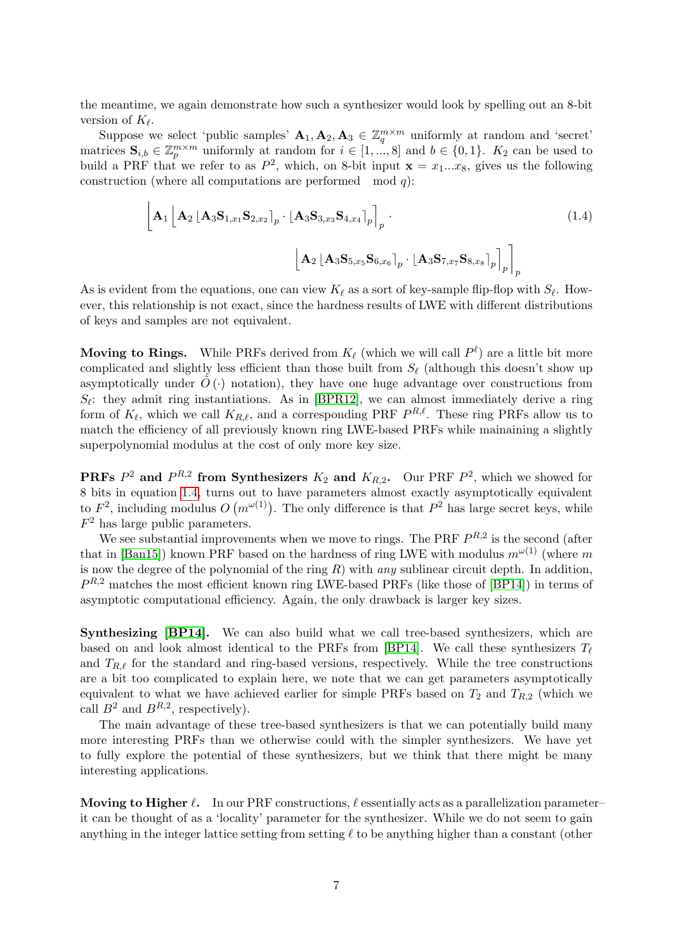the meantime, we again demonstrate how such a synthesizer would look by spelling out an 8-bit version of  $K_{\ell}$ .

Suppose we select 'public samples'  $A_1, A_2, A_3 \in \mathbb{Z}_q^{m \times m}$  uniformly at random and 'secret' matrices  $\mathbf{S}_{i,b} \in \mathbb{Z}_p^{m \times m}$  uniformly at random for  $i \in [1, ..., 8]$  and  $b \in \{0, 1\}$ .  $K_2$  can be used to build a PRF that we refer to as  $P^2$ , which, on 8-bit input  $\mathbf{x} = x_1...x_8$ , gives us the following construction (where all computations are performed mod  $q$ ):

<span id="page-6-0"></span>
$$
\left[\mathbf{A}_{1}\left[\mathbf{A}_{2}\left[\mathbf{A}_{3}\mathbf{S}_{1,x_{1}}\mathbf{S}_{2,x_{2}}\right]_{p}\cdot\left[\mathbf{A}_{3}\mathbf{S}_{3,x_{3}}\mathbf{S}_{4,x_{4}}\right]_{p}\right]_{p} \cdot \left[\mathbf{A}_{2}\left[\mathbf{A}_{3}\mathbf{S}_{5,x_{5}}\mathbf{S}_{6,x_{6}}\right]_{p}\cdot\left[\mathbf{A}_{3}\mathbf{S}_{7,x_{7}}\mathbf{S}_{8,x_{8}}\right]_{p}\right]_{p}\right]_{p}
$$
\n(1.4)

As is evident from the equations, one can view  $K_{\ell}$  as a sort of key-sample flip-flop with  $S_{\ell}$ . However, this relationship is not exact, since the hardness results of LWE with different distributions of keys and samples are not equivalent.

Moving to Rings. While PRFs derived from  $K_{\ell}$  (which we will call  $P^{\ell}$ ) are a little bit more complicated and slightly less efficient than those built from  $S_{\ell}$  (although this doesn't show up asymptotically under  $\tilde{O}(\cdot)$  notation), they have one huge advantage over constructions from  $S_{\ell}$ : they admit ring instantiations. As in [\[BPR12\]](#page-45-0), we can almost immediately derive a ring form of  $K_{\ell}$ , which we call  $K_{R,\ell}$ , and a corresponding PRF  $P^{R,\ell}$ . These ring PRFs allow us to match the efficiency of all previously known ring LWE-based PRFs while mainaining a slightly superpolynomial modulus at the cost of only more key size.

**PRFs**  $P^2$  and  $P^{R,2}$  from Synthesizers  $K_2$  and  $K_{R,2}$ . Our PRF  $P^2$ , which we showed for 8 bits in equation [1.4,](#page-6-0) turns out to have parameters almost exactly asymptotically equivalent to  $F^2$ , including modulus  $O(m^{\omega(1)})$ . The only difference is that  $P^2$  has large secret keys, while  $F<sup>2</sup>$  has large public parameters.

We see substantial improvements when we move to rings. The PRF  $P^{R,2}$  is the second (after that in [\[Ban15\]](#page-44-1)) known PRF based on the hardness of ring LWE with modulus  $m^{\omega(1)}$  (where m is now the degree of the polynomial of the ring  $R$ ) with any sublinear circuit depth. In addition,  $P^{R,2}$  matches the most efficient known ring LWE-based PRFs (like those of [\[BP14\]](#page-45-1)) in terms of asymptotic computational efficiency. Again, the only drawback is larger key sizes.

Synthesizing [\[BP14\]](#page-45-1). We can also build what we call tree-based synthesizers, which are based on and look almost identical to the PRFs from [\[BP14\]](#page-45-1). We call these synthesizers  $T_{\ell}$ and  $T_{R,\ell}$  for the standard and ring-based versions, respectively. While the tree constructions are a bit too complicated to explain here, we note that we can get parameters asymptotically equivalent to what we have achieved earlier for simple PRFs based on  $T_2$  and  $T_{R,2}$  (which we call  $B^2$  and  $B^{R,2}$ , respectively).

The main advantage of these tree-based synthesizers is that we can potentially build many more interesting PRFs than we otherwise could with the simpler synthesizers. We have yet to fully explore the potential of these synthesizers, but we think that there might be many interesting applications.

Moving to Higher  $\ell$ . In our PRF constructions,  $\ell$  essentially acts as a parallelization parameter– it can be thought of as a 'locality' parameter for the synthesizer. While we do not seem to gain anything in the integer lattice setting from setting  $\ell$  to be anything higher than a constant (other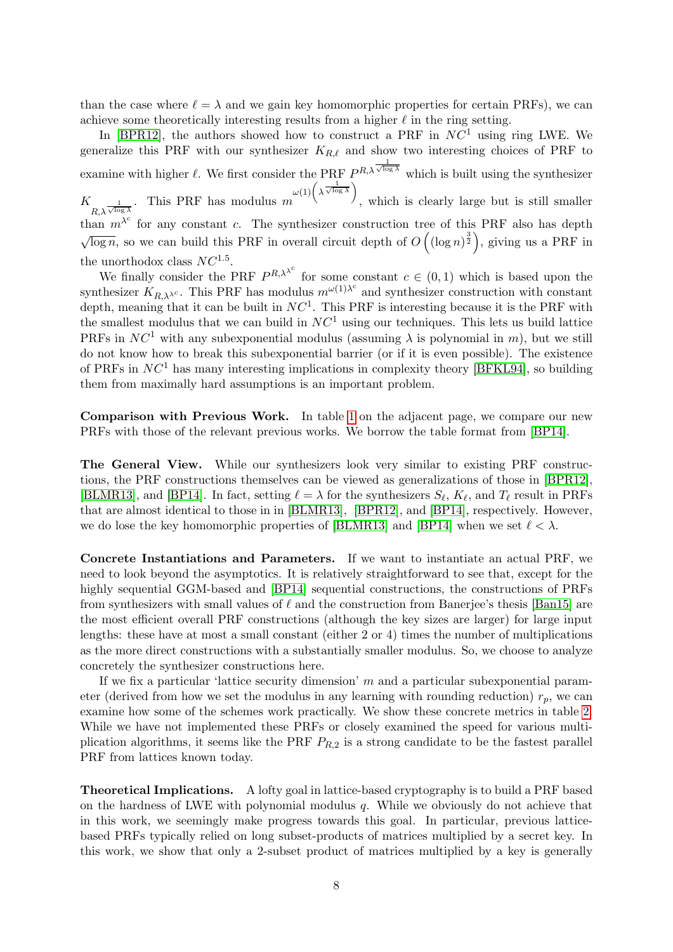than the case where  $\ell = \lambda$  and we gain key homomorphic properties for certain PRFs), we can achieve some theoretically interesting results from a higher  $\ell$  in the ring setting.

In [\[BPR12\]](#page-45-0), the authors showed how to construct a PRF in  $NC<sup>1</sup>$  using ring LWE. We generalize this PRF with our synthesizer  $K_{R,\ell}$  and show two interesting choices of PRF to examine with higher  $\ell$ . We first consider the PRF  $P^{R,\lambda}$   $\overline{\sqrt{\log \lambda}}$  which is built using the synthesizer  $K_{R,\lambda\sqrt{\log\lambda}}$ . This PRF has modulus m  $\omega(1)$   $\left(\lambda \frac{1}{\sqrt{\log \lambda}}\right)$ , which is clearly large but is still smaller than  $m^{\lambda^c}$  for any constant c. The synthesizer construction tree of this PRF also has depth √  $\overline{\log n}$ , so we can build this PRF in overall circuit depth of  $O((\log n)^{\frac{3}{2}})$ , giving us a PRF in the unorthodox class  $NC^{1.5}$ .

We finally consider the PRF  $P^{R,\lambda^{\lambda^c}}$  for some constant  $c \in (0,1)$  which is based upon the synthesizer  $K_{R,\lambda^{\lambda^c}}$ . This PRF has modulus  $m^{\omega(1)\lambda^c}$  and synthesizer construction with constant depth, meaning that it can be built in  $NC<sup>1</sup>$ . This PRF is interesting because it is the PRF with the smallest modulus that we can build in  $NC<sup>1</sup>$  using our techniques. This lets us build lattice PRFs in  $NC<sup>1</sup>$  with any subexponential modulus (assuming  $\lambda$  is polynomial in m), but we still do not know how to break this subexponential barrier (or if it is even possible). The existence of PRFs in  $NC<sup>1</sup>$  has many interesting implications in complexity theory [\[BFKL94\]](#page-44-2), so building them from maximally hard assumptions is an important problem.

Comparison with Previous Work. In table [1](#page-8-0) on the adjacent page, we compare our new PRFs with those of the relevant previous works. We borrow the table format from [\[BP14\]](#page-45-1).

The General View. While our synthesizers look very similar to existing PRF constructions, the PRF constructions themselves can be viewed as generalizations of those in [\[BPR12\]](#page-45-0), [\[BLMR13\]](#page-44-0), and [\[BP14\]](#page-45-1). In fact, setting  $\ell = \lambda$  for the synthesizers  $S_{\ell}$ ,  $K_{\ell}$ , and  $T_{\ell}$  result in PRFs that are almost identical to those in in [\[BLMR13\]](#page-44-0), [\[BPR12\]](#page-45-0), and [\[BP14\]](#page-45-1), respectively. However, we do lose the key homomorphic properties of [\[BLMR13\]](#page-44-0) and [\[BP14\]](#page-45-1) when we set  $\ell < \lambda$ .

Concrete Instantiations and Parameters. If we want to instantiate an actual PRF, we need to look beyond the asymptotics. It is relatively straightforward to see that, except for the highly sequential GGM-based and [\[BP14\]](#page-45-1) sequential constructions, the constructions of PRFs from synthesizers with small values of  $\ell$  and the construction from Banerjee's thesis [\[Ban15\]](#page-44-1) are the most efficient overall PRF constructions (although the key sizes are larger) for large input lengths: these have at most a small constant (either 2 or 4) times the number of multiplications as the more direct constructions with a substantially smaller modulus. So, we choose to analyze concretely the synthesizer constructions here.

If we fix a particular 'lattice security dimension'  $m$  and a particular subexponential parameter (derived from how we set the modulus in any learning with rounding reduction)  $r_p$ , we can examine how some of the schemes work practically. We show these concrete metrics in table [2.](#page-9-0) While we have not implemented these PRFs or closely examined the speed for various multiplication algorithms, it seems like the PRF  $P_{R,2}$  is a strong candidate to be the fastest parallel PRF from lattices known today.

Theoretical Implications. A lofty goal in lattice-based cryptography is to build a PRF based on the hardness of LWE with polynomial modulus  $q$ . While we obviously do not achieve that in this work, we seemingly make progress towards this goal. In particular, previous latticebased PRFs typically relied on long subset-products of matrices multiplied by a secret key. In this work, we show that only a 2-subset product of matrices multiplied by a key is generally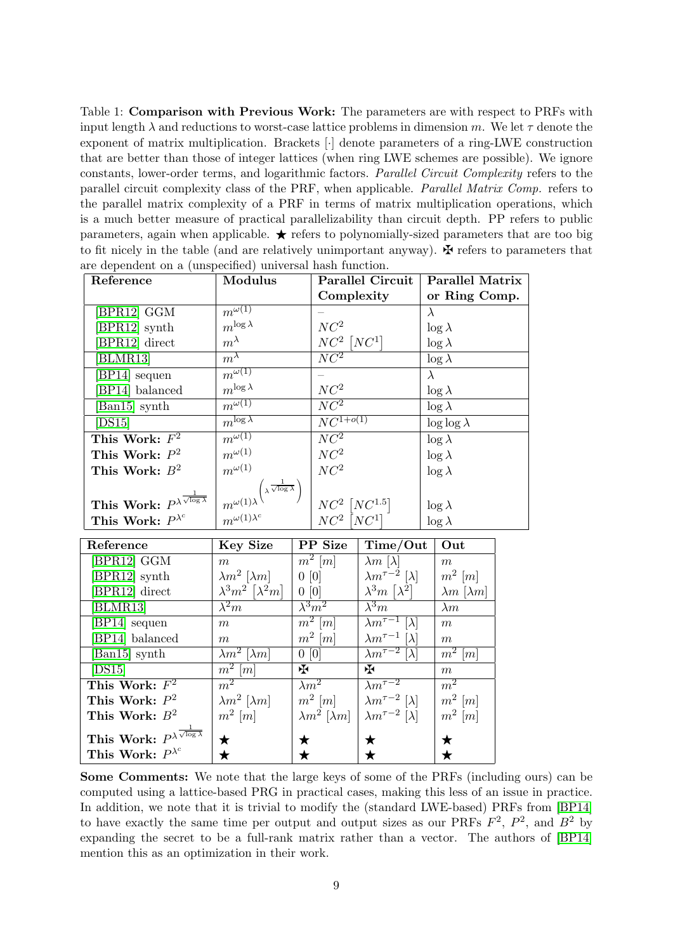<span id="page-8-0"></span>Table 1: Comparison with Previous Work: The parameters are with respect to PRFs with input length  $\lambda$  and reductions to worst-case lattice problems in dimension m. We let  $\tau$  denote the exponent of matrix multiplication. Brackets [·] denote parameters of a ring-LWE construction that are better than those of integer lattices (when ring LWE schemes are possible). We ignore constants, lower-order terms, and logarithmic factors. Parallel Circuit Complexity refers to the parallel circuit complexity class of the PRF, when applicable. Parallel Matrix Comp. refers to the parallel matrix complexity of a PRF in terms of matrix multiplication operations, which is a much better measure of practical parallelizability than circuit depth. PP refers to public parameters, again when applicable.  $\star$  refers to polynomially-sized parameters that are too big to fit nicely in the table (and are relatively unimportant anyway).  $\mathbf{\ddot{P}}$  refers to parameters that are dependent on a (unspecified) universal hash function.

| Reference                                              | <b>Modulus</b>                                                              |                                                                                   | <b>Parallel Circuit</b>  | <b>Parallel Matrix</b> |  |
|--------------------------------------------------------|-----------------------------------------------------------------------------|-----------------------------------------------------------------------------------|--------------------------|------------------------|--|
|                                                        |                                                                             | Complexity                                                                        |                          | or Ring Comp.          |  |
| [BPR12] GGM                                            | $m^{\omega(1)}$                                                             |                                                                                   |                          | $\lambda$              |  |
| [BPR12] synth                                          | $m^{\log \lambda}$                                                          | NC <sup>2</sup>                                                                   |                          | $\log \lambda$         |  |
| [BPR12] direct                                         | $m^{\lambda}$                                                               | $NC^2$ $[NC^1]$                                                                   |                          | $\log \lambda$         |  |
| [BLMR13]                                               | $m^{\lambda}$                                                               | NC <sup>2</sup>                                                                   |                          | $\log \lambda$         |  |
| [BP14] sequen                                          | $\overline{m^{\omega(1)}}$                                                  |                                                                                   |                          | $\lambda$              |  |
| [BP14] balanced                                        | $m^{\log \lambda}$                                                          | NC <sup>2</sup>                                                                   |                          | $\log \lambda$         |  |
| [Ban15] synth                                          | $m^{\omega(1)}$                                                             | NC <sup>2</sup>                                                                   |                          | $\log \lambda$         |  |
| [DS15]                                                 | $m^{\log \lambda}$                                                          | $\overline{NC^{1+o(1)}}$                                                          |                          | $\log \log \lambda$    |  |
| This Work: $F^2$                                       | $m^{\omega(1)}$                                                             | $\overline{NC^2}$                                                                 |                          | $\log \lambda$         |  |
| This Work: $P^2$                                       | $m^{\omega(1)}$                                                             | $NC^2$                                                                            |                          | $\log \lambda$         |  |
| This Work: $B^2$                                       | $m^{\omega(1)}$                                                             | NC <sup>2</sup>                                                                   |                          | $\log \lambda$         |  |
|                                                        |                                                                             |                                                                                   |                          |                        |  |
| This Work: $P^{\lambda \frac{1}{\sqrt{\log \lambda}}}$ | $m^{\omega(1)\lambda}$ $\left(\lambda \frac{1}{\sqrt{\log \lambda}}\right)$ |                                                                                   |                          | $\log \lambda$         |  |
| This Work: $P^{\lambda^c}$                             | $m^{\omega(1)\lambda^c}$                                                    | $\begin{array}{c} NC^2\left[NC^{1.5}\right] \\ NC^2\left[NC^1\right] \end{array}$ |                          | $\log \lambda$         |  |
| Reference                                              | Key Size                                                                    | PP Size                                                                           | Time/Out                 | Out                    |  |
| [BPR12] GGM                                            | m                                                                           | $m^2$ [m]                                                                         | $\lambda m \; [\lambda]$ | m                      |  |

| neierence                                              | ney pize                                   | LL DISG                       | $1 \text{ line} / \text{Out}$          | vut                         |
|--------------------------------------------------------|--------------------------------------------|-------------------------------|----------------------------------------|-----------------------------|
| [BPR12] GGM                                            | m                                          | $m^2$ [m]                     | $\lambda m \left[ \lambda \right]$     | m                           |
| [BPR12] synth                                          | $\lambda m^2 \; [\lambda m]$               | $0\ [0]$                      | $\lambda m^{\tau-2}$ [ $\lambda$ ]     | $m^2$ [m]                   |
| [BPR12] direct                                         | $\lambda^3 m^2 \left[ \lambda^2 m \right]$ | $0\ [0]$                      | $\lambda^3 m \left[ \lambda^2 \right]$ | $\lambda m$ [ $\lambda m$ ] |
| [BLMR13]                                               | $\lambda^2 m$                              | $\lambda^3 m^2$               | $\lambda^3 m$                          | $\lambda m$                 |
| [BP14] sequen                                          | m                                          | $\overline{m^2}\,[m]$         | $\lambda m^{\tau-1}$ [ $\lambda$ ]     | m                           |
| [BP14] balanced                                        | $m_{\parallel}$                            | $m^2$ [m]                     | $\lambda m^{\tau-1}$ [ $\lambda$ ]     | m                           |
| [Ban15] synth                                          | $\overline{\lambda}m^2$ [ $\lambda m$ ]    | 0[0]                          | $\lambda m^{\tau-2}$ $[\lambda]$       | $\overline{m^2}$ [m]        |
| $\left $ DS15 $\right $                                | $\overline{m^2\ [m]}$                      | ₩                             | ₩.                                     | m                           |
| This Work: $F^2$                                       | $m^2$                                      | $\lambda m^2$                 | $\lambda m^{\tau-2}$                   | m <sup>2</sup>              |
| This Work: $P^2$                                       | $\lambda m^2$ [ $\lambda m$ ]              | $m^2$ [m]                     | $\lambda m^{\tau-2}$ [ $\lambda$ ]     | $m^2$ [m]                   |
| This Work: $B^2$                                       | $m^2$ [m]                                  | $\lambda m^2$ [ $\lambda m$ ] | $\lambda m^{\tau-2}$ [ $\lambda$ ]     | $m^2$ [m]                   |
| This Work: $P^{\lambda \frac{1}{\sqrt{\log \lambda}}}$ | ★                                          | ★                             | ★                                      | ★                           |
| This Work: $P^{\lambda^c}$                             |                                            | ★                             |                                        |                             |
|                                                        |                                            |                               | ★                                      |                             |

Some Comments: We note that the large keys of some of the PRFs (including ours) can be computed using a lattice-based PRG in practical cases, making this less of an issue in practice. In addition, we note that it is trivial to modify the (standard LWE-based) PRFs from [\[BP14\]](#page-45-1) to have exactly the same time per output and output sizes as our PRFs  $F^2$ ,  $P^2$ , and  $B^2$  by expanding the secret to be a full-rank matrix rather than a vector. The authors of [\[BP14\]](#page-45-1) mention this as an optimization in their work.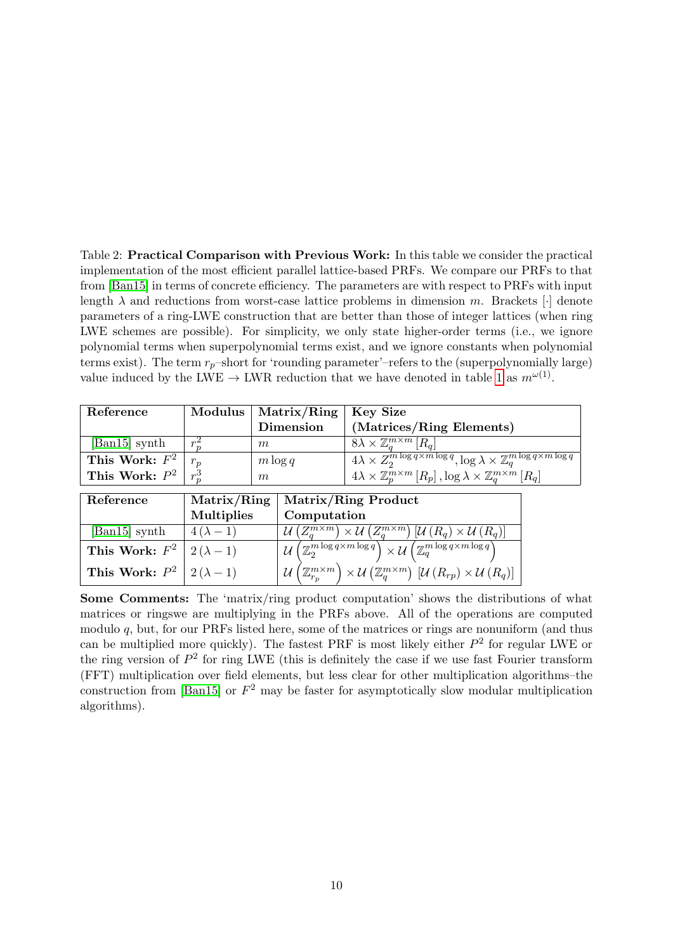<span id="page-9-0"></span>Table 2: Practical Comparison with Previous Work: In this table we consider the practical implementation of the most efficient parallel lattice-based PRFs. We compare our PRFs to that from [\[Ban15\]](#page-44-1) in terms of concrete efficiency. The parameters are with respect to PRFs with input length  $\lambda$  and reductions from worst-case lattice problems in dimension m. Brackets [·] denote parameters of a ring-LWE construction that are better than those of integer lattices (when ring LWE schemes are possible). For simplicity, we only state higher-order terms (i.e., we ignore polynomial terms when superpolynomial terms exist, and we ignore constants when polynomial terms exist). The term  $r_p$ –short for 'rounding parameter'–refers to the (superpolynomially large) value induced by the LWE  $\rightarrow$  LWR reduction that we have denoted in table [1](#page-8-0) as  $m^{\omega(1)}$ .

| Reference                         | Modulus | Matrix/Ring   Key Size |                                                                                                                                                 |
|-----------------------------------|---------|------------------------|-------------------------------------------------------------------------------------------------------------------------------------------------|
|                                   |         | Dimension              | (Matrices/Ring Elements)                                                                                                                        |
| $\left[\text{Ban}15\right]$ synth |         | $m\,$                  | $8\lambda \times \mathbb{Z}_a^{m \times m}$ [ $R_a$ ]                                                                                           |
| This Work: $F^2 \mid r_p$         |         | $m \log q$             | $\sqrt{4\lambda \times Z_2^m \log q \times m \log q}$ , $\log \lambda \times \mathbb{Z}_q^m \log q \times m \log q$                             |
| This Work: $P^2 \mid r_n^3$       |         | m                      | $\mathbb{E}\left[A\lambda \times \mathbb{Z}_p^{m\times m}\left[R_p\right], \log \lambda \times \mathbb{Z}_q^{m\times m}\left[R_q\right]\right]$ |

| Reference                            |                   | Matrix/Ring   Matrix/Ring Product                                                                                                                                                         |  |  |
|--------------------------------------|-------------------|-------------------------------------------------------------------------------------------------------------------------------------------------------------------------------------------|--|--|
|                                      | <b>Multiplies</b> | Computation                                                                                                                                                                               |  |  |
| [Ban15] synth                        | $4(\lambda-1)$    | $\overline{\mathcal{U}\left(Z_{a}^{m\times m}\right)\times\mathcal{U}\left(Z_{a}^{m\times m}\right)\left[\mathcal{U}\left(R_{q}\right)\times\mathcal{U}\left(R_{q}\right)\right]}$        |  |  |
| This Work: $F^2 \mid 2(\lambda - 1)$ |                   | $\mathcal{U}\left(\overline{\mathbb{Z}_2^m^{\log q \times m \log q}}\right) \times \mathcal{U}\left(\mathbb{Z}_q^{m \log q \times m \log q}\right)$                                       |  |  |
| This Work: $P^2 \mid 2(\lambda - 1)$ |                   | $\mathcal{U}\left(\mathbb{Z}_{r_p}^{m\times m}\right)\times\mathcal{U}\left(\mathbb{Z}_q^{m\times m}\right)\left[\mathcal{U}\left(R_{rp}\right)\times\mathcal{U}\left(R_q\right)\right].$ |  |  |

Some Comments: The 'matrix/ring product computation' shows the distributions of what matrices or ringswe are multiplying in the PRFs above. All of the operations are computed modulo q, but, for our PRFs listed here, some of the matrices or rings are nonuniform (and thus can be multiplied more quickly). The fastest PRF is most likely either  $P^2$  for regular LWE or the ring version of  $P^2$  for ring LWE (this is definitely the case if we use fast Fourier transform (FFT) multiplication over field elements, but less clear for other multiplication algorithms–the construction from [\[Ban15\]](#page-44-1) or  $F^2$  may be faster for asymptotically slow modular multiplication algorithms).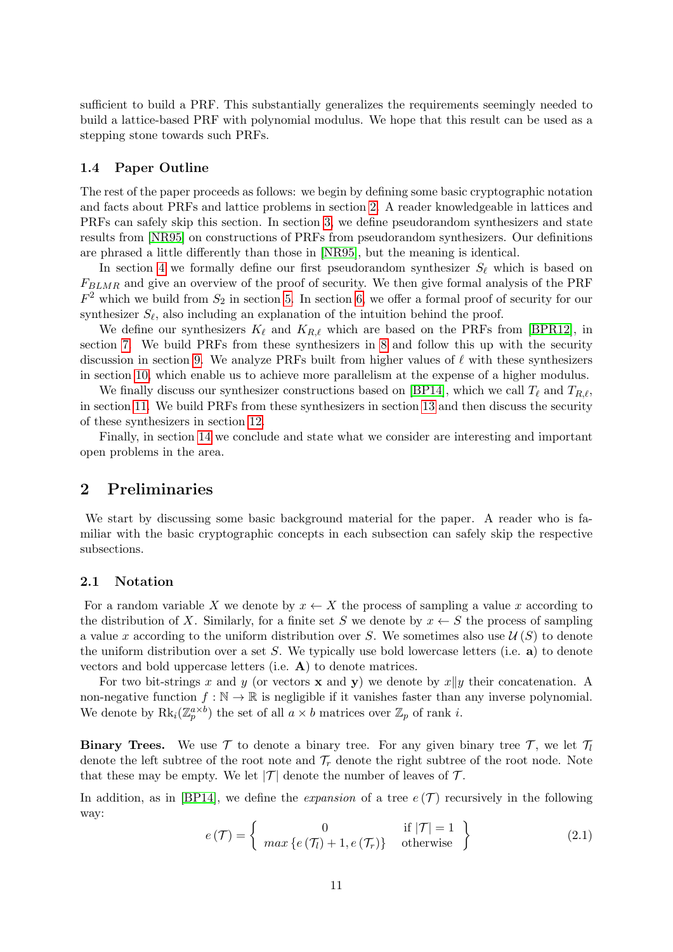sufficient to build a PRF. This substantially generalizes the requirements seemingly needed to build a lattice-based PRF with polynomial modulus. We hope that this result can be used as a stepping stone towards such PRFs.

### 1.4 Paper Outline

The rest of the paper proceeds as follows: we begin by defining some basic cryptographic notation and facts about PRFs and lattice problems in section [2.](#page-10-0) A reader knowledgeable in lattices and PRFs can safely skip this section. In section [3,](#page-15-0) we define pseudorandom synthesizers and state results from [\[NR95\]](#page-47-3) on constructions of PRFs from pseudorandom synthesizers. Our definitions are phrased a little differently than those in [\[NR95\]](#page-47-3), but the meaning is identical.

In section [4](#page-18-0) we formally define our first pseudorandom synthesizer  $S_\ell$  which is based on  $F_{BLMR}$  and give an overview of the proof of security. We then give formal analysis of the PRF  $F<sup>2</sup>$  which we build from  $S<sub>2</sub>$  in section [5.](#page-19-0) In section [6,](#page-20-0) we offer a formal proof of security for our synthesizer  $S_{\ell}$ , also including an explanation of the intuition behind the proof.

We define our synthesizers  $K_{\ell}$  and  $K_{R,\ell}$  which are based on the PRFs from [\[BPR12\]](#page-45-0), in section [7.](#page-29-0) We build PRFs from these synthesizers in [8](#page-30-0) and follow this up with the security discussion in section [9.](#page-33-0) We analyze PRFs built from higher values of  $\ell$  with these synthesizers in section [10,](#page-34-0) which enable us to achieve more parallelism at the expense of a higher modulus.

We finally discuss our synthesizer constructions based on [\[BP14\]](#page-45-1), which we call  $T_\ell$  and  $T_{R,\ell}$ , in section [11.](#page-37-0) We build PRFs from these synthesizers in section [13](#page-41-0) and then discuss the security of these synthesizers in section [12.](#page-39-0)

Finally, in section [14](#page-42-0) we conclude and state what we consider are interesting and important open problems in the area.

# <span id="page-10-0"></span>2 Preliminaries

We start by discussing some basic background material for the paper. A reader who is familiar with the basic cryptographic concepts in each subsection can safely skip the respective subsections.

### 2.1 Notation

For a random variable X we denote by  $x \leftarrow X$  the process of sampling a value x according to the distribution of X. Similarly, for a finite set S we denote by  $x \leftarrow S$  the process of sampling a value x according to the uniform distribution over S. We sometimes also use  $\mathcal{U}(S)$  to denote the uniform distribution over a set  $S$ . We typically use bold lowercase letters (i.e.  $\bf{a}$ ) to denote vectors and bold uppercase letters (i.e. A) to denote matrices.

For two bit-strings x and y (or vectors x and y) we denote by  $x||y$  their concatenation. A non-negative function  $f : \mathbb{N} \to \mathbb{R}$  is negligible if it vanishes faster than any inverse polynomial. We denote by  $\text{Rk}_i(\mathbb{Z}_p^{a\times b})$  the set of all  $a \times b$  matrices over  $\mathbb{Z}_p$  of rank *i*.

**Binary Trees.** We use  $\mathcal T$  to denote a binary tree. For any given binary tree  $\mathcal T$ , we let  $\mathcal T_l$ denote the left subtree of the root note and  $\mathcal{T}_r$  denote the right subtree of the root node. Note that these may be empty. We let  $|\mathcal{T}|$  denote the number of leaves of  $\mathcal{T}$ .

In addition, as in [\[BP14\]](#page-45-1), we define the *expansion* of a tree  $e(T)$  recursively in the following way:

$$
e(\mathcal{T}) = \left\{ \begin{array}{ll} 0 & \text{if } |\mathcal{T}| = 1 \\ \max \left\{ e\left(\mathcal{T}_l\right) + 1, e\left(\mathcal{T}_r\right) \right\} & \text{otherwise} \end{array} \right\} \tag{2.1}
$$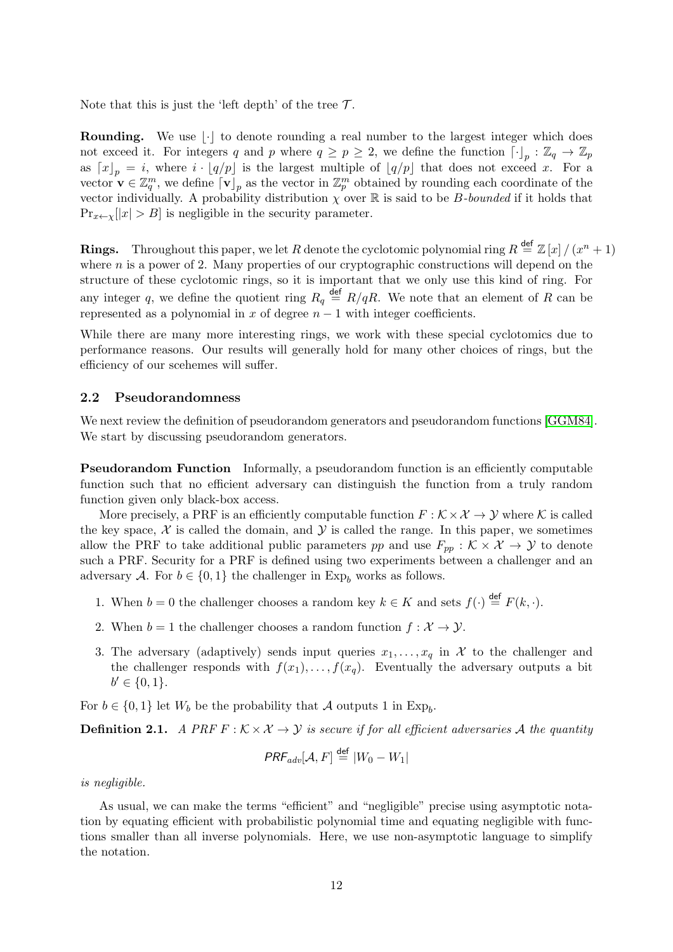Note that this is just the 'left depth' of the tree  $\mathcal{T}$ .

**Rounding.** We use  $\lvert \cdot \rvert$  to denote rounding a real number to the largest integer which does not exceed it. For integers q and p where  $q \ge p \ge 2$ , we define the function  $\lceil \cdot \rceil_p : \mathbb{Z}_q \to \mathbb{Z}_p$ as  $[x]_p = i$ , where  $i \cdot [q/p]$  is the largest multiple of  $[q/p]$  that does not exceed x. For a vector  $\mathbf{v} \in \mathbb{Z}_q^m$ , we define  $\lceil \mathbf{v} \rceil_p$  as the vector in  $\mathbb{Z}_p^m$  obtained by rounding each coordinate of the vector individually. A probability distribution  $\chi$  over  $\mathbb R$  is said to be *B*-bounded if it holds that  $\Pr_{x \leftarrow \chi} |x| > B$  is negligible in the security parameter.

**Rings.** Throughout this paper, we let R denote the cyclotomic polynomial ring  $R \stackrel{\text{def}}{=} \mathbb{Z}[x]/(x^n + 1)$ where  $n$  is a power of 2. Many properties of our cryptographic constructions will depend on the structure of these cyclotomic rings, so it is important that we only use this kind of ring. For any integer q, we define the quotient ring  $R_q \stackrel{\text{def}}{=} R/qR$ . We note that an element of R can be represented as a polynomial in x of degree  $n-1$  with integer coefficients.

While there are many more interesting rings, we work with these special cyclotomics due to performance reasons. Our results will generally hold for many other choices of rings, but the efficiency of our scehemes will suffer.

### 2.2 Pseudorandomness

We next review the definition of pseudorandom generators and pseudorandom functions [\[GGM84\]](#page-46-0). We start by discussing pseudorandom generators.

Pseudorandom Function Informally, a pseudorandom function is an efficiently computable function such that no efficient adversary can distinguish the function from a truly random function given only black-box access.

More precisely, a PRF is an efficiently computable function  $F : \mathcal{K} \times \mathcal{X} \to \mathcal{Y}$  where K is called the key space,  $\mathcal X$  is called the domain, and  $\mathcal Y$  is called the range. In this paper, we sometimes allow the PRF to take additional public parameters pp and use  $F_{pp} : K \times X \to Y$  to denote such a PRF. Security for a PRF is defined using two experiments between a challenger and an adversary A. For  $b \in \{0,1\}$  the challenger in Exp<sub>b</sub> works as follows.

- 1. When  $b = 0$  the challenger chooses a random key  $k \in K$  and sets  $f(\cdot) \stackrel{\text{def}}{=} F(k, \cdot)$ .
- 2. When  $b = 1$  the challenger chooses a random function  $f: \mathcal{X} \to \mathcal{Y}$ .
- 3. The adversary (adaptively) sends input queries  $x_1, \ldots, x_q$  in X to the challenger and the challenger responds with  $f(x_1), \ldots, f(x_q)$ . Eventually the adversary outputs a bit  $b' \in \{0, 1\}.$

For  $b \in \{0,1\}$  let  $W_b$  be the probability that A outputs 1 in Exp<sub>b</sub>.

<span id="page-11-0"></span>**Definition 2.1.** A PRF  $F : K \times X \rightarrow Y$  is secure if for all efficient adversaries A the quantity

$$
\mathit{PRF}_{adv}[\mathcal{A}, F] \stackrel{\mathsf{def}}{=} |W_0 - W_1|
$$

is negligible.

As usual, we can make the terms "efficient" and "negligible" precise using asymptotic notation by equating efficient with probabilistic polynomial time and equating negligible with functions smaller than all inverse polynomials. Here, we use non-asymptotic language to simplify the notation.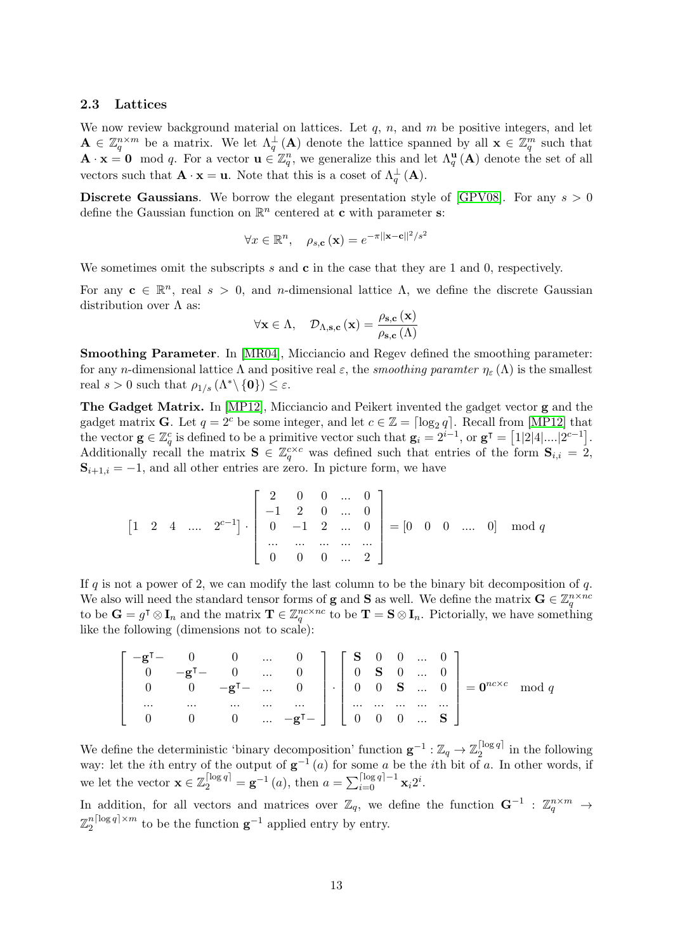#### <span id="page-12-0"></span>2.3 Lattices

We now review background material on lattices. Let  $q$ ,  $n$ , and  $m$  be positive integers, and let  $\mathbf{A} \in \mathbb{Z}_q^{n \times m}$  be a matrix. We let  $\Lambda_q^{\perp}(\mathbf{A})$  denote the lattice spanned by all  $\mathbf{x} \in \mathbb{Z}_q^m$  such that  $\mathbf{A} \cdot \mathbf{x} = \mathbf{0} \mod q$ . For a vector  $\mathbf{u} \in \mathbb{Z}_q^n$ , we generalize this and let  $\Lambda_q^{\mathbf{u}}(\mathbf{A})$  denote the set of all vectors such that  $\mathbf{A} \cdot \mathbf{x} = \mathbf{u}$ . Note that this is a coset of  $\Lambda_q^{\perp}(\mathbf{A})$ .

**Discrete Gaussians.** We borrow the elegant presentation style of [\[GPV08\]](#page-46-6). For any  $s > 0$ define the Gaussian function on  $\mathbb{R}^n$  centered at **c** with parameter **s**:

$$
\forall x \in \mathbb{R}^n, \quad \rho_{s,c}(\mathbf{x}) = e^{-\pi ||\mathbf{x} - \mathbf{c}||^2/s^2}
$$

We sometimes omit the subscripts s and  $\bf{c}$  in the case that they are 1 and 0, respectively.

For any  $\mathbf{c} \in \mathbb{R}^n$ , real  $s > 0$ , and *n*-dimensional lattice  $\Lambda$ , we define the discrete Gaussian distribution over  $\Lambda$  as:

$$
\forall \mathbf{x} \in \Lambda, \quad \mathcal{D}_{\Lambda, \mathbf{s}, \mathbf{c}}(\mathbf{x}) = \frac{\rho_{\mathbf{s}, \mathbf{c}}(\mathbf{x})}{\rho_{\mathbf{s}, \mathbf{c}}(\Lambda)}
$$

Smoothing Parameter. In [\[MR04\]](#page-47-4), Micciancio and Regev defined the smoothing parameter: for any *n*-dimensional lattice  $\Lambda$  and positive real  $\varepsilon$ , the *smoothing paramter*  $\eta_{\varepsilon}(\Lambda)$  is the smallest real  $s > 0$  such that  $\rho_{1/s}(\Lambda^* \setminus \{0\}) \leq \varepsilon$ .

The Gadget Matrix. In [\[MP12\]](#page-46-7), Micciancio and Peikert invented the gadget vector g and the gadget matrix **G**. Let  $q = 2^c$  be some integer, and let  $c \in \mathbb{Z} = \lceil \log_2 q \rceil$ . Recall from [\[MP12\]](#page-46-7) that the vector  $\mathbf{g} \in \mathbb{Z}_q^c$  is defined to be a primitive vector such that  $\mathbf{g}_i = 2^{i-1}$ , or  $\mathbf{g}^\intercal = [1|2|4|...|2^{c-1}]$ . Additionally recall the matrix  $S \in \mathbb{Z}_q^{c \times c}$  was defined such that entries of the form  $S_{i,i} = 2$ ,  $S_{i+1,i} = -1$ , and all other entries are zero. In picture form, we have

$$
\begin{bmatrix} 1 & 2 & 4 & \dots & 2^{c-1} \end{bmatrix} \cdot \begin{bmatrix} 2 & 0 & 0 & \dots & 0 \\ -1 & 2 & 0 & \dots & 0 \\ 0 & -1 & 2 & \dots & 0 \\ \dots & \dots & \dots & \dots & \dots \\ 0 & 0 & 0 & \dots & 2 \end{bmatrix} = \begin{bmatrix} 0 & 0 & 0 & \dots & 0 \end{bmatrix} \mod q
$$

If  $q$  is not a power of 2, we can modify the last column to be the binary bit decomposition of  $q$ . We also will need the standard tensor forms of **g** and **S** as well. We define the matrix  $\mathbf{G} \in \mathbb{Z}_q^{n \times nc}$ to be  $\mathbf{G} = g^{\mathsf{T}} \otimes \mathbf{I}_n$  and the matrix  $\mathbf{T} \in \mathbb{Z}_q^{nc \times nc}$  to be  $\mathbf{T} = \mathbf{S} \otimes \mathbf{I}_n$ . Pictorially, we have something like the following (dimensions not to scale):

$$
\left[\begin{array}{ccccc} -\mathbf{g}^{\mathsf{T}} & 0 & 0 & \dots & 0 \\ 0 & -\mathbf{g}^{\mathsf{T}} & 0 & \dots & 0 \\ 0 & 0 & -\mathbf{g}^{\mathsf{T}} & \dots & 0 \\ \dots & \dots & \dots & \dots & \dots \\ 0 & 0 & 0 & \dots & -\mathbf{g}^{\mathsf{T}} \end{array}\right] \cdot \left[\begin{array}{cccc} \mathbf{S} & 0 & 0 & \dots & 0 \\ 0 & \mathbf{S} & 0 & \dots & 0 \\ 0 & 0 & \mathbf{S} & \dots & 0 \\ \dots & \dots & \dots & \dots & \dots \\ 0 & 0 & 0 & \dots & \mathbf{S} \end{array}\right] = \mathbf{0}^{nc \times c} \mod q
$$

We define the deterministic 'binary decomposition' function  $\mathbf{g}^{-1} : \mathbb{Z}_q \to \mathbb{Z}_2^{\lceil \log q \rceil}$  $i_2^{\log q}$  in the following way: let the *i*th entry of the output of  $g^{-1}(a)$  for some a be the *i*th bit of a. In other words, if we let the vector  $\mathbf{x} \in \mathbb{Z}_2^{\lceil \log q \rceil} = \mathbf{g}^{-1}(a)$ , then  $a = \sum_{i=0}^{\lceil \log q \rceil - 1} \mathbf{x}_i 2^i$ .

In addition, for all vectors and matrices over  $\mathbb{Z}_q$ , we define the function  $\mathbf{G}^{-1}$ :  $\mathbb{Z}_q^{n \times m}$   $\rightarrow$  $\mathbb{Z}_2^{n \lceil \log q \rceil \times m}$  $\frac{n|\log q| \times m}{2}$  to be the function  $\mathbf{g}^{-1}$  applied entry by entry.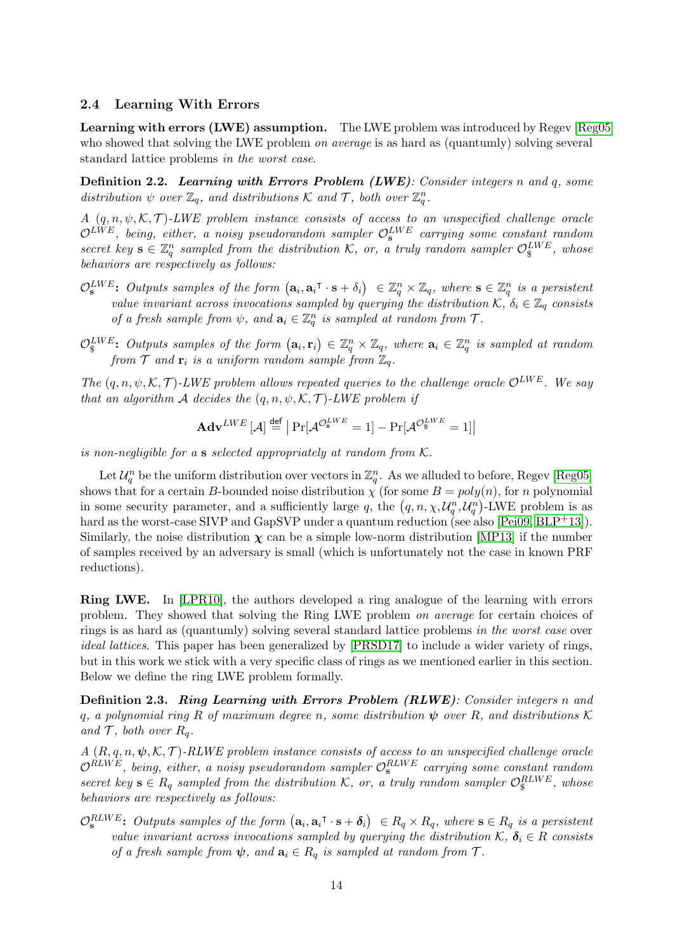### 2.4 Learning With Errors

Learning with errors (LWE) assumption. The LWE problem was introduced by Regev [\[Reg05\]](#page-47-1) who showed that solving the LWE problem *on average* is as hard as (quantumly) solving several standard lattice problems in the worst case.

Definition 2.2. Learning with Errors Problem (LWE): Consider integers n and q, some distribution  $\psi$  over  $\mathbb{Z}_q$ , and distributions K and T, both over  $\mathbb{Z}_q^n$ .

A  $(q, n, \psi, \mathcal{K}, \mathcal{T})$ -LWE problem instance consists of access to an unspecified challenge oracle  $\mathcal{O}^{LWE},$  being, either, a noisy pseudorandom sampler  $\mathcal{O}_\mathbf{s}^{LWE}$  carrying some constant random secret key  $\mathbf{s} \in \mathbb{Z}_q^n$  sampled from the distribution K, or, a truly random sampler  $\mathcal{O}_s^{\text{LWE}}$ , whose behaviors are respectively as follows:

- $\mathcal{O}_\mathbf{s}^{LWE}$ : Outputs samples of the form  $(\mathbf{a}_i, \mathbf{a}_i^\intercal \cdot \mathbf{s} + \delta_i) \in \mathbb{Z}_q^n \times \mathbb{Z}_q$ , where  $\mathbf{s} \in \mathbb{Z}_q^n$  is a persistent value invariant across invocations sampled by querying the distribution  $\mathcal{K}, \delta_i \in \mathbb{Z}_q$  consists of a fresh sample from  $\psi$ , and  $\mathbf{a}_i \in \mathbb{Z}_q^n$  is sampled at random from  $\mathcal{T}$ .
- $\mathcal{O}_\S^{LWE}$ : Outputs samples of the form  $(\mathbf{a}_i, \mathbf{r}_i) \in \mathbb{Z}_q^n \times \mathbb{Z}_q$ , where  $\mathbf{a}_i \in \mathbb{Z}_q^n$  is sampled at random from  $\mathcal T$  and  $\mathbf r_i$  is a uniform random sample from  $\mathbb Z_q$ .

The  $(q, n, \psi, \mathcal{K}, \mathcal{T})$ -LWE problem allows repeated queries to the challenge oracle  $\mathcal{O}^{LWE}$ . We say that an algorithm A decides the  $(q, n, \psi, \mathcal{K}, \mathcal{T})$ -LWE problem if

$$
\mathbf{Adv}^{LWE}\left[\mathcal{A}\right] \stackrel{\mathbf{def}}{=} \left| \Pr[\mathcal{A}^{\mathcal{O}_{\mathbf{s}}^{LWE}} = 1] - \Pr[\mathcal{A}^{\mathcal{O}_{\mathbf{s}}^{LWE}} = 1] \right|
$$

is non-negligible for a s selected appropriately at random from  $K$ .

Let  $\mathcal{U}_q^n$  be the uniform distribution over vectors in  $\mathbb{Z}_q^n$ . As we alluded to before, Regev [\[Reg05\]](#page-47-1) shows that for a certain B-bounded noise distribution  $\chi$  (for some  $B = poly(n)$ , for n polynomial in some security parameter, and a sufficiently large q, the  $(q, n, \chi, \mathcal{U}_q^n, \mathcal{U}_q^n)$ -LWE problem is as hard as the worst-case SIVP and GapSVP under a quantum reduction (see also [\[Pei09,](#page-47-5) [BLP](#page-44-7)+13]). Similarly, the noise distribution  $\chi$  can be a simple low-norm distribution [\[MP13\]](#page-46-8) if the number of samples received by an adversary is small (which is unfortunately not the case in known PRF reductions).

Ring LWE. In [\[LPR10\]](#page-46-9), the authors developed a ring analogue of the learning with errors problem. They showed that solving the Ring LWE problem on average for certain choices of rings is as hard as (quantumly) solving several standard lattice problems in the worst case over ideal lattices. This paper has been generalized by [\[PRSD17\]](#page-47-6) to include a wider variety of rings, but in this work we stick with a very specific class of rings as we mentioned earlier in this section. Below we define the ring LWE problem formally.

Definition 2.3. Ring Learning with Errors Problem (RLWE): Consider integers n and q, a polynomial ring R of maximum degree n, some distribution  $\psi$  over R, and distributions K and  $\mathcal T$ , both over  $R_q$ .

 $A(R, q, n, \psi, \mathcal{K}, \mathcal{T})$ -RLWE problem instance consists of access to an unspecified challenge oracle  $\mathcal{O}^{RLWE}$ , being, either, a noisy pseudorandom sampler  $\mathcal{O}^{RLWE}_{\mathbf{s}}$  carrying some constant random secret key  $s \in R_q$  sampled from the distribution K, or, a truly random sampler  $\mathcal{O}_s^{RLWE}$ , whose behaviors are respectively as follows:

 $\mathcal{O}_\mathbf{s}^{RLWE}$ : Outputs samples of the form  $(\mathbf{a}_i, \mathbf{a}_i^\intercal \cdot \mathbf{s} + \boldsymbol{\delta}_i) \in R_q \times R_q$ , where  $\mathbf{s} \in R_q$  is a persistent value invariant across invocations sampled by querying the distribution  $\mathcal{K}, \delta_i \in \mathbb{R}$  consists of a fresh sample from  $\psi$ , and  $\mathbf{a}_i \in R_q$  is sampled at random from  $\mathcal{T}$ .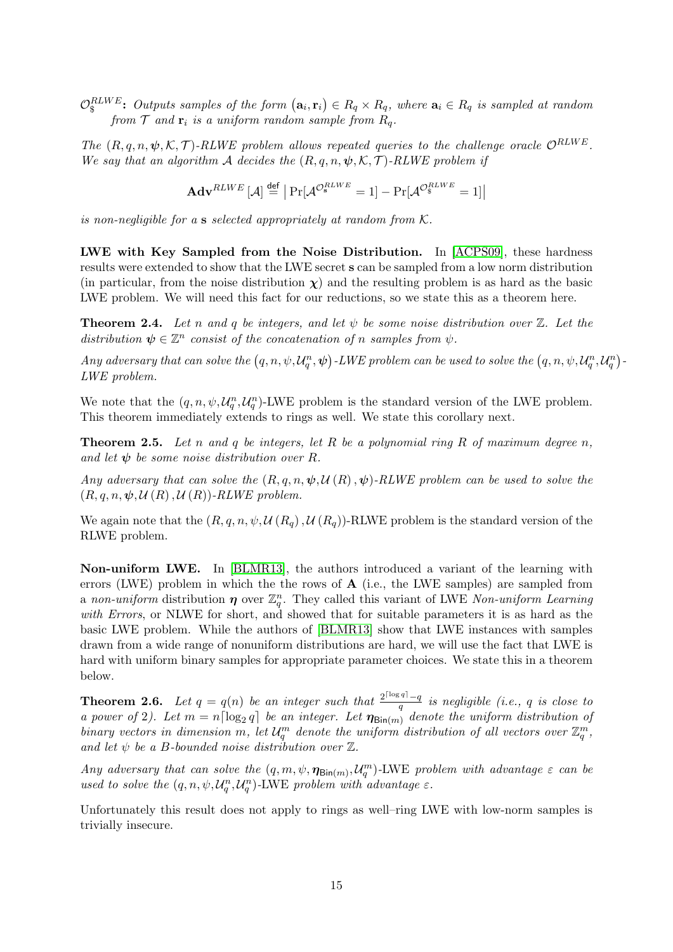$\mathcal{O}_\S^{RLWE}$ : Outputs samples of the form  $(\mathbf{a}_i, \mathbf{r}_i) \in R_q \times R_q$ , where  $\mathbf{a}_i \in R_q$  is sampled at random from  $\mathcal T$  and  $\mathbf r_i$  is a uniform random sample from  $R_q$ .

The  $(R, q, n, \psi, \mathcal{K}, \mathcal{T})$ -RLWE problem allows repeated queries to the challenge oracle  $\mathcal{O}^{RLWE}$ . We say that an algorithm A decides the  $(R, q, n, \psi, \mathcal{K}, \mathcal{T})$ -RLWE problem if

$$
\mathbf{Adv}^{RLWE}\left[\mathcal{A}\right] \overset{\mathsf{def}}{=} \left| \Pr[\mathcal{A}^{\mathcal{O}_{\mathbf{s}}^{RLWE}} = 1] - \Pr[\mathcal{A}^{\mathcal{O}_{\$}^{RLWE}} = 1] \right|
$$

is non-negligible for a s selected appropriately at random from  $K$ .

LWE with Key Sampled from the Noise Distribution. In [\[ACPS09\]](#page-43-0), these hardness results were extended to show that the LWE secret s can be sampled from a low norm distribution (in particular, from the noise distribution  $\chi$ ) and the resulting problem is as hard as the basic LWE problem. We will need this fact for our reductions, so we state this as a theorem here.

<span id="page-14-1"></span>**Theorem 2.4.** Let n and q be integers, and let  $\psi$  be some noise distribution over  $\mathbb{Z}$ . Let the distribution  $\psi \in \mathbb{Z}^n$  consist of the concatenation of n samples from  $\psi$ .

Any adversary that can solve the  $(q, n, \psi, \mathcal{U}_q^n, \psi)$ -LWE problem can be used to solve the  $(q, n, \psi, \mathcal{U}_q^n, \mathcal{U}_q^n)$ -LWE problem.

We note that the  $(q, n, \psi, \mathcal{U}_q^n, \mathcal{U}_q^n)$ -LWE problem is the standard version of the LWE problem. This theorem immediately extends to rings as well. We state this corollary next.

<span id="page-14-2"></span>**Theorem 2.5.** Let n and q be integers, let R be a polynomial ring R of maximum degree n, and let  $\psi$  be some noise distribution over R.

Any adversary that can solve the  $(R, q, n, \psi, \mathcal{U}(R), \psi)$ -RLWE problem can be used to solve the  $(R, q, n, \psi, \mathcal{U}(R), \mathcal{U}(R))$ -RLWE problem.

We again note that the  $(R, q, n, \psi, \mathcal{U}(R_q), \mathcal{U}(R_q))$ -RLWE problem is the standard version of the RLWE problem.

Non-uniform LWE. In [\[BLMR13\]](#page-44-0), the authors introduced a variant of the learning with errors (LWE) problem in which the the rows of A (i.e., the LWE samples) are sampled from a non-uniform distribution  $\eta$  over  $\mathbb{Z}_q^n$ . They called this variant of LWE Non-uniform Learning with Errors, or NLWE for short, and showed that for suitable parameters it is as hard as the basic LWE problem. While the authors of [\[BLMR13\]](#page-44-0) show that LWE instances with samples drawn from a wide range of nonuniform distributions are hard, we will use the fact that LWE is hard with uniform binary samples for appropriate parameter choices. We state this in a theorem below.

<span id="page-14-0"></span>**Theorem 2.6.** Let  $q = q(n)$  be an integer such that  $\frac{2^{\lceil \log q \rceil} - q}{q}$  $\frac{q}{q}$  is negligible (i.e., q is close to a power of 2). Let  $m = n \lceil \log_2 q \rceil$  be an integer. Let  $\eta_{\text{Bin}(m)}$  denote the uniform distribution of binary vectors in dimension m, let  $\mathcal{U}_q^m$  denote the uniform distribution of all vectors over  $\mathbb{Z}_q^m$ , and let  $\psi$  be a B-bounded noise distribution over  $\mathbb{Z}$ .

Any adversary that can solve the  $(q, m, \psi, \eta_{\text{Bin}(m)}, \mathcal{U}_q^m)$ -LWE problem with advantage  $\varepsilon$  can be used to solve the  $(q, n, \psi, \mathcal{U}_q^n, \mathcal{U}_q^n)$ -LWE problem with advantage  $\varepsilon$ .

Unfortunately this result does not apply to rings as well–ring LWE with low-norm samples is trivially insecure.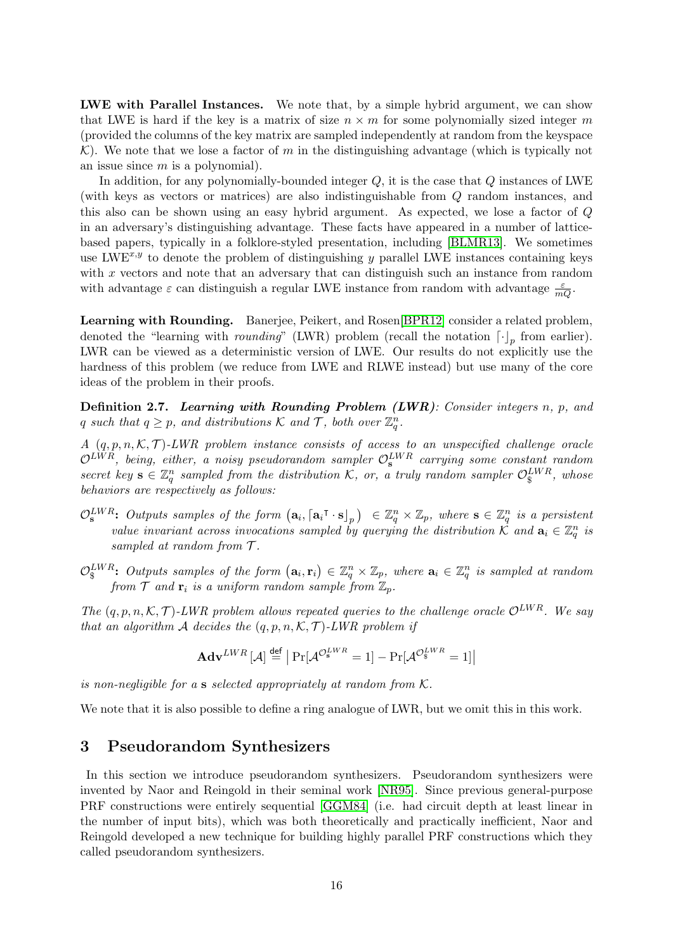LWE with Parallel Instances. We note that, by a simple hybrid argument, we can show that LWE is hard if the key is a matrix of size  $n \times m$  for some polynomially sized integer m (provided the columns of the key matrix are sampled independently at random from the keyspace K). We note that we lose a factor of m in the distinguishing advantage (which is typically not an issue since  $m$  is a polynomial).

In addition, for any polynomially-bounded integer Q, it is the case that Q instances of LWE (with keys as vectors or matrices) are also indistinguishable from Q random instances, and this also can be shown using an easy hybrid argument. As expected, we lose a factor of Q in an adversary's distinguishing advantage. These facts have appeared in a number of latticebased papers, typically in a folklore-styled presentation, including [\[BLMR13\]](#page-44-0). We sometimes use LWE<sup>x,y</sup> to denote the problem of distinguishing y parallel LWE instances containing keys with  $x$  vectors and note that an adversary that can distinguish such an instance from random with advantage  $\varepsilon$  can distinguish a regular LWE instance from random with advantage  $\frac{\varepsilon}{mQ}$ .

Learning with Rounding. Banerjee, Peikert, and Rosen[\[BPR12\]](#page-45-0) consider a related problem, denoted the "learning with *rounding*" (LWR) problem (recall the notation  $\lceil \cdot \rceil_p$  from earlier). LWR can be viewed as a deterministic version of LWE. Our results do not explicitly use the hardness of this problem (we reduce from LWE and RLWE instead) but use many of the core ideas of the problem in their proofs.

Definition 2.7. Learning with Rounding Problem (LWR): Consider integers n, p, and q such that  $q \geq p$ , and distributions K and T, both over  $\mathbb{Z}_q^n$ .

A  $(q, p, n, \mathcal{K}, \mathcal{T})$ -LWR problem instance consists of access to an unspecified challenge oracle  $\mathcal{O}^{LWR}$ , being, either, a noisy pseudorandom sampler  $\mathcal{O}^{LWR}_{\mathbf{s}}$  carrying some constant random secret key  $\mathbf{s} \in \mathbb{Z}_q^n$  sampled from the distribution K, or, a truly random sampler  $\mathcal{O}_\S^{LWR}$ , whose behaviors are respectively as follows:

- $\mathcal{O}_\mathbf{s}^{LWR}$ : Outputs samples of the form  $(\mathbf{a}_i, [\mathbf{a}_i^\intercal \cdot \mathbf{s}]_p) \in \mathbb{Z}_q^n \times \mathbb{Z}_p$ , where  $\mathbf{s} \in \mathbb{Z}_q^n$  is a persistent value invariant across invocations sampled by querying the distribution  $\mathcal{K}$  and  $\mathbf{a}_i \in \mathbb{Z}_q^n$  is sampled at random from  $T$ .
- $\mathcal{O}_\S^{LWR}\colon$  Outputs samples of the form  $(\mathbf{a}_i, \mathbf{r}_i) \in \mathbb{Z}_q^n \times \mathbb{Z}_p$ , where  $\mathbf{a}_i \in \mathbb{Z}_q^n$  is sampled at random from  $\mathcal T$  and  $\mathbf r_i$  is a uniform random sample from  $\mathbb Z_p$ .

The  $(q, p, n, \mathcal{K}, \mathcal{T})$ -LWR problem allows repeated queries to the challenge oracle  $\mathcal{O}^{LWR}$ . We say that an algorithm A decides the  $(q, p, n, \mathcal{K}, \mathcal{T})$ -LWR problem if

$$
\mathbf{Adv}^{LWR}\left[\mathcal{A}\right] \stackrel{\text{def}}{=} \left| \Pr[\mathcal{A}^{\mathcal{O}_\mathbf{s}^{LWR}} = 1] - \Pr[\mathcal{A}^{\mathcal{O}_\mathbf{s}^{LWR}} = 1] \right|
$$

is non-negligible for a s selected appropriately at random from K.

We note that it is also possible to define a ring analogue of LWR, but we omit this in this work.

# <span id="page-15-0"></span>3 Pseudorandom Synthesizers

In this section we introduce pseudorandom synthesizers. Pseudorandom synthesizers were invented by Naor and Reingold in their seminal work [\[NR95\]](#page-47-3). Since previous general-purpose PRF constructions were entirely sequential [\[GGM84\]](#page-46-0) (i.e. had circuit depth at least linear in the number of input bits), which was both theoretically and practically inefficient, Naor and Reingold developed a new technique for building highly parallel PRF constructions which they called pseudorandom synthesizers.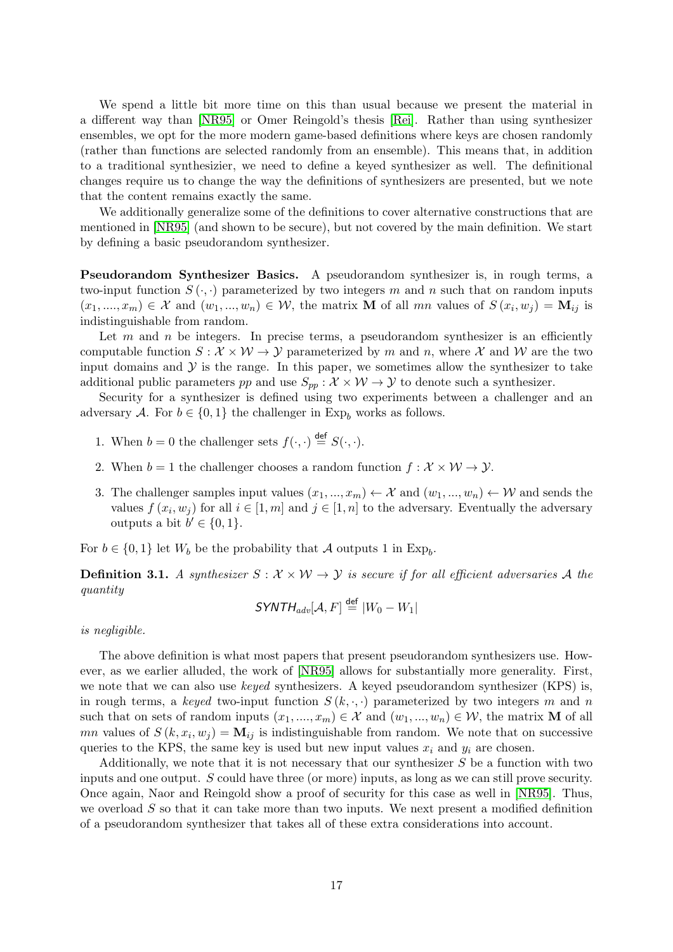We spend a little bit more time on this than usual because we present the material in a different way than [\[NR95\]](#page-47-3) or Omer Reingold's thesis [\[Rei\]](#page-47-7). Rather than using synthesizer ensembles, we opt for the more modern game-based definitions where keys are chosen randomly (rather than functions are selected randomly from an ensemble). This means that, in addition to a traditional synthesizier, we need to define a keyed synthesizer as well. The definitional changes require us to change the way the definitions of synthesizers are presented, but we note that the content remains exactly the same.

We additionally generalize some of the definitions to cover alternative constructions that are mentioned in [\[NR95\]](#page-47-3) (and shown to be secure), but not covered by the main definition. We start by defining a basic pseudorandom synthesizer.

Pseudorandom Synthesizer Basics. A pseudorandom synthesizer is, in rough terms, a two-input function  $S(\cdot, \cdot)$  parameterized by two integers m and n such that on random inputs  $(x_1, ..., x_m) \in \mathcal{X}$  and  $(w_1, ..., w_n) \in \mathcal{W}$ , the matrix **M** of all mn values of  $S(x_i, w_j) = \mathbf{M}_{ij}$  is indistinguishable from random.

Let  $m$  and  $n$  be integers. In precise terms, a pseudorandom synthesizer is an efficiently computable function  $S: \mathcal{X} \times \mathcal{W} \to \mathcal{Y}$  parameterized by m and n, where X and W are the two input domains and  $\mathcal Y$  is the range. In this paper, we sometimes allow the synthesizer to take additional public parameters pp and use  $S_{pp}$ :  $\mathcal{X} \times \mathcal{W} \to \mathcal{Y}$  to denote such a synthesizer.

Security for a synthesizer is defined using two experiments between a challenger and an adversary A. For  $b \in \{0,1\}$  the challenger in Exp<sub>b</sub> works as follows.

- 1. When  $b = 0$  the challenger sets  $f(\cdot, \cdot) \stackrel{\mathsf{def}}{=} S(\cdot, \cdot)$ .
- 2. When  $b = 1$  the challenger chooses a random function  $f : \mathcal{X} \times \mathcal{W} \rightarrow \mathcal{Y}$ .
- 3. The challenger samples input values  $(x_1, ..., x_m) \leftarrow \mathcal{X}$  and  $(w_1, ..., w_n) \leftarrow \mathcal{W}$  and sends the values  $f(x_i, w_j)$  for all  $i \in [1, m]$  and  $j \in [1, n]$  to the adversary. Eventually the adversary outputs a bit  $b' \in \{0, 1\}.$

For  $b \in \{0,1\}$  let  $W_b$  be the probability that A outputs 1 in Exp<sub>b</sub>.

**Definition 3.1.** A synthesizer  $S : \mathcal{X} \times \mathcal{W} \rightarrow \mathcal{Y}$  is secure if for all efficient adversaries A the quantity

$$
\mathsf{SYNTH}_{adv}[\mathcal{A}, F] \stackrel{\mathsf{def}}{=} |W_0 - W_1|
$$

is negligible.

The above definition is what most papers that present pseudorandom synthesizers use. However, as we earlier alluded, the work of [\[NR95\]](#page-47-3) allows for substantially more generality. First, we note that we can also use *keyed* synthesizers. A keyed pseudorandom synthesizer (KPS) is, in rough terms, a keyed two-input function  $S(k, \cdot, \cdot)$  parameterized by two integers m and n such that on sets of random inputs  $(x_1, ..., x_m) \in \mathcal{X}$  and  $(w_1, ..., w_n) \in \mathcal{W}$ , the matrix **M** of all mn values of  $S(k, x_i, w_j) = \mathbf{M}_{ij}$  is indistinguishable from random. We note that on successive queries to the KPS, the same key is used but new input values  $x_i$  and  $y_i$  are chosen.

Additionally, we note that it is not necessary that our synthesizer  $S$  be a function with two inputs and one output. S could have three (or more) inputs, as long as we can still prove security. Once again, Naor and Reingold show a proof of security for this case as well in [\[NR95\]](#page-47-3). Thus, we overload  $S$  so that it can take more than two inputs. We next present a modified definition of a pseudorandom synthesizer that takes all of these extra considerations into account.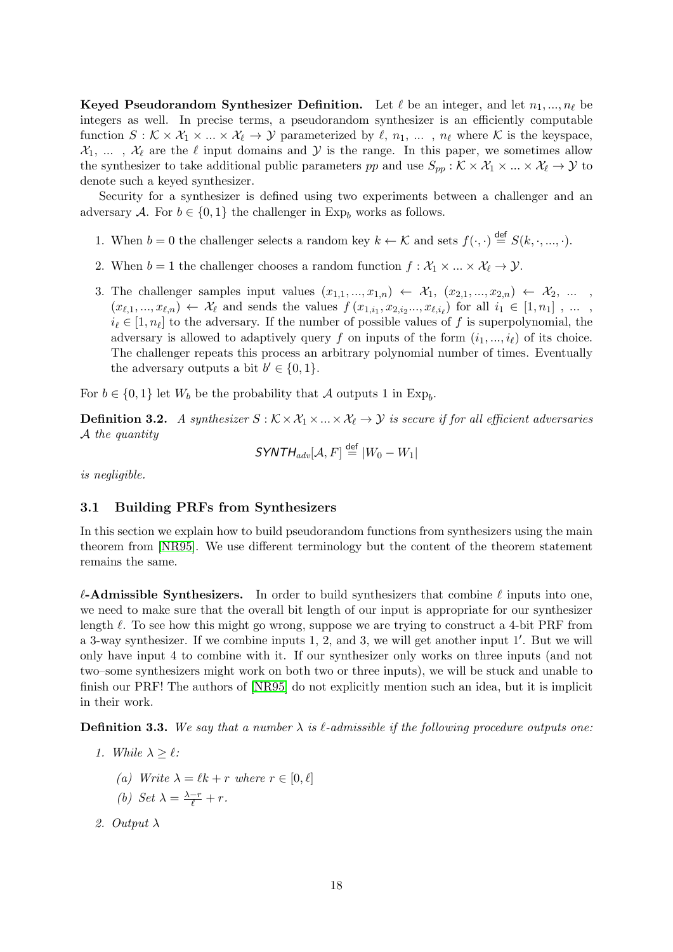Keyed Pseudorandom Synthesizer Definition. Let  $\ell$  be an integer, and let  $n_1, ..., n_\ell$  be integers as well. In precise terms, a pseudorandom synthesizer is an efficiently computable function  $S: \mathcal{K} \times \mathcal{X}_1 \times ... \times \mathcal{X}_\ell \to \mathcal{Y}$  parameterized by  $\ell, n_1, ... , n_\ell$  where K is the keyspace,  $\mathcal{X}_1, \ldots, \mathcal{X}_\ell$  are the  $\ell$  input domains and  $\mathcal Y$  is the range. In this paper, we sometimes allow the synthesizer to take additional public parameters pp and use  $S_{pp}$ :  $K \times \mathcal{X}_1 \times ... \times \mathcal{X}_\ell \to \mathcal{Y}$  to denote such a keyed synthesizer.

Security for a synthesizer is defined using two experiments between a challenger and an adversary A. For  $b \in \{0,1\}$  the challenger in Exp<sub>b</sub> works as follows.

- 1. When  $b = 0$  the challenger selects a random key  $k \leftarrow \mathcal{K}$  and sets  $f(\cdot, \cdot) \stackrel{\text{def}}{=} S(k, \cdot, ..., \cdot)$ .
- 2. When  $b = 1$  the challenger chooses a random function  $f : \mathcal{X}_1 \times ... \times \mathcal{X}_\ell \to \mathcal{Y}$ .
- 3. The challenger samples input values  $(x_{1,1},...,x_{1,n}) \leftarrow \mathcal{X}_1, (x_{2,1},...,x_{2,n}) \leftarrow \mathcal{X}_2, ...$  $(x_{\ell,1},...,x_{\ell,n}) \leftarrow \mathcal{X}_{\ell}$  and sends the values  $f(x_{1,i_1}, x_{2,i_2},...,x_{\ell,i_{\ell}})$  for all  $i_1 \in [1, n_1]$ , ...,  $i_{\ell} \in [1, n_{\ell}]$  to the adversary. If the number of possible values of f is superpolynomial, the adversary is allowed to adaptively query f on inputs of the form  $(i_1, ..., i_\ell)$  of its choice. The challenger repeats this process an arbitrary polynomial number of times. Eventually the adversary outputs a bit  $b' \in \{0, 1\}.$

For  $b \in \{0,1\}$  let  $W_b$  be the probability that A outputs 1 in Exp<sub>b</sub>.

<span id="page-17-0"></span>**Definition 3.2.** A synthesizer  $S : \mathcal{K} \times \mathcal{X}_1 \times ... \times \mathcal{X}_\ell \rightarrow \mathcal{Y}$  is secure if for all efficient adversaries A the quantity

$$
\mathsf{SYNTH}_{adv}[\mathcal{A}, F] \stackrel{\mathsf{def}}{=} |W_0 - W_1|
$$

is negligible.

### 3.1 Building PRFs from Synthesizers

In this section we explain how to build pseudorandom functions from synthesizers using the main theorem from [\[NR95\]](#page-47-3). We use different terminology but the content of the theorem statement remains the same.

 $\ell$ -Admissible Synthesizers. In order to build synthesizers that combine  $\ell$  inputs into one, we need to make sure that the overall bit length of our input is appropriate for our synthesizer length  $\ell$ . To see how this might go wrong, suppose we are trying to construct a 4-bit PRF from a 3-way synthesizer. If we combine inputs  $1, 2$ , and 3, we will get another input  $1'$ . But we will only have input 4 to combine with it. If our synthesizer only works on three inputs (and not two–some synthesizers might work on both two or three inputs), we will be stuck and unable to finish our PRF! The authors of [\[NR95\]](#page-47-3) do not explicitly mention such an idea, but it is implicit in their work.

**Definition 3.3.** We say that a number  $\lambda$  is  $\ell$ -admissible if the following procedure outputs one:

- 1. While  $\lambda > \ell$ :
	- (a) Write  $\lambda = \ell k + r$  where  $r \in [0, \ell]$
	- (b) Set  $\lambda = \frac{\lambda r}{\ell} + r$ .
- 2. Output λ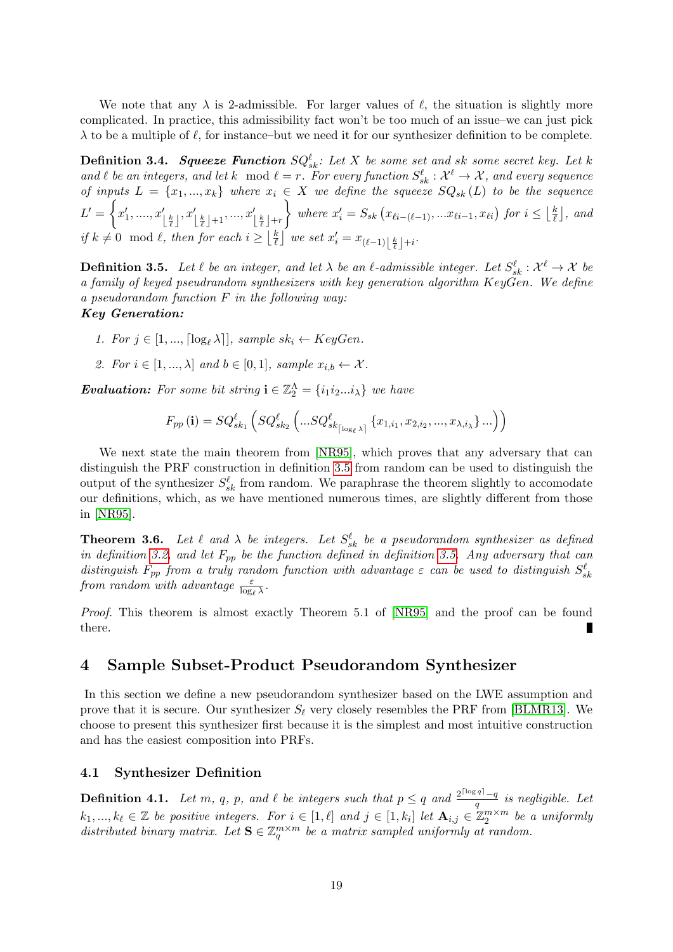We note that any  $\lambda$  is 2-admissible. For larger values of  $\ell$ , the situation is slightly more complicated. In practice, this admissibility fact won't be too much of an issue–we can just pick  $\lambda$  to be a multiple of  $\ell$ , for instance–but we need it for our synthesizer definition to be complete.

**Definition 3.4.** Squeeze Function  $SQ_{sk}^{\ell}$ : Let X be some set and sk some secret key. Let k and  $\ell$  be an integers, and let k mod  $\ell = r$ . For every function  $S_{sk}^{\ell} : \mathcal{X}^{\ell} \to \mathcal{X}$ , and every sequence of inputs  $L = \{x_1, ..., x_k\}$  where  $x_i \in X$  we define the squeeze  $SQ_{sk}(L)$  to be the sequence  $L'=\bigg\{x_1',....,x_{\left\lfloor\frac{k}{\ell}\right\rfloor}',x_{\left\lfloor\frac{k}{\ell}\right\rfloor+1}',...,x_{\left\lfloor\frac{k}{\ell}\right\rfloor+r}'$ where  $x'_i = S_{sk} (x_{\ell i - (\ell-1)}, ... x_{\ell i-1}, x_{\ell i})$  for  $i \leq \lfloor \frac{k}{\ell} \rfloor$  $\frac{k}{\ell}$ ], and if  $k \neq 0 \mod l$ , then for each  $i \geq \lfloor \frac{k}{l} \rfloor$  $\frac{k}{\ell}$ ] we set  $x'_i = x_{(\ell-1)\left\lfloor\frac{k}{\ell}\right\rfloor+i}$ .

<span id="page-18-1"></span>**Definition 3.5.** Let  $\ell$  be an integer, and let  $\lambda$  be an  $\ell$ -admissible integer. Let  $S_{sk}^{\ell} : \mathcal{X}^{\ell} \to \mathcal{X}$  be a family of keyed pseudrandom synthesizers with key generation algorithm KeyGen. We define a pseudorandom function F in the following way: Key Generation:

- 1. For  $j \in [1, ..., \lceil \log_{\ell} \lambda \rceil]$ , sample  $sk_i \leftarrow KeyGen$ .
- 2. For  $i \in [1, ..., \lambda]$  and  $b \in [0, 1]$ , sample  $x_{i,b} \leftarrow \mathcal{X}$ .

**Evaluation:** For some bit string  $\mathbf{i} \in \mathbb{Z}_2^{\Lambda} = \{i_1 i_2 ... i_{\lambda}\}\$  we have

$$
F_{pp}(\mathbf{i}) = SQ_{sk_1}^{\ell} \left( SQ_{sk_2}^{\ell} \left( ...SQ_{sk_{\lceil \log_{\ell} \lambda \rceil}}^{\ell} \{x_{1,i_1}, x_{2,i_2}, ..., x_{\lambda,i_{\lambda}}\} ... \right) \right)
$$

We next state the main theorem from [\[NR95\]](#page-47-3), which proves that any adversary that can distinguish the PRF construction in definition [3.5](#page-18-1) from random can be used to distinguish the output of the synthesizer  $S_{sk}^{\ell}$  from random. We paraphrase the theorem slightly to accomodate our definitions, which, as we have mentioned numerous times, are slightly different from those in [\[NR95\]](#page-47-3).

<span id="page-18-2"></span>**Theorem 3.6.** Let  $\ell$  and  $\lambda$  be integers. Let  $S_{sk}^{\ell}$  be a pseudorandom synthesizer as defined in definition [3.2,](#page-17-0) and let  $F_{pp}$  be the function defined in definition [3.5.](#page-18-1) Any adversary that can distinguish  $F_{pp}$  from a truly random function with advantage  $\varepsilon$  can be used to distinguish  $S_{sk}^{\ell}$ from random with advantage  $\frac{\varepsilon}{\log_{\ell} \lambda}$ .

Proof. This theorem is almost exactly Theorem 5.1 of [\[NR95\]](#page-47-3) and the proof can be found there.

# <span id="page-18-0"></span>4 Sample Subset-Product Pseudorandom Synthesizer

In this section we define a new pseudorandom synthesizer based on the LWE assumption and prove that it is secure. Our synthesizer  $S_\ell$  very closely resembles the PRF from [\[BLMR13\]](#page-44-0). We choose to present this synthesizer first because it is the simplest and most intuitive construction and has the easiest composition into PRFs.

### 4.1 Synthesizer Definition

<span id="page-18-3"></span>**Definition 4.1.** Let m, q, p, and  $\ell$  be integers such that  $p \leq q$  and  $\frac{2^{\lceil \log q \rceil} - q}{q}$  $\frac{q}{q}$  is negligible. Let  $k_1, ..., k_\ell \in \mathbb{Z}$  be positive integers. For  $i \in [1, \ell]$  and  $j \in [1, k_i]$  let  $\mathbf{A}_{i,j} \in \mathbb{Z}_2^{m \times m}$  be a uniformly distributed binary matrix. Let  $\mathbf{S} \in \mathbb{Z}_q^{m \times m}$  be a matrix sampled uniformly at random.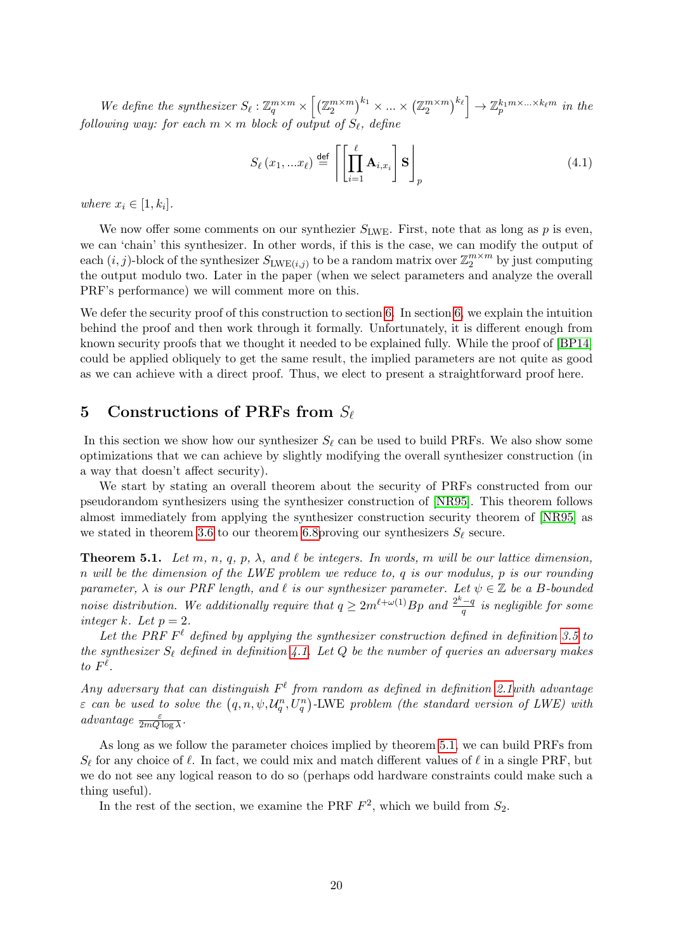We define the synthesizer  $S_{\ell}: \mathbb{Z}_q^{m \times m} \times \left[ \left( \mathbb{Z}_2^{m \times m} \right)^{k_1} \times ... \times \left( \mathbb{Z}_2^{m \times m} \right)^{k_{\ell}} \right] \to \mathbb{Z}_p^{k_1 m \times ... \times k_{\ell} m}$  in the following way: for each  $m \times m$  block of output of  $S_\ell$ , define

$$
S_{\ell}(x_1,...x_{\ell}) \stackrel{\text{def}}{=} \left\lceil \left[ \prod_{i=1}^{\ell} \mathbf{A}_{i,x_i} \right] \mathbf{S} \right\rceil_p \tag{4.1}
$$

where  $x_i \in [1, k_i]$ .

We now offer some comments on our synthezier  $S_{LWE}$ . First, note that as long as p is even, we can 'chain' this synthesizer. In other words, if this is the case, we can modify the output of each  $(i, j)$ -block of the synthesizer  $S_{\text{LWE}(i,j)}$  to be a random matrix over  $\mathbb{Z}_2^{m \times m}$  by just computing the output modulo two. Later in the paper (when we select parameters and analyze the overall PRF's performance) we will comment more on this.

We defer the security proof of this construction to section [6.](#page-20-0) In section [6,](#page-20-0) we explain the intuition behind the proof and then work through it formally. Unfortunately, it is different enough from known security proofs that we thought it needed to be explained fully. While the proof of [\[BP14\]](#page-45-1) could be applied obliquely to get the same result, the implied parameters are not quite as good as we can achieve with a direct proof. Thus, we elect to present a straightforward proof here.

# <span id="page-19-0"></span>5 Constructions of PRFs from  $S_{\ell}$

In this section we show how our synthesizer  $S_\ell$  can be used to build PRFs. We also show some optimizations that we can achieve by slightly modifying the overall synthesizer construction (in a way that doesn't affect security).

We start by stating an overall theorem about the security of PRFs constructed from our pseudorandom synthesizers using the synthesizer construction of [\[NR95\]](#page-47-3). This theorem follows almost immediately from applying the synthesizer construction security theorem of [\[NR95\]](#page-47-3) as we stated in theorem [3.6](#page-18-2) to our theorem 6.8 proving our synthesizers  $S_\ell$  secure.

<span id="page-19-1"></span>**Theorem 5.1.** Let m, n, q, p,  $\lambda$ , and  $\ell$  be integers. In words, m will be our lattice dimension, n will be the dimension of the LWE problem we reduce to, q is our modulus, p is our rounding parameter,  $\lambda$  is our PRF length, and  $\ell$  is our synthesizer parameter. Let  $\psi \in \mathbb{Z}$  be a B-bounded noise distribution. We additionally require that  $q \geq 2m^{\ell+\omega(1)}Bp$  and  $\frac{2^k-q}{q}$  $\frac{\alpha-q}{q}$  is negligible for some integer k. Let  $p = 2$ .

Let the PRF  $F^{\ell}$  defined by applying the synthesizer construction defined in definition [3.5](#page-18-1) to the synthesizer  $S_{\ell}$  defined in definition [4.1.](#page-18-3) Let Q be the number of queries an adversary makes to  $F^{\ell}$ .

Any adversary that can distinguish  $F^{\ell}$  from random as defined in definition 2.1 with advantage  $\varepsilon$  can be used to solve the  $(q, n, \psi, \mathcal{U}_q^n, U_q^n)$ -LWE problem (the standard version of LWE) with advantage  $\frac{\varepsilon}{2mQ\log\lambda}$ .

As long as we follow the parameter choices implied by theorem [5.1,](#page-19-1) we can build PRFs from  $S_{\ell}$  for any choice of  $\ell$ . In fact, we could mix and match different values of  $\ell$  in a single PRF, but we do not see any logical reason to do so (perhaps odd hardware constraints could make such a thing useful).

In the rest of the section, we examine the PRF  $F^2$ , which we build from  $S_2$ .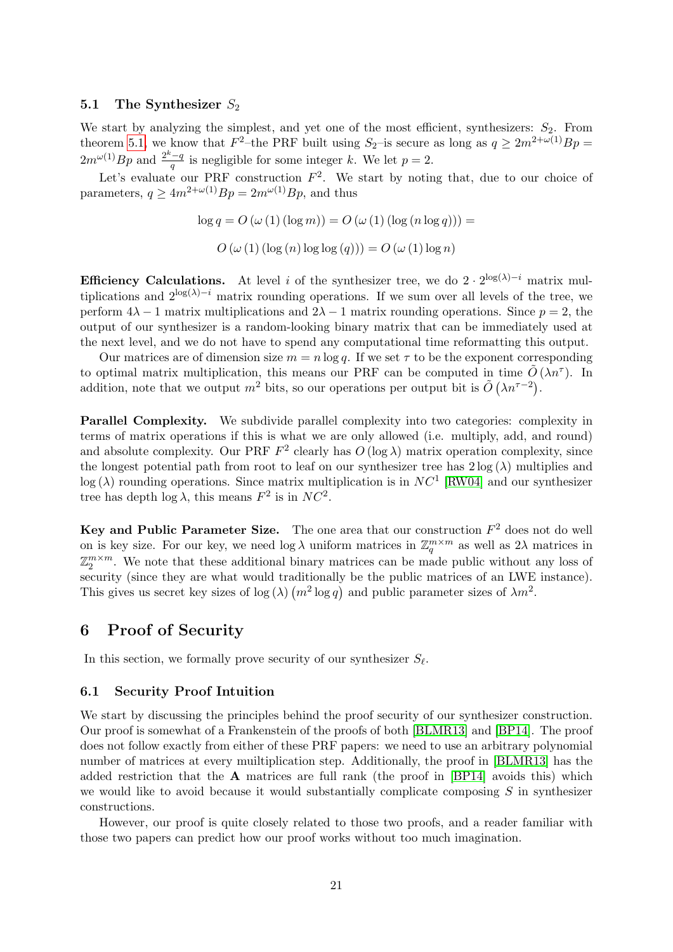### 5.1 The Synthesizer  $S_2$

We start by analyzing the simplest, and yet one of the most efficient, synthesizers:  $S_2$ . From theorem [5.1,](#page-19-1) we know that  $F^2$ -the PRF built using  $S_2$ -is secure as long as  $q \ge 2m^{2+\omega(1)}Bp =$  $2m^{\omega(1)}Bp$  and  $\frac{2^k-q}{a}$  $\frac{q}{q}$  is negligible for some integer k. We let  $p=2$ .

Let's evaluate our PRF construction  $F^2$ . We start by noting that, due to our choice of parameters,  $q \ge 4m^{2+\omega(1)}Bp = 2m^{\omega(1)}Bp$ , and thus

$$
\log q = O(\omega(1) (\log m)) = O(\omega(1) (\log (n \log q))) =
$$
  

$$
O(\omega(1) (\log (n) \log \log (q))) = O(\omega(1) \log n)
$$

**Efficiency Calculations.** At level i of the synthesizer tree, we do  $2 \cdot 2^{\log(\lambda)-i}$  matrix multiplications and  $2^{\log(\lambda)-i}$  matrix rounding operations. If we sum over all levels of the tree, we perform  $4\lambda - 1$  matrix multiplications and  $2\lambda - 1$  matrix rounding operations. Since  $p = 2$ , the output of our synthesizer is a random-looking binary matrix that can be immediately used at the next level, and we do not have to spend any computational time reformatting this output.

Our matrices are of dimension size  $m = n \log q$ . If we set  $\tau$  to be the exponent corresponding to optimal matrix multiplication, this means our PRF can be computed in time  $\tilde{O}(\lambda n^{\tau})$ . In addition, note that we output  $m^2$  bits, so our operations per output bit is  $\tilde{O}(\lambda n^{\tau-2})$ .

Parallel Complexity. We subdivide parallel complexity into two categories: complexity in terms of matrix operations if this is what we are only allowed (i.e. multiply, add, and round) and absolute complexity. Our PRF  $F^2$  clearly has  $O(\log \lambda)$  matrix operation complexity, since the longest potential path from root to leaf on our synthesizer tree has  $2 \log(\lambda)$  multiplies and  $log(\lambda)$  rounding operations. Since matrix multiplication is in  $NC<sup>1</sup>$  [\[RW04\]](#page-47-8) and our synthesizer tree has depth  $\log \lambda$ , this means  $F^2$  is in  $NC^2$ .

Key and Public Parameter Size. The one area that our construction  $F^2$  does not do well on is key size. For our key, we need  $\log \lambda$  uniform matrices in  $\mathbb{Z}_q^{m \times m}$  as well as  $2\lambda$  matrices in  $\mathbb{Z}_2^{m \times m}$ . We note that these additional binary matrices can be made public without any loss of security (since they are what would traditionally be the public matrices of an LWE instance). This gives us secret key sizes of  $\log(\lambda)$   $(m^2 \log q)$  and public parameter sizes of  $\lambda m^2$ .

# <span id="page-20-0"></span>6 Proof of Security

In this section, we formally prove security of our synthesizer  $S_{\ell}$ .

### 6.1 Security Proof Intuition

We start by discussing the principles behind the proof security of our synthesizer construction. Our proof is somewhat of a Frankenstein of the proofs of both [\[BLMR13\]](#page-44-0) and [\[BP14\]](#page-45-1). The proof does not follow exactly from either of these PRF papers: we need to use an arbitrary polynomial number of matrices at every muiltiplication step. Additionally, the proof in [\[BLMR13\]](#page-44-0) has the added restriction that the  $A$  matrices are full rank (the proof in [\[BP14\]](#page-45-1) avoids this) which we would like to avoid because it would substantially complicate composing  $S$  in synthesizer constructions.

However, our proof is quite closely related to those two proofs, and a reader familiar with those two papers can predict how our proof works without too much imagination.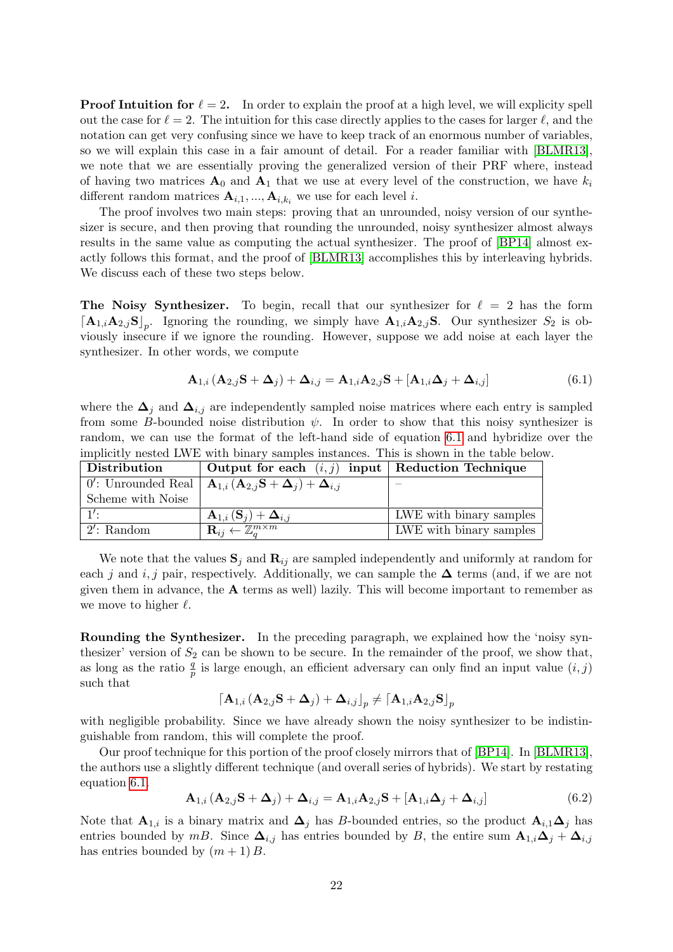**Proof Intuition for**  $\ell = 2$ . In order to explain the proof at a high level, we will explicity spell out the case for  $\ell = 2$ . The intuition for this case directly applies to the cases for larger  $\ell$ , and the notation can get very confusing since we have to keep track of an enormous number of variables, so we will explain this case in a fair amount of detail. For a reader familiar with [\[BLMR13\]](#page-44-0), we note that we are essentially proving the generalized version of their PRF where, instead of having two matrices  $A_0$  and  $A_1$  that we use at every level of the construction, we have  $k_i$ different random matrices  $A_{i,1},..., A_{i,k_i}$  we use for each level i.

The proof involves two main steps: proving that an unrounded, noisy version of our synthesizer is secure, and then proving that rounding the unrounded, noisy synthesizer almost always results in the same value as computing the actual synthesizer. The proof of [\[BP14\]](#page-45-1) almost exactly follows this format, and the proof of [\[BLMR13\]](#page-44-0) accomplishes this by interleaving hybrids. We discuss each of these two steps below.

The Noisy Synthesizer. To begin, recall that our synthesizer for  $\ell = 2$  has the form  $\left[\mathbf{A}_{1,i}\mathbf{A}_{2,j}\mathbf{S}\right]_p$ . Ignoring the rounding, we simply have  $\mathbf{A}_{1,i}\mathbf{A}_{2,j}\mathbf{S}$ . Our synthesizer  $S_2$  is obviously insecure if we ignore the rounding. However, suppose we add noise at each layer the synthesizer. In other words, we compute

<span id="page-21-0"></span>
$$
\mathbf{A}_{1,i} \left( \mathbf{A}_{2,j} \mathbf{S} + \mathbf{\Delta}_j \right) + \mathbf{\Delta}_{i,j} = \mathbf{A}_{1,i} \mathbf{A}_{2,j} \mathbf{S} + \left[ \mathbf{A}_{1,i} \mathbf{\Delta}_j + \mathbf{\Delta}_{i,j} \right] \tag{6.1}
$$

where the  $\Delta_j$  and  $\Delta_{i,j}$  are independently sampled noise matrices where each entry is sampled from some B-bounded noise distribution  $\psi$ . In order to show that this noisy synthesizer is random, we can use the format of the left-hand side of equation [6.1](#page-21-0) and hybridize over the implicitly nested LWE with binary samples instances. This is shown in the table below.

| Distribution      | Output for each $(i, j)$ input   Reduction Technique                                                      |                                 |
|-------------------|-----------------------------------------------------------------------------------------------------------|---------------------------------|
|                   | 0': Unrounded Real $\mathbf{A}_{1,i}(\mathbf{A}_{2,i}\mathbf{S}+\mathbf{\Delta}_i)+\mathbf{\Delta}_{i,j}$ |                                 |
| Scheme with Noise |                                                                                                           |                                 |
| 1'.               | $\mathbf{A}_{1,i}(\mathbf{S}_i) + \mathbf{\Delta}_{i,j}$                                                  | LWE with binary samples $\vert$ |
| $12$ : Random     | $\mathbf{R}_{ij} \leftarrow \mathbb{Z}^{m \times m}_o$                                                    | LWE with binary samples         |

We note that the values  $\mathbf{S}_j$  and  $\mathbf{R}_{ij}$  are sampled independently and uniformly at random for each *j* and *i, j* pair, respectively. Additionally, we can sample the  $\Delta$  terms (and, if we are not given them in advance, the  $A$  terms as well) lazily. This will become important to remember as we move to higher  $\ell$ .

Rounding the Synthesizer. In the preceding paragraph, we explained how the 'noisy synthesizer' version of  $S_2$  can be shown to be secure. In the remainder of the proof, we show that, as long as the ratio  $\frac{q}{p}$  is large enough, an efficient adversary can only find an input value  $(i, j)$ such that

$$
\left\lceil{{\mathbf{A}}_{1,i}\left( {{\mathbf{A}}_{2,j} {\mathbf{S}} + {\mathbf{\Delta }}_j } \right) + {{\mathbf{\Delta }}_{i,j}}} \right\rceil_p \ne \left\lceil{{\mathbf{A}}_{1,i} {\mathbf{A}}_{2,j} {\mathbf{S}} } \right\rceil_p
$$

with negligible probability. Since we have already shown the noisy synthesizer to be indistinguishable from random, this will complete the proof.

Our proof technique for this portion of the proof closely mirrors that of [\[BP14\]](#page-45-1). In [\[BLMR13\]](#page-44-0), the authors use a slightly different technique (and overall series of hybrids). We start by restating equation [6.1.](#page-21-0)

$$
\mathbf{A}_{1,i} \left( \mathbf{A}_{2,j} \mathbf{S} + \mathbf{\Delta}_j \right) + \mathbf{\Delta}_{i,j} = \mathbf{A}_{1,i} \mathbf{A}_{2,j} \mathbf{S} + \left[ \mathbf{A}_{1,i} \mathbf{\Delta}_j + \mathbf{\Delta}_{i,j} \right] \tag{6.2}
$$

Note that  $\mathbf{A}_{1,i}$  is a binary matrix and  $\mathbf{\Delta}_j$  has B-bounded entries, so the product  $\mathbf{A}_{i,1}\mathbf{\Delta}_j$  has entries bounded by mB. Since  $\Delta_{i,j}$  has entries bounded by B, the entire sum  $\mathbf{A}_{1,i}\Delta_j + \Delta_{i,j}$ has entries bounded by  $(m + 1)B$ .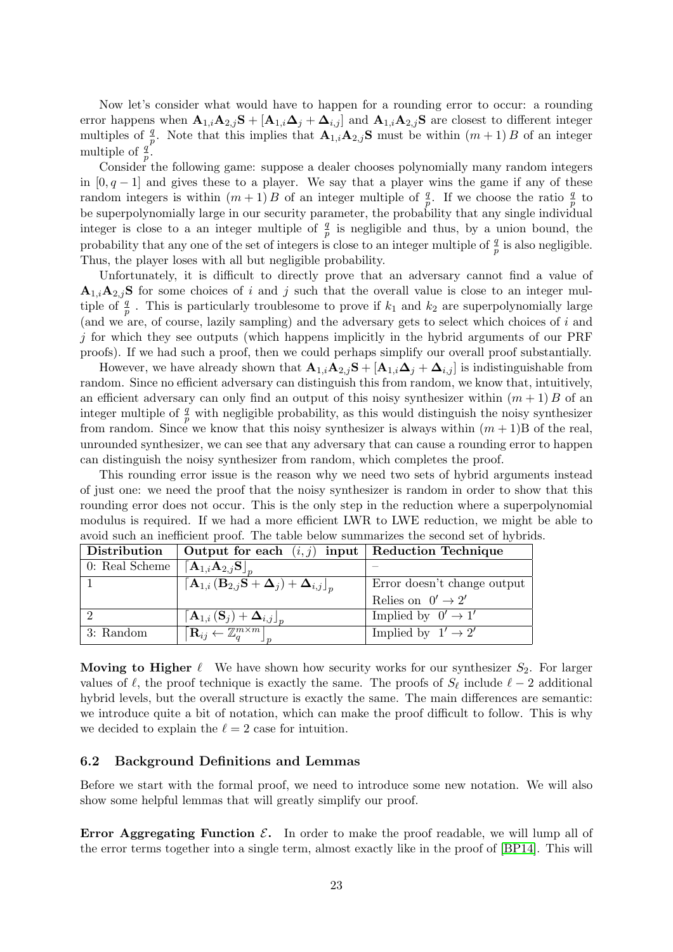Now let's consider what would have to happen for a rounding error to occur: a rounding error happens when  $\mathbf{A}_{1,i}\mathbf{A}_{2,j}\mathbf{S} + [\mathbf{A}_{1,i}\boldsymbol{\Delta}_j + \boldsymbol{\Delta}_{i,j}]$  and  $\mathbf{A}_{1,i}\mathbf{A}_{2,j}\mathbf{S}$  are closest to different integer multiples of  $\frac{q}{p}$ . Note that this implies that  $\mathbf{A}_{1,i} \mathbf{A}_{2,j} \mathbf{S}$  must be within  $(m+1) B$  of an integer multiple of  $\frac{q}{p}$ .

Consider the following game: suppose a dealer chooses polynomially many random integers in  $[0, q-1]$  and gives these to a player. We say that a player wins the game if any of these random integers is within  $(m+1)B$  of an integer multiple of  $\frac{q}{p}$ . If we choose the ratio  $\frac{q}{p}$  to be superpolynomially large in our security parameter, the probability that any single individual integer is close to a an integer multiple of  $\frac{q}{p}$  is negligible and thus, by a union bound, the probability that any one of the set of integers is close to an integer multiple of  $\frac{q}{p}$  is also negligible. Thus, the player loses with all but negligible probability.

Unfortunately, it is difficult to directly prove that an adversary cannot find a value of  $A_{1,i}A_{2,i}S$  for some choices of i and j such that the overall value is close to an integer multiple of  $\frac{q}{p}$ . This is particularly troublesome to prove if  $k_1$  and  $k_2$  are superpolynomially large (and we are, of course, lazily sampling) and the adversary gets to select which choices of  $i$  and  $j$  for which they see outputs (which happens implicitly in the hybrid arguments of our PRF proofs). If we had such a proof, then we could perhaps simplify our overall proof substantially.

However, we have already shown that  $\mathbf{A}_{1,i}\mathbf{A}_{2,j}\mathbf{S} + [\mathbf{A}_{1,i}\Delta_j + \Delta_{i,j}]$  is indistinguishable from random. Since no efficient adversary can distinguish this from random, we know that, intuitively, an efficient adversary can only find an output of this noisy synthesizer within  $(m + 1)$  B of an integer multiple of  $\frac{q}{p}$  with negligible probability, as this would distinguish the noisy synthesizer from random. Since we know that this noisy synthesizer is always within  $(m + 1)B$  of the real, unrounded synthesizer, we can see that any adversary that can cause a rounding error to happen can distinguish the noisy synthesizer from random, which completes the proof.

This rounding error issue is the reason why we need two sets of hybrid arguments instead of just one: we need the proof that the noisy synthesizer is random in order to show that this rounding error does not occur. This is the only step in the reduction where a superpolynomial modulus is required. If we had a more efficient LWR to LWE reduction, we might be able to avoid such an inefficient proof. The table below summarizes the second set of hybrids.

| Distribution   | Output for each $(i, j)$ input Reduction Technique                                                                       |                                |
|----------------|--------------------------------------------------------------------------------------------------------------------------|--------------------------------|
| 0: Real Scheme | $\left[{\bf A}_{1,i} {\bf A}_{2,j} {\bf S} \right]_n$                                                                    |                                |
|                | $\left[ \mathbf{A}_{1,i}\left( \mathbf{B}_{2,j}\mathbf{S}+\mathbf{\Delta}_{j}\right) +\mathbf{\Delta}_{i,j}\right] _{n}$ | Error doesn't change output    |
|                |                                                                                                                          | Relies on $0' \rightarrow 2'$  |
|                | $\left[\mathbf{A}_{1,i}\left(\mathbf{S}_j\right)+\boldsymbol{\Delta}_{i,j}\right]_n$                                     | Implied by $0' \rightarrow 1'$ |
| 3: Random      | $\begin{bmatrix} \mathbf{R}_{ij} \leftarrow \mathbb{Z}_q^{m \times m} \end{bmatrix}$                                     | Implied by $1' \rightarrow 2'$ |

Moving to Higher  $\ell$  We have shown how security works for our synthesizer  $S_2$ . For larger values of  $\ell$ , the proof technique is exactly the same. The proofs of  $S_{\ell}$  include  $\ell - 2$  additional hybrid levels, but the overall structure is exactly the same. The main differences are semantic: we introduce quite a bit of notation, which can make the proof difficult to follow. This is why we decided to explain the  $\ell = 2$  case for intuition.

## 6.2 Background Definitions and Lemmas

Before we start with the formal proof, we need to introduce some new notation. We will also show some helpful lemmas that will greatly simplify our proof.

**Error Aggregating Function**  $\mathcal{E}$ **.** In order to make the proof readable, we will lump all of the error terms together into a single term, almost exactly like in the proof of [\[BP14\]](#page-45-1). This will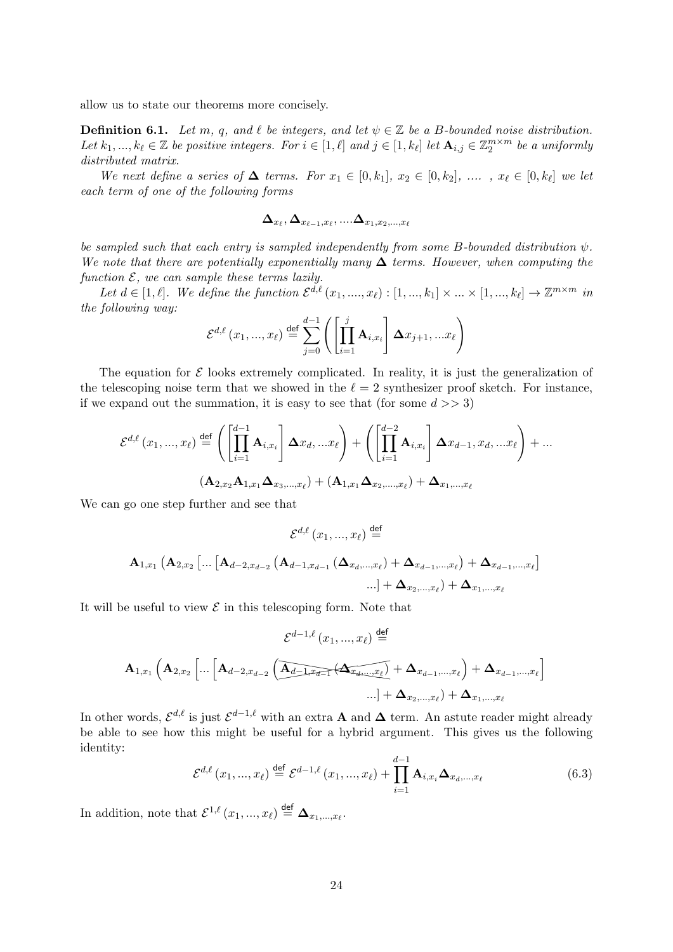allow us to state our theorems more concisely.

<span id="page-23-0"></span>**Definition 6.1.** Let m, q, and  $\ell$  be integers, and let  $\psi \in \mathbb{Z}$  be a B-bounded noise distribution. Let  $k_1, ..., k_\ell \in \mathbb{Z}$  be positive integers. For  $i \in [1, \ell]$  and  $j \in [1, k_\ell]$  let  $\mathbf{A}_{i,j} \in \mathbb{Z}_2^{m \times m}$  be a uniformly distributed matrix.

We next define a series of  $\Delta$  terms. For  $x_1 \in [0, k_1], x_2 \in [0, k_2], \ldots, x_\ell \in [0, k_\ell]$  we let each term of one of the following forms

$$
\boldsymbol{\Delta}_{x_\ell}, \boldsymbol{\Delta}_{x_{\ell-1},x_\ell},....\boldsymbol{\Delta}_{x_1,x_2,...,x_\ell}
$$

be sampled such that each entry is sampled independently from some B-bounded distribution  $\psi$ . We note that there are potentially exponentially many  $\Delta$  terms. However, when computing the function  $\mathcal{E}$ , we can sample these terms lazily.

Let  $d \in [1, \ell]$ . We define the function  $\mathcal{E}^{d,\ell}(x_1, ..., x_\ell) : [1, ..., k_1] \times ... \times [1, ..., k_\ell] \to \mathbb{Z}^{m \times m}$  in the following way:

$$
\mathcal{E}^{d,\ell}(x_1,...,x_\ell) \stackrel{\text{def}}{=} \sum_{j=0}^{d-1} \left( \left[ \prod_{i=1}^j \mathbf{A}_{i,x_i} \right] \Delta x_{j+1}, ... x_\ell \right)
$$

The equation for  $\mathcal E$  looks extremely complicated. In reality, it is just the generalization of the telescoping noise term that we showed in the  $\ell = 2$  synthesizer proof sketch. For instance, if we expand out the summation, it is easy to see that (for some  $d \gg 3$ )

$$
\mathcal{E}^{d,\ell}(x_1,...,x_\ell) \stackrel{\text{def}}{=} \left( \left[ \prod_{i=1}^{d-1} \mathbf{A}_{i,x_i} \right] \Delta x_d,...x_\ell \right) + \left( \left[ \prod_{i=1}^{d-2} \mathbf{A}_{i,x_i} \right] \Delta x_{d-1}, x_d,...x_\ell \right) + \dots
$$

$$
(\mathbf{A}_{2,x_2} \mathbf{A}_{1,x_1} \Delta_{x_3,...,x_\ell}) + (\mathbf{A}_{1,x_1} \Delta_{x_2,...,x_\ell}) + \Delta_{x_1,...,x_\ell}
$$

We can go one step further and see that

$$
\mathcal{E}^{d,\ell}(x_1,...,x_\ell) \stackrel{\text{def}}{=} \mathbf{A}_{1,x_1} \left( \mathbf{A}_{2,x_2} \left[ ... \left[ \mathbf{A}_{d-2,x_{d-2}} \left( \mathbf{A}_{d-1,x_{d-1}} \left( \mathbf{\Delta}_{x_d,...,x_\ell} \right) + \mathbf{\Delta}_{x_{d-1},...,x_\ell} \right) + \mathbf{\Delta}_{x_{d-1},...,x_\ell} \right] \right. \dots \big] + \mathbf{\Delta}_{x_2,...,x_\ell} + \mathbf{\Delta}_{x_1,...,x_\ell}
$$

It will be useful to view  $\mathcal E$  in this telescoping form. Note that

$$
\mathcal{E}^{d-1,\ell}(x_1,...,x_\ell) \stackrel{\text{def}}{=} \mathbf{A}_{1,x_1} \left( \mathbf{A}_{2,x_2} \left[ ... \left[ \mathbf{A}_{d-2,x_{d-2}} \left( \overline{\underbrace{\mathbf{A}_{d-1,x_d-1}} \left( \mathbf{A}_{x_{d+1},...,x_\ell} \right)}_{... \right] + \mathbf{\Delta}_{x_{d-1},...,x_\ell}} \right] + \mathbf{\Delta}_{x_{d-1},...,x_\ell} \right] \tag{4.11}
$$

In other words,  $\mathcal{E}^{d,\ell}$  is just  $\mathcal{E}^{d-1,\ell}$  with an extra  $\mathbf A$  and  $\boldsymbol{\Delta}$  term. An astute reader might already be able to see how this might be useful for a hybrid argument. This gives us the following identity:

<span id="page-23-1"></span>
$$
\mathcal{E}^{d,\ell}(x_1,...,x_\ell) \stackrel{\text{def}}{=} \mathcal{E}^{d-1,\ell}(x_1,...,x_\ell) + \prod_{i=1}^{d-1} \mathbf{A}_{i,x_i} \mathbf{\Delta}_{x_d,...,x_\ell}
$$
(6.3)

In addition, note that  $\mathcal{E}^{1,\ell}(x_1, ..., x_\ell) \stackrel{\text{def}}{=} \Delta_{x_1,...,x_\ell}$ .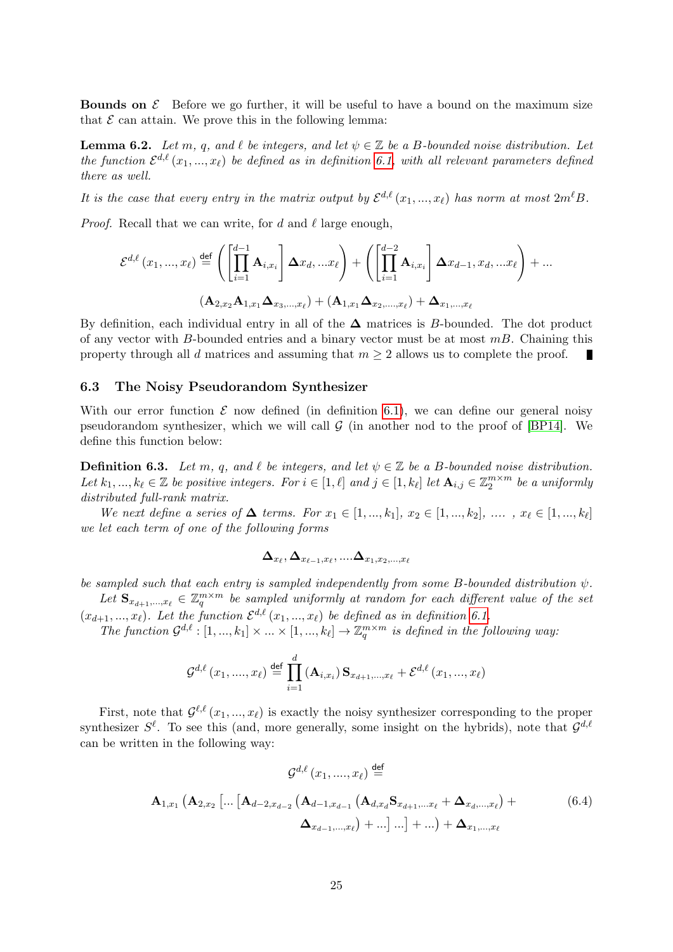**Bounds on**  $\mathcal{E}$  Before we go further, it will be useful to have a bound on the maximum size that  $\mathcal E$  can attain. We prove this in the following lemma:

<span id="page-24-1"></span>**Lemma 6.2.** Let m, q, and  $\ell$  be integers, and let  $\psi \in \mathbb{Z}$  be a B-bounded noise distribution. Let the function  $\mathcal{E}^{d,\ell}(x_1,...,x_\ell)$  be defined as in definition [6.1,](#page-23-0) with all relevant parameters defined there as well.

It is the case that every entry in the matrix output by  $\mathcal{E}^{d,\ell}(x_1, ..., x_\ell)$  has norm at most  $2m^\ell B$ .

*Proof.* Recall that we can write, for d and  $\ell$  large enough,

$$
\mathcal{E}^{d,\ell}(x_1,...,x_\ell) \stackrel{\text{def}}{=} \left( \left[ \prod_{i=1}^{d-1} \mathbf{A}_{i,x_i} \right] \Delta x_d,...x_\ell \right) + \left( \left[ \prod_{i=1}^{d-2} \mathbf{A}_{i,x_i} \right] \Delta x_{d-1}, x_d,...x_\ell \right) + ...
$$

$$
(\mathbf{A}_{2,x_2} \mathbf{A}_{1,x_1} \Delta_{x_3,...,x_\ell}) + (\mathbf{A}_{1,x_1} \Delta_{x_2,...,x_\ell}) + \Delta_{x_1,...,x_\ell}
$$

By definition, each individual entry in all of the  $\Delta$  matrices is B-bounded. The dot product of any vector with B-bounded entries and a binary vector must be at most  $mB$ . Chaining this property through all d matrices and assuming that  $m \geq 2$  allows us to complete the proof.

### 6.3 The Noisy Pseudorandom Synthesizer

With our error function  $\mathcal E$  now defined (in definition [6.1\)](#page-23-0), we can define our general noisy pseudorandom synthesizer, which we will call  $G$  (in another nod to the proof of [\[BP14\]](#page-45-1). We define this function below:

<span id="page-24-0"></span>**Definition 6.3.** Let m, q, and  $\ell$  be integers, and let  $\psi \in \mathbb{Z}$  be a B-bounded noise distribution. Let  $k_1, ..., k_\ell \in \mathbb{Z}$  be positive integers. For  $i \in [1, \ell]$  and  $j \in [1, k_\ell]$  let  $\mathbf{A}_{i,j} \in \mathbb{Z}_2^{m \times m}$  be a uniformly distributed full-rank matrix.

We next define a series of  $\Delta$  terms. For  $x_1 \in [1, ..., k_1], x_2 \in [1, ..., k_2], ..., x_\ell \in [1, ..., k_\ell]$ we let each term of one of the following forms

$$
\boldsymbol{\Delta}_{x_\ell}, \boldsymbol{\Delta}_{x_{\ell-1},x_\ell},....\boldsymbol{\Delta}_{x_1,x_2,...,x_\ell}
$$

be sampled such that each entry is sampled independently from some B-bounded distribution  $\psi$ . Let  $\mathbf{S}_{x_{d+1},...,x_{\ell}} \in \mathbb{Z}_q^{m \times m}$  be sampled uniformly at random for each different value of the set

 $(x_{d+1},...,x_{\ell})$ . Let the function  $\mathcal{E}^{d,\ell}(x_1,...,x_{\ell})$  be defined as in definition [6.1.](#page-23-0)

The function  $\mathcal{G}^{d,\ell} : [1, ..., k_1] \times ... \times [1, ..., k_\ell] \to \mathbb{Z}_q^{m \times m}$  is defined in the following way:

$$
\mathcal{G}^{d,\ell}(x_1, ..., x_{\ell}) \stackrel{\text{def}}{=} \prod_{i=1}^{d} (\mathbf{A}_{i,x_i}) \mathbf{S}_{x_{d+1}, ..., x_{\ell}} + \mathcal{E}^{d,\ell}(x_1, ..., x_{\ell})
$$

First, note that  $\mathcal{G}^{\ell,\ell}(x_1,...,x_\ell)$  is exactly the noisy synthesizer corresponding to the proper synthesizer  $S^{\ell}$ . To see this (and, more generally, some insight on the hybrids), note that  $\mathcal{G}^{d,\ell}$ can be written in the following way:

$$
\mathcal{G}^{d,\ell}(x_1, ..., x_{\ell}) \stackrel{\text{def}}{=} \mathbf{A}_{1,x_1} \left( \mathbf{A}_{2,x_2} \left[ ... \left[ \mathbf{A}_{d-2,x_{d-2}} \left( \mathbf{A}_{d-1,x_{d-1}} \left( \mathbf{A}_{d,x_d} \mathbf{S}_{x_{d+1},...x_{\ell}} + \mathbf{\Delta}_{x_d,...,x_{\ell}} \right) + \right. \right. \right. \left. \left. \mathbf{A}_{x_{d-1},...,x_{\ell}} \right) \right) \right)
$$
\n
$$
\Delta_{x_{d-1},...,x_{\ell}} + ... \left] ... \right] + ... \right) + \Delta_{x_1,...,x_{\ell}}
$$
\n(6.4)

 $\ddot{\phantom{a}}$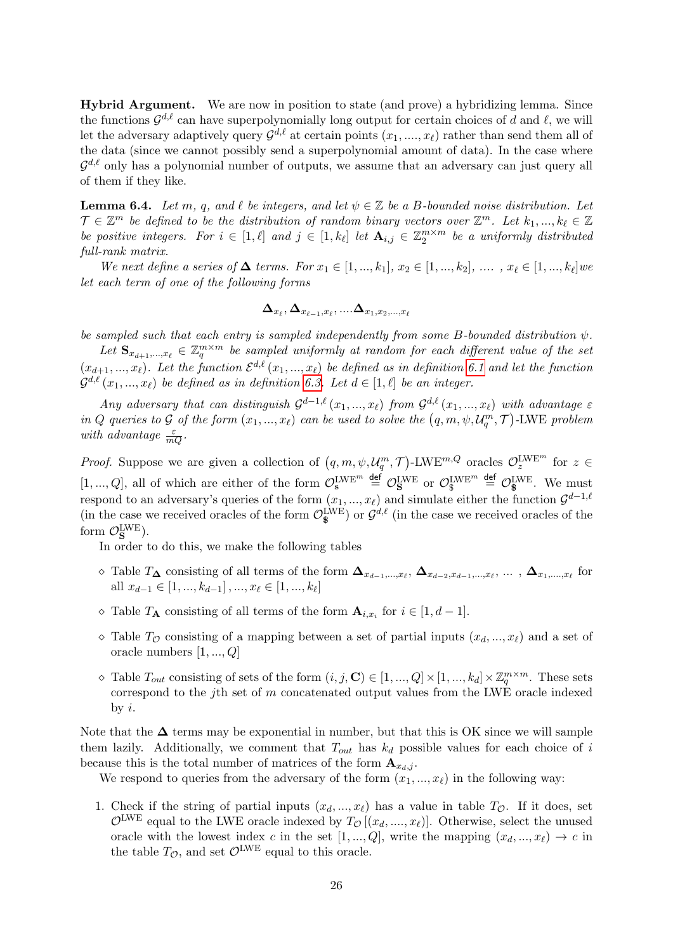Hybrid Argument. We are now in position to state (and prove) a hybridizing lemma. Since the functions  $\mathcal{G}^{d,\ell}$  can have superpolynomially long output for certain choices of d and  $\ell$ , we will Let the adversary adaptively query  $\mathcal{G}^{d,\ell}$  at certain points  $(x_1, ..., x_\ell)$  rather than send them all of the data (since we cannot possibly send a superpolynomial amount of data). In the case where  $\mathcal{G}^{d,\ell}$  only has a polynomial number of outputs, we assume that an adversary can just query all of them if they like.

<span id="page-25-0"></span>**Lemma 6.4.** Let m, q, and  $\ell$  be integers, and let  $\psi \in \mathbb{Z}$  be a B-bounded noise distribution. Let  $\mathcal{T} \in \mathbb{Z}^m$  be defined to be the distribution of random binary vectors over  $\mathbb{Z}^m$ . Let  $k_1, ..., k_\ell \in \mathbb{Z}$ be positive integers. For  $i \in [1, \ell]$  and  $j \in [1, k_{\ell}]$  let  $\mathbf{A}_{i,j} \in \mathbb{Z}_2^{m \times m}$  be a uniformly distributed full-rank matrix.

We next define a series of  $\Delta$  terms. For  $x_1 \in [1, ..., k_1], x_2 \in [1, ..., k_2], \dots, x_\ell \in [1, ..., k_\ell]$  we let each term of one of the following forms

$$
\boldsymbol{\Delta}_{x_\ell}, \boldsymbol{\Delta}_{x_{\ell-1},x_\ell},....\boldsymbol{\Delta}_{x_1,x_2,...,x_\ell}
$$

be sampled such that each entry is sampled independently from some B-bounded distribution  $\psi$ .

Let  $\mathbf{S}_{x_{d+1},...,x_{\ell}} \in \mathbb{Z}_q^{m \times m}$  be sampled uniformly at random for each different value of the set  $(x_{d+1},...,x_{\ell})$ . Let the function  $\mathcal{E}^{d,\ell}(x_1,...,x_{\ell})$  be defined as in definition [6.1](#page-23-0) and let the function  $\mathcal{G}^{d,\ell} (x_1,...,x_\ell)$  be defined as in definition [6.3.](#page-24-0) Let  $d \in [1,\ell]$  be an integer.

Any adversary that can distinguish  $\mathcal{G}^{d-1,\ell}(x_1, ..., x_\ell)$  from  $\mathcal{G}^{d,\ell}(x_1, ..., x_\ell)$  with advantage  $\varepsilon$ in Q queries to G of the form  $(x_1, ..., x_\ell)$  can be used to solve the  $(q, m, \psi, \mathcal{U}_q^m, \mathcal{T})$ -LWE problem with advantage  $\frac{\varepsilon}{mQ}$ .

*Proof.* Suppose we are given a collection of  $(q, m, \psi, \mathcal{U}_q^m, \mathcal{T})$ -LWE<sup> $m, Q$ </sup> oracles  $\mathcal{O}_z^{\text{LWE}^m}$  for  $z \in$  $[1, ..., Q]$ , all of which are either of the form  $\mathcal{O}_s^{\text{LWE}^m} \stackrel{\text{def}}{=} \mathcal{O}_s^{\text{LWE}^m}$  or  $\mathcal{O}_s^{\text{LWE}^m} \stackrel{\text{def}}{=} \mathcal{O}_s^{\text{LWE}}$ . We must respond to an adversary's queries of the form  $(x_1, ..., x_\ell)$  and simulate either the function  $\mathcal{G}^{d-1,\ell}$ (in the case we received oracles of the form  $\mathcal{O}_{\S}^{\text{LWE}}$ ) or  $\mathcal{G}^{d,\ell}$  (in the case we received oracles of the form  $\mathcal{O}_S^{\text{LWE}}$ ).

In order to do this, we make the following tables

- $\Diamond$  Table  $T_{\mathbf{\Delta}}$  consisting of all terms of the form  $\mathbf{\Delta}_{x_{d-1},...,x_{\ell}}, \mathbf{\Delta}_{x_{d-2},x_{d-1},...,x_{\ell}}, ...\, , \mathbf{\Delta}_{x_1,...,x_{\ell}}$  for all  $x_{d-1} \in [1, ..., k_{d-1}], ..., x_{\ell} \in [1, ..., k_{\ell}]$
- $\Diamond$  Table  $T_A$  consisting of all terms of the form  $A_{i,x_i}$  for  $i \in [1, d-1]$ .
- $\Diamond$  Table  $T_{\mathcal{O}}$  consisting of a mapping between a set of partial inputs  $(x_d, ..., x_\ell)$  and a set of oracle numbers [1, ..., Q]
- $\Diamond$  Table  $T_{out}$  consisting of sets of the form  $(i, j, \mathbf{C}) \in [1, ..., Q] \times [1, ..., k_d] \times \mathbb{Z}_q^{m \times m}$ . These sets correspond to the j<sup>th</sup> set of m concatenated output values from the LWE oracle indexed by  $i$ .

Note that the  $\Delta$  terms may be exponential in number, but that this is OK since we will sample them lazily. Additionally, we comment that  $T_{out}$  has  $k_d$  possible values for each choice of i because this is the total number of matrices of the form  $\mathbf{A}_{x_i,j}$ .

We respond to queries from the adversary of the form  $(x_1, ..., x_\ell)$  in the following way:

1. Check if the string of partial inputs  $(x_d, ..., x_\ell)$  has a value in table  $T_{\mathcal{O}}$ . If it does, set  $\mathcal{O}^{\text{LWE}}$  equal to the LWE oracle indexed by  $T_{\mathcal{O}}[(x_d, ..., x_{\ell})]$ . Otherwise, select the unused oracle with the lowest index c in the set  $[1, ..., Q]$ , write the mapping  $(x_d, ..., x_\ell) \to c$  in the table  $T_{\mathcal{O}}$ , and set  $\mathcal{O}^{\text{LWE}}$  equal to this oracle.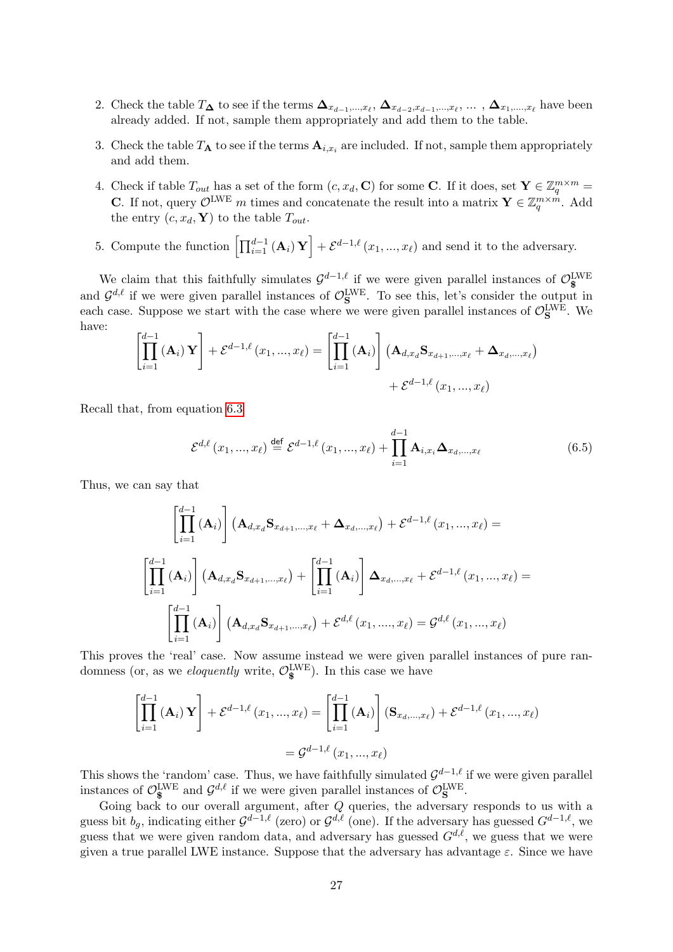- 2. Check the table  $T_{\mathbf{\Delta}}$  to see if the terms  $\mathbf{\Delta}_{x_{d-1},...,x_{\ell}}, \mathbf{\Delta}_{x_{d-2},x_{d-1},...,x_{\ell}},\dots, \mathbf{\Delta}_{x_1,...,x_{\ell}}$  have been already added. If not, sample them appropriately and add them to the table.
- 3. Check the table  $T_{\mathbf{A}}$  to see if the terms  $\mathbf{A}_{i,x_i}$  are included. If not, sample them appropriately and add them.
- 4. Check if table  $T_{out}$  has a set of the form  $(c, x_d, \mathbf{C})$  for some C. If it does, set  $\mathbf{Y} \in \mathbb{Z}_q^{m \times m}$ **C**. If not, query  $\mathcal{O}^{\text{LWE}}$  m times and concatenate the result into a matrix  $\mathbf{Y} \in \mathbb{Z}_q^{m \times m}$ . Add the entry  $(c, x_d, \mathbf{Y})$  to the table  $T_{out}$ .
- 5. Compute the function  $\left[\prod_{i=1}^{d-1} (\mathbf{A}_i) \mathbf{Y}\right] + \mathcal{E}^{d-1,\ell}(x_1, ..., x_\ell)$  and send it to the adversary.

We claim that this faithfully simulates  $\mathcal{G}^{d-1,\ell}$  if we were given parallel instances of  $\mathcal{O}_{\$}^{\text{LWE}}$ and  $\mathcal{G}^{d,\ell}$  if we were given parallel instances of  $\mathcal{O}_{\mathbf{S}}^{\text{LWE}}$ . To see this, let's consider the output in each case. Suppose we start with the case where we were given parallel instances of  $\mathcal{O}_{\mathbf{S}}^{\text{LWE}}$ . We have:

$$
\left[\prod_{i=1}^{d-1} (\mathbf{A}_i) \mathbf{Y}\right] + \mathcal{E}^{d-1,\ell}(x_1,...,x_\ell) = \left[\prod_{i=1}^{d-1} (\mathbf{A}_i)\right] (\mathbf{A}_{d,x_d} \mathbf{S}_{x_{d+1},...,x_\ell} + \mathbf{\Delta}_{x_d,...,x_\ell}) + \mathcal{E}^{d-1,\ell}(x_1,...,x_\ell)
$$

Recall that, from equation [6.3](#page-23-1)

$$
\mathcal{E}^{d,\ell}(x_1,...,x_\ell) \stackrel{\text{def}}{=} \mathcal{E}^{d-1,\ell}(x_1,...,x_\ell) + \prod_{i=1}^{d-1} \mathbf{A}_{i,x_i} \mathbf{\Delta}_{x_d,...,x_\ell}
$$
(6.5)

Thus, we can say that

$$
\left[\prod_{i=1}^{d-1} (\mathbf{A}_i)\right] (\mathbf{A}_{d,x_d} \mathbf{S}_{x_{d+1},...,x_{\ell}} + \mathbf{\Delta}_{x_d,...,x_{\ell}}) + \mathcal{E}^{d-1,\ell}(x_1,...,x_{\ell}) =
$$
\n
$$
\left[\prod_{i=1}^{d-1} (\mathbf{A}_i)\right] (\mathbf{A}_{d,x_d} \mathbf{S}_{x_{d+1},...,x_{\ell}}) + \left[\prod_{i=1}^{d-1} (\mathbf{A}_i)\right] \mathbf{\Delta}_{x_d,...,x_{\ell}} + \mathcal{E}^{d-1,\ell}(x_1,...,x_{\ell}) =
$$
\n
$$
\left[\prod_{i=1}^{d-1} (\mathbf{A}_i)\right] (\mathbf{A}_{d,x_d} \mathbf{S}_{x_{d+1},...,x_{\ell}}) + \mathcal{E}^{d,\ell}(x_1,...,x_{\ell}) = \mathcal{G}^{d,\ell}(x_1,...,x_{\ell})
$$

This proves the 'real' case. Now assume instead we were given parallel instances of pure randomness (or, as we *eloquently* write,  $\mathcal{O}_{\$}^{\text{LWE}}$ ). In this case we have

$$
\begin{aligned} \left[ \prod_{i=1}^{d-1} \left( \mathbf{A}_i \right) \mathbf{Y} \right] + \mathcal{E}^{d-1,\ell} \left( x_1, ..., x_\ell \right) &= \left[ \prod_{i=1}^{d-1} \left( \mathbf{A}_i \right) \right] \left( \mathbf{S}_{x_d, ..., x_\ell} \right) + \mathcal{E}^{d-1,\ell} \left( x_1, ..., x_\ell \right) \\ &= \mathcal{G}^{d-1,\ell} \left( x_1, ..., x_\ell \right) \end{aligned}
$$

This shows the 'random' case. Thus, we have faithfully simulated  $\mathcal{G}^{d-1,\ell}$  if we were given parallel instances of  $\mathcal{O}_{\mathbf{S}}^{\text{LWE}}$  and  $\mathcal{G}^{d,\ell}$  if we were given parallel instances of  $\mathcal{O}_{\mathbf{S}}^{\text{LWE}}$ .

Going back to our overall argument, after  $Q$  queries, the adversary responds to us with a guess bit  $b_g$ , indicating either  $\mathcal{G}^{d-1,\ell}$  (zero) or  $\mathcal{G}^{d,\ell}$  (one). If the adversary has guessed  $G^{d-1,\ell}$ , we guess that we were given random data, and adversary has guessed  $G^{d,\ell}$ , we guess that we were given a true parallel LWE instance. Suppose that the adversary has advantage  $\varepsilon$ . Since we have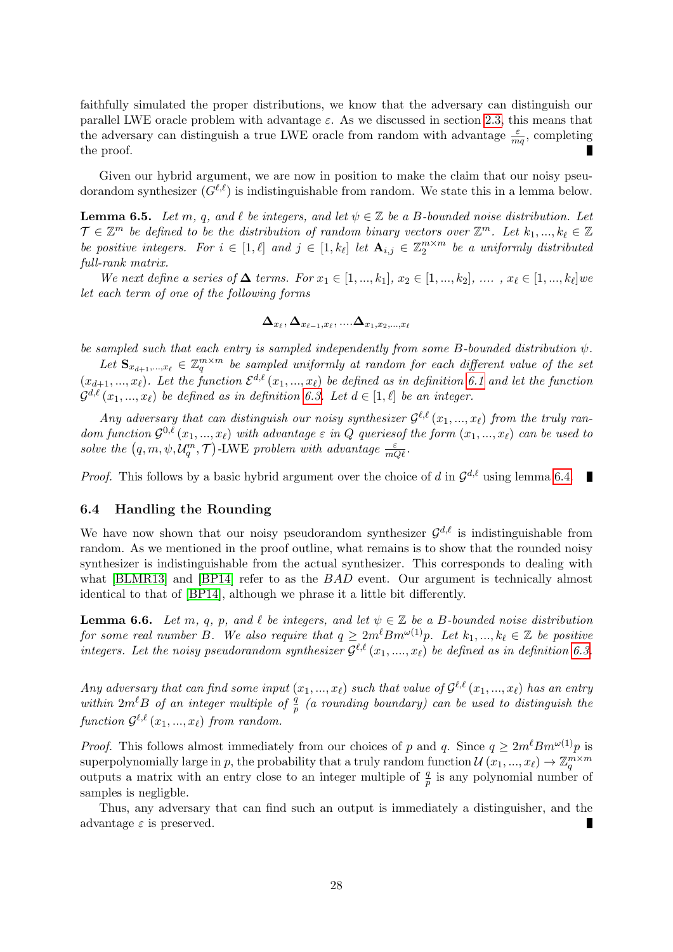faithfully simulated the proper distributions, we know that the adversary can distinguish our parallel LWE oracle problem with advantage  $\varepsilon$ . As we discussed in section [2.3,](#page-12-0) this means that the adversary can distinguish a true LWE oracle from random with advantage  $\frac{\varepsilon}{mq}$ , completing the proof. п

Given our hybrid argument, we are now in position to make the claim that our noisy pseudorandom synthesizer  $(G^{\ell,\ell})$  is indistinguishable from random. We state this in a lemma below.

<span id="page-27-1"></span>**Lemma 6.5.** Let m, q, and  $\ell$  be integers, and let  $\psi \in \mathbb{Z}$  be a B-bounded noise distribution. Let  $\mathcal{T} \in \mathbb{Z}^m$  be defined to be the distribution of random binary vectors over  $\mathbb{Z}^m$ . Let  $k_1, ..., k_\ell \in \mathbb{Z}$ be positive integers. For  $i \in [1, \ell]$  and  $j \in [1, k_{\ell}]$  let  $\mathbf{A}_{i,j} \in \mathbb{Z}_2^{m \times m}$  be a uniformly distributed full-rank matrix.

We next define a series of  $\Delta$  terms. For  $x_1 \in [1, ..., k_1], x_2 \in [1, ..., k_2], \ldots, x_\ell \in [1, ..., k_\ell]$  we let each term of one of the following forms

$$
\boldsymbol{\Delta}_{x_\ell}, \boldsymbol{\Delta}_{x_{\ell-1},x_\ell},....\boldsymbol{\Delta}_{x_1,x_2,...,x_\ell}
$$

be sampled such that each entry is sampled independently from some B-bounded distribution  $\psi$ .

Let  $\mathbf{S}_{x_{d+1},...,x_{\ell}} \in \mathbb{Z}_q^{m \times m}$  be sampled uniformly at random for each different value of the set  $(x_{d+1},...,x_\ell)$ . Let the function  $\mathcal{E}^{d,\ell}(x_1,...,x_\ell)$  be defined as in definition [6.1](#page-23-0) and let the function  $\mathcal{G}^{d,\ell} \left( x_1, ..., x_\ell \right)$  be defined as in definition [6.3.](#page-24-0) Let  $d \in [1, \ell]$  be an integer.

Any adversary that can distinguish our noisy synthesizer  $\mathcal{G}^{\ell,\ell}(x_1,...,x_\ell)$  from the truly random function  $\mathcal{G}^{0,\ell}(x_1,...,x_\ell)$  with advantage  $\varepsilon$  in Q queries of the form  $(x_1,...,x_\ell)$  can be used to solve the  $(q, m, \psi, \mathcal{U}_q^m, \mathcal{T})$ -LWE problem with advantage  $\frac{\varepsilon}{mQ\ell}$ .

*Proof.* This follows by a basic hybrid argument over the choice of d in  $\mathcal{G}^{d,\ell}$  using lemma [6.4.](#page-25-0)

### 6.4 Handling the Rounding

We have now shown that our noisy pseudorandom synthesizer  $\mathcal{G}^{d,\ell}$  is indistinguishable from random. As we mentioned in the proof outline, what remains is to show that the rounded noisy synthesizer is indistinguishable from the actual synthesizer. This corresponds to dealing with what [\[BLMR13\]](#page-44-0) and [\[BP14\]](#page-45-1) refer to as the *BAD* event. Our argument is technically almost identical to that of [\[BP14\]](#page-45-1), although we phrase it a little bit differently.

<span id="page-27-0"></span>**Lemma 6.6.** Let m, q, p, and  $\ell$  be integers, and let  $\psi \in \mathbb{Z}$  be a B-bounded noise distribution for some real number B. We also require that  $q \geq 2m^{\ell} B m^{\omega(1)} p$ . Let  $k_1, ..., k_{\ell} \in \mathbb{Z}$  be positive integers. Let the noisy pseudorandom synthesizer  $\mathcal{G}^{\ell,\ell}(x_1, ..., x_\ell)$  be defined as in definition [6.3.](#page-24-0)

Any adversary that can find some input  $(x_1, ..., x_\ell)$  such that value of  $\mathcal{G}^{\ell, \ell}(x_1, ..., x_\ell)$  has an entry within  $2m^{\ell}B$  of an integer multiple of  $\frac{q}{p}$  (a rounding boundary) can be used to distinguish the  $function \mathcal{G}^{\ell,\ell} (x_1,...,x_\ell)$  from random.

*Proof.* This follows almost immediately from our choices of p and q. Since  $q \geq 2m^{\ell}Bm^{\omega(1)}p$  is superpolynomially large in p, the probability that a truly random function  $\mathcal{U}(x_1, ..., x_\ell) \to \mathbb{Z}_q^{m \times m}$ outputs a matrix with an entry close to an integer multiple of  $\frac{q}{p}$  is any polynomial number of samples is negligble.

Thus, any adversary that can find such an output is immediately a distinguisher, and the advantage  $\varepsilon$  is preserved. П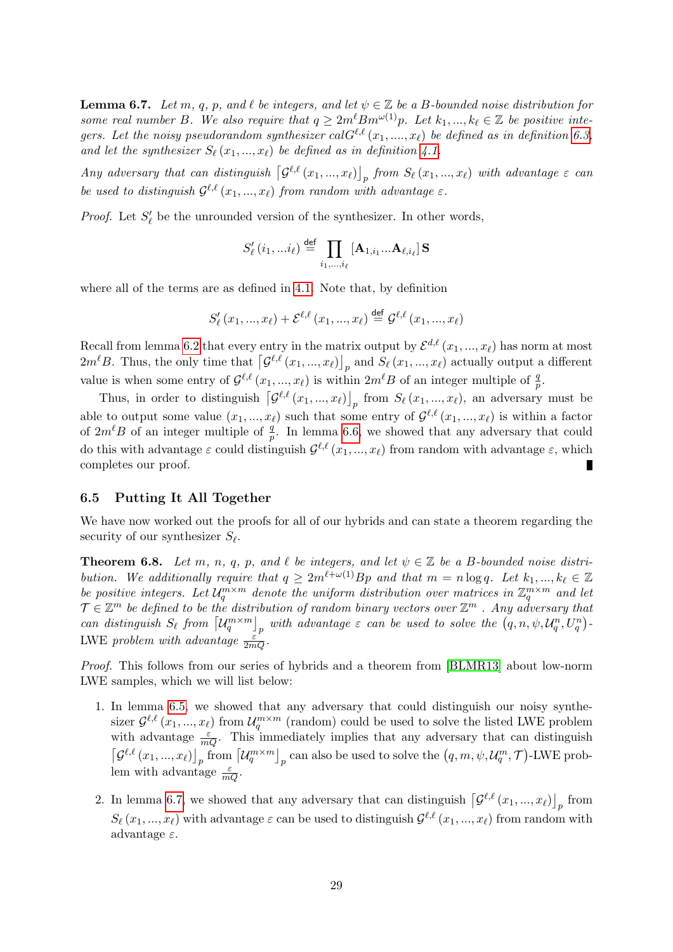<span id="page-28-1"></span>**Lemma 6.7.** Let m, q, p, and  $\ell$  be integers, and let  $\psi \in \mathbb{Z}$  be a B-bounded noise distribution for some real number B. We also require that  $q \geq 2m^{\ell}Bm^{\omega(1)}p$ . Let  $k_1, ..., k_{\ell} \in \mathbb{Z}$  be positive integers. Let the noisy pseudorandom synthesizer cal $G^{\ell,\ell}(x_1, ..., x_\ell)$  be defined as in definition [6.3,](#page-24-0) and let the synthesizer  $S_{\ell}(x_1, ..., x_{\ell})$  be defined as in definition [4.1.](#page-18-3)

Any adversary that can distinguish  $\left[\mathcal{G}^{\ell,\ell}(x_1,...,x_\ell)\right]_p$  from  $S_\ell(x_1,...,x_\ell)$  with advantage  $\varepsilon$  can be used to distinguish  $\mathcal{G}^{\ell,\ell}(x_1,...,x_\ell)$  from random with advantage  $\varepsilon$ .

*Proof.* Let  $S'_\ell$  be the unrounded version of the synthesizer. In other words,

$$
S'_{\ell}(i_1,...i_{\ell}) \stackrel{\text{def}}{=} \prod_{i_1,...,i_{\ell}} [\mathbf{A}_{1,i_1}... \mathbf{A}_{\ell,i_{\ell}}] \mathbf{S}
$$

where all of the terms are as defined in [4.1.](#page-18-3) Note that, by definition

$$
S'_{\ell}(x_1, ..., x_{\ell}) + \mathcal{E}^{\ell, \ell}(x_1, ..., x_{\ell}) \stackrel{\text{def}}{=} \mathcal{G}^{\ell, \ell}(x_1, ..., x_{\ell})
$$

Recall from lemma [6.2](#page-24-1) that every entry in the matrix output by  $\mathcal{E}^{d,\ell}(x_1, ..., x_\ell)$  has norm at most  $2m^{\ell}B$ . Thus, the only time that  $\left[\mathcal{G}^{\ell,\ell}(x_1,...,x_{\ell})\right]_p$  and  $S_{\ell}(x_1,...,x_{\ell})$  actually output a different value is when some entry of  $\mathcal{G}^{\ell,\ell}(x_1,...,x_\ell)$  is within  $2m^\ell B$  of an integer multiple of  $\frac{q}{p}$ .

Thus, in order to distinguish  $\left[\mathcal{G}^{\ell,\ell}(x_1,...,x_\ell)\right]_p$  from  $S_\ell(x_1,...,x_\ell)$ , an adversary must be able to output some value  $(x_1, ..., x_\ell)$  such that some entry of  $\mathcal{G}^{\ell,\ell}(x_1, ..., x_\ell)$  is within a factor of  $2m^{\ell}B$  of an integer multiple of  $\frac{q}{p}$ . In lemma [6.6,](#page-27-0) we showed that any adversary that could do this with advantage  $\varepsilon$  could distinguish  $\mathcal{G}^{\ell,\ell}(x_1, ..., x_\ell)$  from random with advantage  $\varepsilon$ , which completes our proof.

### 6.5 Putting It All Together

We have now worked out the proofs for all of our hybrids and can state a theorem regarding the security of our synthesizer  $S_{\ell}$ .

<span id="page-28-0"></span>**Theorem 6.8.** Let m, n, q, p, and  $\ell$  be integers, and let  $\psi \in \mathbb{Z}$  be a B-bounded noise distribution. We additionally require that  $q \geq 2m^{\ell+\omega(1)}Bp$  and that  $m = n \log q$ . Let  $k_1, ..., k_\ell \in \mathbb{Z}$ be positive integers. Let  $\mathcal{U}_q^{m \times m}$  denote the uniform distribution over matrices in  $\mathbb{Z}_q^{m \times m}$  and let  $\mathcal{T} \in \mathbb{Z}^m$  be defined to be the distribution of random binary vectors over  $\mathbb{Z}^m$  . Any adversary that can distinguish  $S_\ell$  from  $\left[\mathcal{U}_q^{m \times m}\right]_p$  with advantage  $\varepsilon$  can be used to solve the  $(q, n, \psi, \mathcal{U}_q^n, U_q^n)$ . LWE problem with advantage  $\frac{\varepsilon^r}{2mQ}$ .

Proof. This follows from our series of hybrids and a theorem from [\[BLMR13\]](#page-44-0) about low-norm LWE samples, which we will list below:

- 1. In lemma [6.5,](#page-27-1) we showed that any adversary that could distinguish our noisy synthesizer  $\mathcal{G}^{\ell,\ell}(x_1,...,x_\ell)$  from  $\mathcal{U}_q^{m \times m}$  (random) could be used to solve the listed LWE problem with advantage  $\frac{\varepsilon}{mQ}$ . This immediately implies that any adversary that can distinguish  $\left[\mathcal{G}^{\ell,\ell}(x_1,...,x_\ell)\right]_p$  from  $\left[\mathcal{U}_q^{m\times m}\right]_p$  can also be used to solve the  $(q,m,\psi,\mathcal{U}_q^m,\mathcal{T})$ -LWE problem with advantage  $\frac{\varepsilon}{mQ}$ .
- 2. In lemma [6.7,](#page-28-1) we showed that any adversary that can distinguish  $\left[\mathcal{G}^{\ell,\ell}(x_1,...,x_\ell)\right]_p$  from  $S_\ell(x_1, ..., x_\ell)$  with advantage  $\varepsilon$  can be used to distinguish  $\mathcal{G}^{\ell,\ell}(x_1, ..., x_\ell)$  from random with advantage  $\varepsilon$ .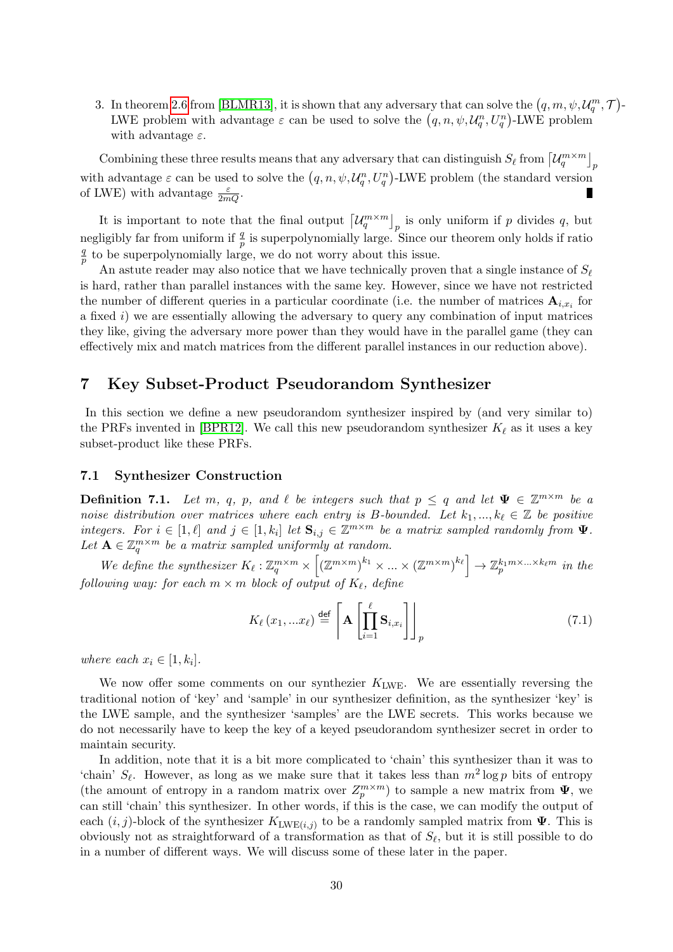3. In theorem [2.6](#page-14-0) from [\[BLMR13\]](#page-44-0), it is shown that any adversary that can solve the  $(q, m, \psi, \mathcal{U}_q^m, \mathcal{T})$ -LWE problem with advantage  $\varepsilon$  can be used to solve the  $(q, n, \psi, \mathcal{U}_q^n, U_q^n)$ -LWE problem with advantage  $\varepsilon$ .

Combining these three results means that any adversary that can distinguish  $S_{\ell}$  from  $\left[\mathcal{U}_q^{m \times m}\right]_p$ with advantage  $\varepsilon$  can be used to solve the  $(q, n, \psi, \mathcal{U}_q^n, U_q^n)$ -LWE problem (the standard version of LWE) with advantage  $\frac{\varepsilon}{2mQ}$ .

It is important to note that the final output  $\left[\mathcal{U}_q^{m \times m}\right]_p$  is only uniform if p divides q, but negligibly far from uniform if  $\frac{q}{p}$  is superpolynomially large. Since our theorem only holds if ratio q  $\frac{q}{p}$  to be superpolynomially large, we do not worry about this issue.

An astute reader may also notice that we have technically proven that a single instance of  $S_{\ell}$ is hard, rather than parallel instances with the same key. However, since we have not restricted the number of different queries in a particular coordinate (i.e. the number of matrices  $\mathbf{A}_{i,x_i}$  for a fixed  $i$ ) we are essentially allowing the adversary to query any combination of input matrices they like, giving the adversary more power than they would have in the parallel game (they can effectively mix and match matrices from the different parallel instances in our reduction above).

# <span id="page-29-0"></span>7 Key Subset-Product Pseudorandom Synthesizer

In this section we define a new pseudorandom synthesizer inspired by (and very similar to) the PRFs invented in [\[BPR12\]](#page-45-0). We call this new pseudorandom synthesizer  $K_{\ell}$  as it uses a key subset-product like these PRFs.

### 7.1 Synthesizer Construction

<span id="page-29-1"></span>**Definition 7.1.** Let m, q, p, and  $\ell$  be integers such that  $p \leq q$  and let  $\Psi \in \mathbb{Z}^{m \times m}$  be a noise distribution over matrices where each entry is B-bounded. Let  $k_1, ..., k_\ell \in \mathbb{Z}$  be positive integers. For  $i \in [1, \ell]$  and  $j \in [1, k_i]$  let  $\mathbf{S}_{i,j} \in \mathbb{Z}^{m \times m}$  be a matrix sampled randomly from  $\Psi$ . Let  $\mathbf{A} \in \mathbb{Z}_q^{m \times m}$  be a matrix sampled uniformly at random.

We define the synthesizer  $K_{\ell}: \mathbb{Z}_q^{m \times m} \times \left[ (\mathbb{Z}^{m \times m})^{k_1} \times ... \times (\mathbb{Z}^{m \times m})^{k_{\ell}} \right] \to \mathbb{Z}_p^{k_1 m \times ... \times k_{\ell} m}$  in the following way: for each  $m \times m$  block of output of  $K_{\ell}$ , define

$$
K_{\ell}(x_1,...x_{\ell}) \stackrel{\text{def}}{=} \left[ \mathbf{A} \left[ \prod_{i=1}^{\ell} \mathbf{S}_{i,x_i} \right] \right]_p \tag{7.1}
$$

where each  $x_i \in [1, k_i]$ .

We now offer some comments on our synthezier  $K_{\text{LWE}}$ . We are essentially reversing the traditional notion of 'key' and 'sample' in our synthesizer definition, as the synthesizer 'key' is the LWE sample, and the synthesizer 'samples' are the LWE secrets. This works because we do not necessarily have to keep the key of a keyed pseudorandom synthesizer secret in order to maintain security.

In addition, note that it is a bit more complicated to 'chain' this synthesizer than it was to 'chain'  $S_\ell$ . However, as long as we make sure that it takes less than  $m^2 \log p$  bits of entropy (the amount of entropy in a random matrix over  $Z_p^{m \times m}$ ) to sample a new matrix from  $\Psi$ , we can still 'chain' this synthesizer. In other words, if this is the case, we can modify the output of each  $(i, j)$ -block of the synthesizer  $K_{\text{LWE}(i,j)}$  to be a randomly sampled matrix from  $\Psi$ . This is obviously not as straightforward of a transformation as that of  $S_\ell$ , but it is still possible to do in a number of different ways. We will discuss some of these later in the paper.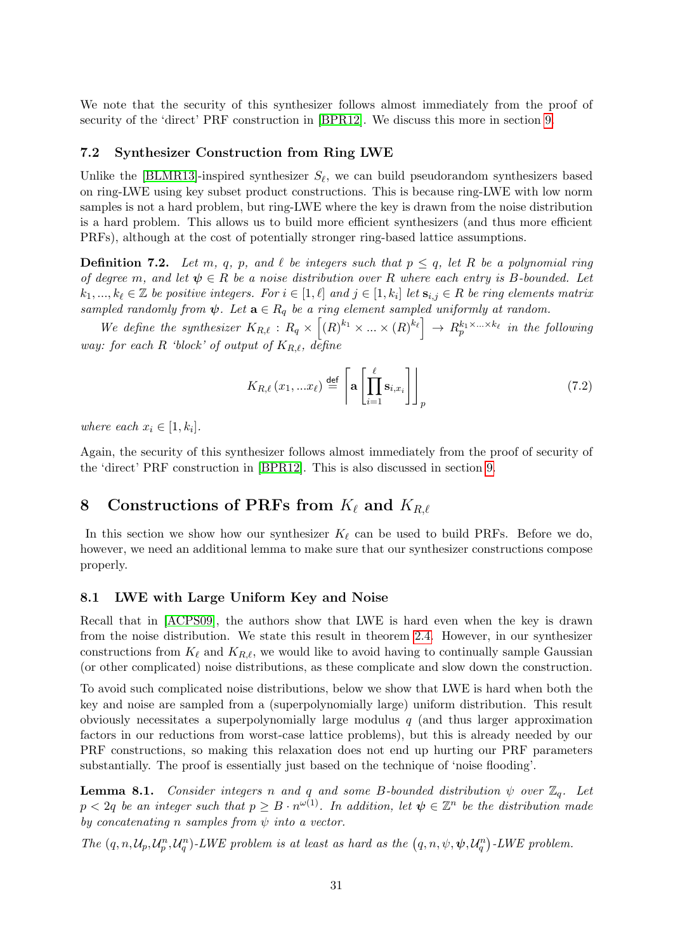We note that the security of this synthesizer follows almost immediately from the proof of security of the 'direct' PRF construction in [\[BPR12\]](#page-45-0). We discuss this more in section [9.](#page-33-0)

### 7.2 Synthesizer Construction from Ring LWE

Unlike the [\[BLMR13\]](#page-44-0)-inspired synthesizer  $S_{\ell}$ , we can build pseudorandom synthesizers based on ring-LWE using key subset product constructions. This is because ring-LWE with low norm samples is not a hard problem, but ring-LWE where the key is drawn from the noise distribution is a hard problem. This allows us to build more efficient synthesizers (and thus more efficient PRFs), although at the cost of potentially stronger ring-based lattice assumptions.

<span id="page-30-2"></span>**Definition 7.2.** Let m, q, p, and  $\ell$  be integers such that  $p \leq q$ , let R be a polynomial ring of degree m, and let  $\psi \in R$  be a noise distribution over R where each entry is B-bounded. Let  $k_1, ..., k_\ell \in \mathbb{Z}$  be positive integers. For  $i \in [1, \ell]$  and  $j \in [1, k_i]$  let  $\mathbf{s}_{i,j} \in R$  be ring elements matrix sampled randomly from  $\psi$ . Let  $\mathbf{a} \in R_q$  be a ring element sampled uniformly at random.

We define the synthesizer  $K_{R,\ell} : R_q \times [(R)^{k_1} \times ... \times (R)^{k_\ell}] \rightarrow R_p^{k_1 \times ... \times k_\ell}$  in the following way: for each R 'block' of output of  $K_{R,\ell}$ , define

$$
K_{R,\ell}(x_1,...x_\ell) \stackrel{\text{def}}{=} \left[ \mathbf{a} \left[ \prod_{i=1}^{\ell} \mathbf{s}_{i,x_i} \right] \right]_p \tag{7.2}
$$

where each  $x_i \in [1, k_i]$ .

Again, the security of this synthesizer follows almost immediately from the proof of security of the 'direct' PRF construction in [\[BPR12\]](#page-45-0). This is also discussed in section [9.](#page-33-0)

# <span id="page-30-0"></span>8 Constructions of PRFs from  $K_{\ell}$  and  $K_{R,\ell}$

In this section we show how our synthesizer  $K_{\ell}$  can be used to build PRFs. Before we do, however, we need an additional lemma to make sure that our synthesizer constructions compose properly.

### 8.1 LWE with Large Uniform Key and Noise

Recall that in [\[ACPS09\]](#page-43-0), the authors show that LWE is hard even when the key is drawn from the noise distribution. We state this result in theorem [2.4.](#page-14-1) However, in our synthesizer constructions from  $K_\ell$  and  $K_{R,\ell}$ , we would like to avoid having to continually sample Gaussian (or other complicated) noise distributions, as these complicate and slow down the construction.

To avoid such complicated noise distributions, below we show that LWE is hard when both the key and noise are sampled from a (superpolynomially large) uniform distribution. This result obviously necessitates a superpolynomially large modulus  $q$  (and thus larger approximation factors in our reductions from worst-case lattice problems), but this is already needed by our PRF constructions, so making this relaxation does not end up hurting our PRF parameters substantially. The proof is essentially just based on the technique of 'noise flooding'.

<span id="page-30-1"></span>**Lemma 8.1.** Consider integers n and q and some B-bounded distribution  $\psi$  over  $\mathbb{Z}_q$ . Let  $p < 2q$  be an integer such that  $p \geq B \cdot n^{\omega(1)}$ . In addition, let  $\psi \in \mathbb{Z}^n$  be the distribution made by concatenating n samples from  $\psi$  into a vector.

The  $(q, n, \mathcal{U}_p, \mathcal{U}_q^n, \mathcal{U}_q^n)$ -LWE problem is at least as hard as the  $(q, n, \psi, \psi, \mathcal{U}_q^n)$ -LWE problem.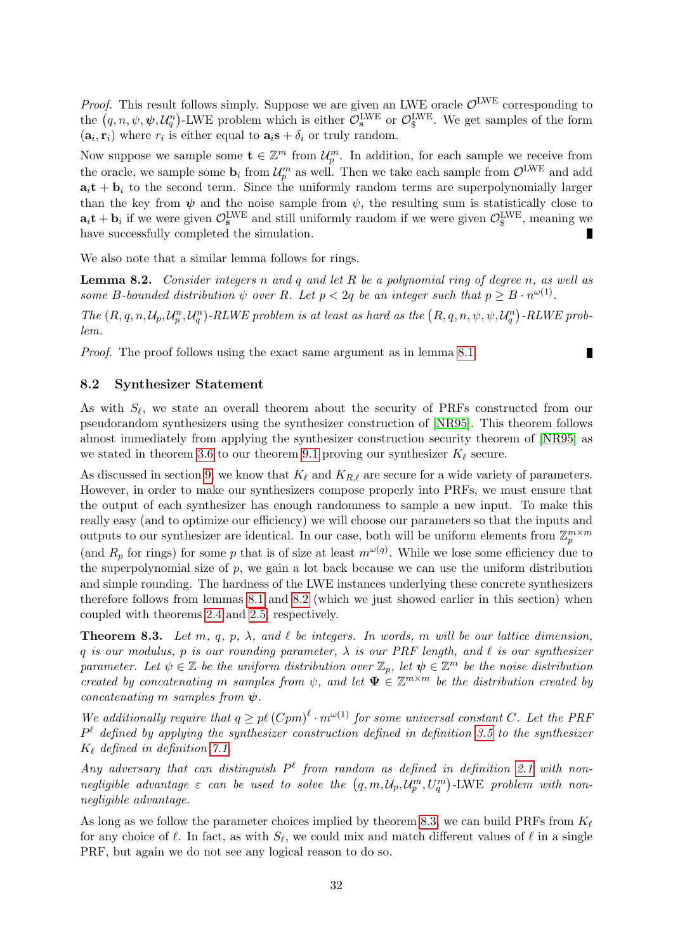*Proof.* This result follows simply. Suppose we are given an LWE oracle  $\mathcal{O}^{\text{LWE}}$  corresponding to the  $(q, n, \psi, \psi, \mathcal{U}_q^n)$ -LWE problem which is either  $\mathcal{O}_s^{\text{LWE}}$  or  $\mathcal{O}_s^{\text{LWE}}$ . We get samples of the form  $(a_i, r_i)$  where  $r_i$  is either equal to  $a_i s + \delta_i$  or truly random.

Now suppose we sample some  $\mathbf{t} \in \mathbb{Z}^m$  from  $\mathcal{U}_p^m$ . In addition, for each sample we receive from the oracle, we sample some  $\mathbf{b}_i$  from  $\mathcal{U}_p^m$  as well. Then we take each sample from  $\mathcal{O}^{\text{LWE}}$  and add  $a_i t + b_i$  to the second term. Since the uniformly random terms are superpolynomially larger than the key from  $\psi$  and the noise sample from  $\psi$ , the resulting sum is statistically close to  $a_i t + b_i$  if we were given  $\mathcal{O}_s^{\text{LWE}}$  and still uniformly random if we were given  $\mathcal{O}_s^{\text{LWE}}$ , meaning we have successfully completed the simulation.

We also note that a similar lemma follows for rings.

<span id="page-31-0"></span>**Lemma 8.2.** Consider integers n and q and let R be a polynomial ring of degree n, as well as some B-bounded distribution  $\psi$  over R. Let  $p < 2q$  be an integer such that  $p \geq B \cdot n^{\omega(1)}$ .

The  $(R, q, n, \mathcal{U}_p, \mathcal{U}_p^n, \mathcal{U}_q^n)$ -RLWE problem is at least as hard as the  $(R, q, n, \psi, \psi, \mathcal{U}_q^n)$ -RLWE problem.

П

Proof. The proof follows using the exact same argument as in lemma [8.1.](#page-30-1)

### 8.2 Synthesizer Statement

As with  $S_{\ell}$ , we state an overall theorem about the security of PRFs constructed from our pseudorandom synthesizers using the synthesizer construction of [\[NR95\]](#page-47-3). This theorem follows almost immediately from applying the synthesizer construction security theorem of [\[NR95\]](#page-47-3) as we stated in theorem [3.6](#page-18-2) to our theorem [9.1](#page-34-1) proving our synthesizer  $K_\ell$  secure.

As discussed in section [9,](#page-33-0) we know that  $K_\ell$  and  $K_{R,\ell}$  are secure for a wide variety of parameters. However, in order to make our synthesizers compose properly into PRFs, we must ensure that the output of each synthesizer has enough randomness to sample a new input. To make this really easy (and to optimize our efficiency) we will choose our parameters so that the inputs and outputs to our synthesizer are identical. In our case, both will be uniform elements from  $\mathbb{Z}_p^{m \times m}$ (and  $R_p$  for rings) for some p that is of size at least  $m^{\omega(q)}$ . While we lose some efficiency due to the superpolynomial size of  $p$ , we gain a lot back because we can use the uniform distribution and simple rounding. The hardness of the LWE instances underlying these concrete synthesizers therefore follows from lemmas [8.1](#page-30-1) and [8.2](#page-31-0) (which we just showed earlier in this section) when coupled with theorems [2.4](#page-14-1) and [2.5,](#page-14-2) respectively.

<span id="page-31-1"></span>**Theorem 8.3.** Let m, q, p,  $\lambda$ , and  $\ell$  be integers. In words, m will be our lattice dimension, q is our modulus, p is our rounding parameter,  $\lambda$  is our PRF length, and  $\ell$  is our synthesizer parameter. Let  $\psi \in \mathbb{Z}$  be the uniform distribution over  $\mathbb{Z}_p$ , let  $\psi \in \mathbb{Z}^m$  be the noise distribution created by concatenating m samples from  $\psi$ , and let  $\Psi \in \mathbb{Z}^{m \times m}$  be the distribution created by concatenating m samples from  $\psi$ .

We additionally require that  $q \geq p\ell(Cpm)^{\ell} \cdot m^{\omega(1)}$  for some universal constant C. Let the PRF  $P^{\ell}$  defined by applying the synthesizer construction defined in definition [3.5](#page-18-1) to the synthesizer  $K_{\ell}$  defined in definition [7.1.](#page-29-1)

Any adversary that can distinguish  $P^{\ell}$  from random as defined in definition [2.1](#page-11-0) with nonnegligible advantage  $\varepsilon$  can be used to solve the  $(q, m, \mathcal{U}_p, \mathcal{U}_p^m, U_q^m)$ -LWE problem with nonnegligible advantage.

As long as we follow the parameter choices implied by theorem [8.3,](#page-31-1) we can build PRFs from  $K_{\ell}$ for any choice of  $\ell$ . In fact, as with  $S_{\ell}$ , we could mix and match different values of  $\ell$  in a single PRF, but again we do not see any logical reason to do so.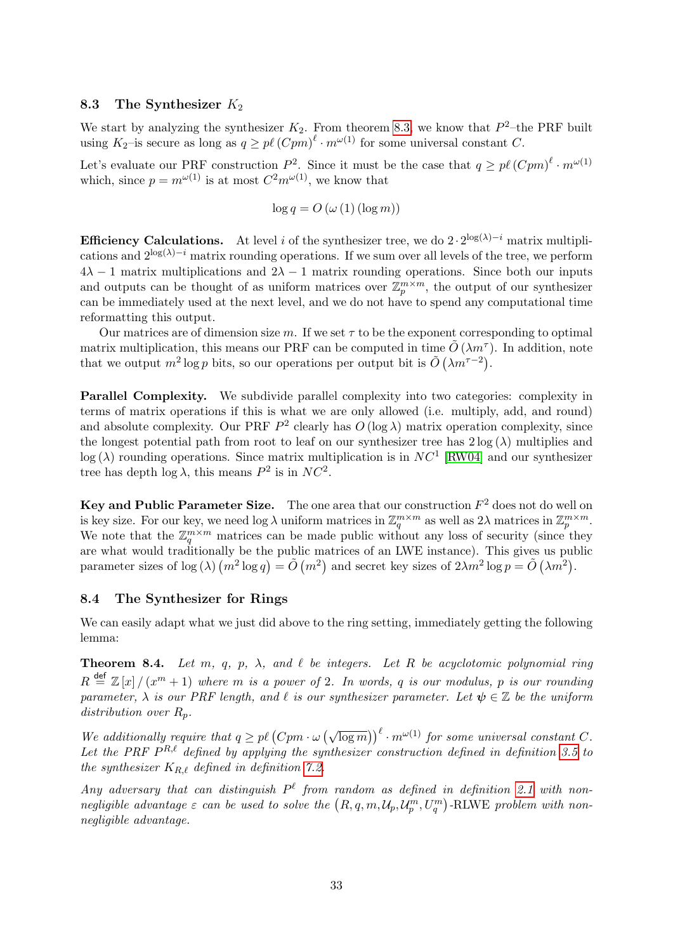### 8.3 The Synthesizer  $K_2$

We start by analyzing the synthesizer  $K_2$ . From theorem [8.3,](#page-31-1) we know that  $P^2$ -the PRF built using  $K_2$ -is secure as long as  $q \geq p\ell \left(Cpm\right)^{\ell} \cdot m^{\omega(1)}$  for some universal constant C.

Let's evaluate our PRF construction  $P^2$ . Since it must be the case that  $q \geq p\ell \left(\overline{C}p m\right)^{\ell} \cdot m^{\omega(1)}$ which, since  $p = m^{\omega(1)}$  is at most  $C^2 m^{\omega(1)}$ , we know that

$$
\log q = O\left(\omega\left(1\right)\left(\log m\right)\right)
$$

**Efficiency Calculations.** At level i of the synthesizer tree, we do  $2 \cdot 2^{\log(\lambda)-i}$  matrix multiplications and  $2^{\log(\lambda)-i}$  matrix rounding operations. If we sum over all levels of the tree, we perform  $4\lambda - 1$  matrix multiplications and  $2\lambda - 1$  matrix rounding operations. Since both our inputs and outputs can be thought of as uniform matrices over  $\mathbb{Z}_p^{m \times m}$ , the output of our synthesizer can be immediately used at the next level, and we do not have to spend any computational time reformatting this output.

Our matrices are of dimension size m. If we set  $\tau$  to be the exponent corresponding to optimal matrix multiplication, this means our PRF can be computed in time  $\tilde{O}(\lambda m^{\tau})$ . In addition, note that we output  $m^2 \log p$  bits, so our operations per output bit is  $\tilde{O}(\lambda m^{\tau-2})$ .

Parallel Complexity. We subdivide parallel complexity into two categories: complexity in terms of matrix operations if this is what we are only allowed (i.e. multiply, add, and round) and absolute complexity. Our PRF  $P^2$  clearly has  $O(\log \lambda)$  matrix operation complexity, since the longest potential path from root to leaf on our synthesizer tree has  $2 \log(\lambda)$  multiplies and  $log(\lambda)$  rounding operations. Since matrix multiplication is in  $NC<sup>1</sup>$  [\[RW04\]](#page-47-8) and our synthesizer tree has depth  $\log \lambda$ , this means  $P^2$  is in  $NC^2$ .

Key and Public Parameter Size. The one area that our construction  $F^2$  does not do well on is key size. For our key, we need  $\log \lambda$  uniform matrices in  $\mathbb{Z}_q^{m \times m}$  as well as  $2\lambda$  matrices in  $\mathbb{Z}_p^{m \times m}$ . We note that the  $\mathbb{Z}_q^{m \times m}$  matrices can be made public without any loss of security (since they are what would traditionally be the public matrices of an LWE instance). This gives us public parameter sizes of  $\log(\lambda)(m^2 \log q) = \tilde{O}(m^2)$  and secret key sizes of  $2\lambda m^2 \log p = \tilde{O}(\lambda m^2)$ .

### 8.4 The Synthesizer for Rings

We can easily adapt what we just did above to the ring setting, immediately getting the following lemma:

<span id="page-32-0"></span>**Theorem 8.4.** Let m, q, p,  $\lambda$ , and  $\ell$  be integers. Let R be acyclotomic polynomial ring  $R \stackrel{\text{def}}{=} \mathbb{Z}[x]/(x^m+1)$  where m is a power of 2. In words, q is our modulus, p is our rounding parameter,  $\lambda$  is our PRF length, and  $\ell$  is our synthesizer parameter. Let  $\psi \in \mathbb{Z}$  be the uniform distribution over  $R_p$ .

We additionally require that  $q \geq p\ell \left( Cpm \cdot \omega \left( \sqrt{\log m} \right) \right)^{\ell} \cdot m^{\omega(1)}$  for some universal constant C. Let the PRF  $P^{R,\ell}$  defined by applying the synthesizer construction defined in definition [3.5](#page-18-1) to the synthesizer  $K_{R,\ell}$  defined in definition [7.2.](#page-30-2)

Any adversary that can distinguish  $P^{\ell}$  from random as defined in definition [2.1](#page-11-0) with nonnegligible advantage  $\varepsilon$  can be used to solve the  $(R, q, m, \mathcal{U}_p, \mathcal{U}_p^m, U_q^m)$ -RLWE problem with nonnegligible advantage.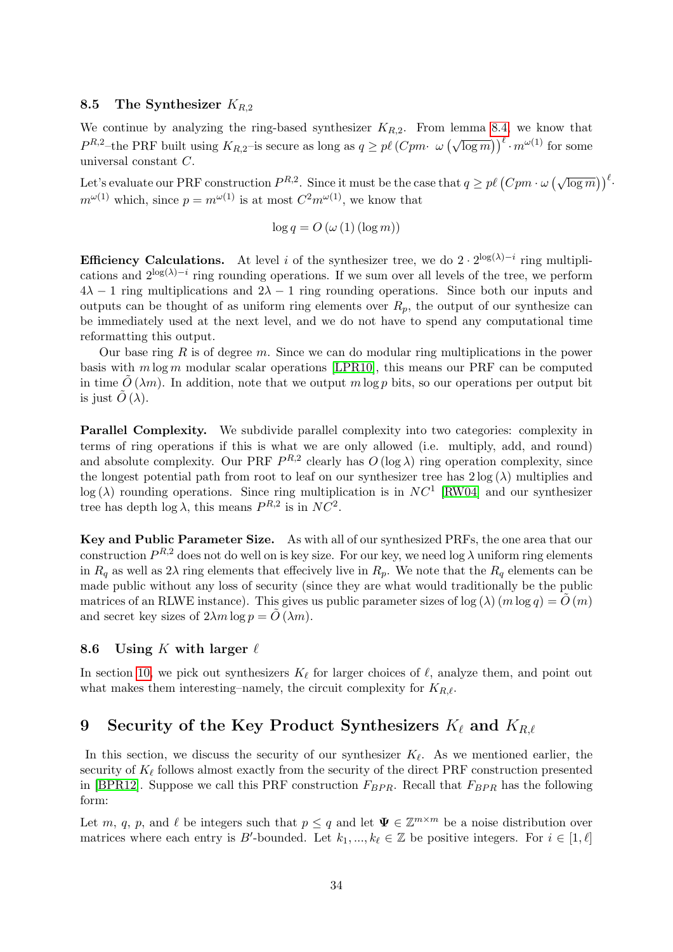### 8.5 The Synthesizer  $K_{R,2}$

We continue by analyzing the ring-based synthesizer  $K_{R,2}$ . From lemma [8.4,](#page-32-0) we know that  $P^{R,2}$ -the PRF built using  $K_{R,2}$ -is secure as long as  $q \geq p\ell \left(Cpm \cdot \omega \left(\sqrt{\log m}\right)\right)^{\ell} \cdot m^{\omega(1)}$  for some universal constant C.

Let's evaluate our PRF construction  $P^{R,2}$ . Since it must be the case that  $q \geq p\ell \left(Cpm \cdot \omega\left(\sqrt{\log m}\right)\right)^{\ell}$ .  $m^{\omega(1)}$  which, since  $p = m^{\omega(1)}$  is at most  $C^2 m^{\omega(1)}$ , we know that

$$
\log q = O\left(\omega\left(1\right)\left(\log m\right)\right)
$$

**Efficiency Calculations.** At level i of the synthesizer tree, we do  $2 \cdot 2^{\log(\lambda)-i}$  ring multiplications and  $2^{\log(\lambda)-i}$  ring rounding operations. If we sum over all levels of the tree, we perform  $4\lambda - 1$  ring multiplications and  $2\lambda - 1$  ring rounding operations. Since both our inputs and outputs can be thought of as uniform ring elements over  $R_p$ , the output of our synthesize can be immediately used at the next level, and we do not have to spend any computational time reformatting this output.

Our base ring  $R$  is of degree  $m$ . Since we can do modular ring multiplications in the power basis with  $m \log m$  modular scalar operations [\[LPR10\]](#page-46-9), this means our PRF can be computed in time  $O(\lambda m)$ . In addition, note that we output m log p bits, so our operations per output bit is just  $\tilde{O}(\lambda)$ .

Parallel Complexity. We subdivide parallel complexity into two categories: complexity in terms of ring operations if this is what we are only allowed (i.e. multiply, add, and round) and absolute complexity. Our PRF  $P^{R,2}$  clearly has  $O(\log \lambda)$  ring operation complexity, since the longest potential path from root to leaf on our synthesizer tree has  $2 \log(\lambda)$  multiplies and  $log(\lambda)$  rounding operations. Since ring multiplication is in  $NC<sup>1</sup>$  [\[RW04\]](#page-47-8) and our synthesizer tree has depth  $\log \lambda$ , this means  $P^{R,2}$  is in  $NC^2$ .

Key and Public Parameter Size. As with all of our synthesized PRFs, the one area that our construction  $P^{R,2}$  does not do well on is key size. For our key, we need log  $\lambda$  uniform ring elements in  $R_q$  as well as  $2\lambda$  ring elements that effecively live in  $R_p$ . We note that the  $R_q$  elements can be made public without any loss of security (since they are what would traditionally be the public matrices of an RLWE instance). This gives us public parameter sizes of  $log(\lambda)(m log q) = O(m)$ and secret key sizes of  $2\lambda m \log p = \tilde{O}(\lambda m)$ .

### 8.6 Using K with larger  $\ell$

In section [10,](#page-34-0) we pick out synthesizers  $K_{\ell}$  for larger choices of  $\ell$ , analyze them, and point out what makes them interesting–namely, the circuit complexity for  $K_{R,\ell}$ .

# <span id="page-33-0"></span>9 Security of the Key Product Synthesizers  $K_{\ell}$  and  $K_{R,\ell}$

In this section, we discuss the security of our synthesizer  $K_{\ell}$ . As we mentioned earlier, the security of  $K_{\ell}$  follows almost exactly from the security of the direct PRF construction presented in [\[BPR12\]](#page-45-0). Suppose we call this PRF construction  $F_{BPR}$ . Recall that  $F_{BPR}$  has the following form:

Let m, q, p, and  $\ell$  be integers such that  $p \leq q$  and let  $\Psi \in \mathbb{Z}^{m \times m}$  be a noise distribution over matrices where each entry is B'-bounded. Let  $k_1, ..., k_\ell \in \mathbb{Z}$  be positive integers. For  $i \in [1, \ell]$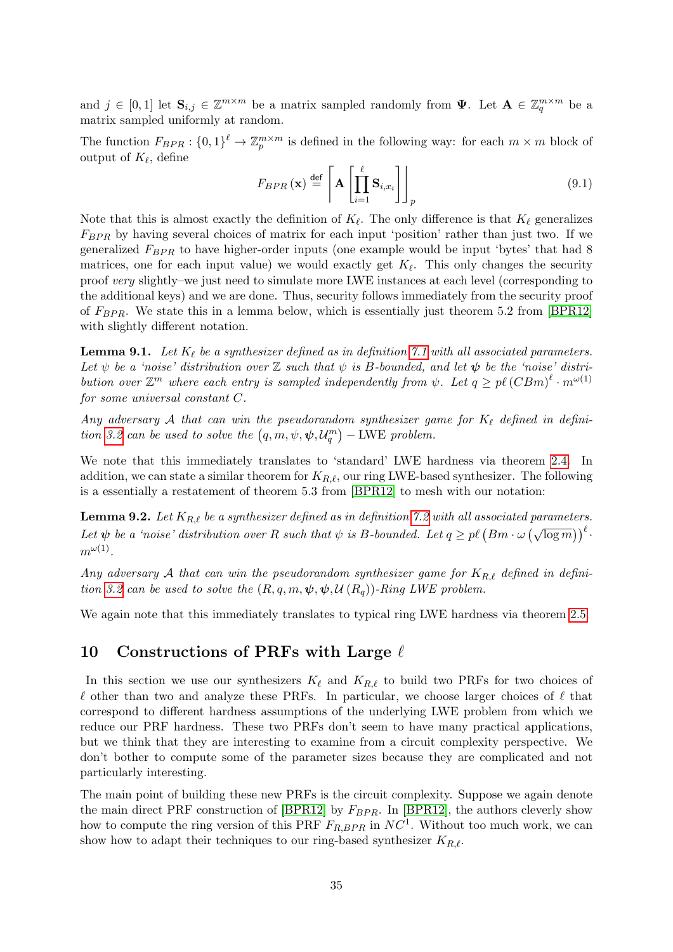and  $j \in [0,1]$  let  $\mathbf{S}_{i,j} \in \mathbb{Z}^{m \times m}$  be a matrix sampled randomly from  $\Psi$ . Let  $\mathbf{A} \in \mathbb{Z}_q^{m \times m}$  be a matrix sampled uniformly at random.

The function  $F_{BPR}$ :  $\{0,1\}^{\ell} \to \mathbb{Z}_p^{m \times m}$  is defined in the following way: for each  $m \times m$  block of output of  $K_{\ell}$ , define

$$
F_{BPR}\left(\mathbf{x}\right) \stackrel{\text{def}}{=} \left[ \mathbf{A} \left[ \prod_{i=1}^{\ell} \mathbf{S}_{i, x_i} \right] \right]_p \tag{9.1}
$$

Note that this is almost exactly the definition of  $K_{\ell}$ . The only difference is that  $K_{\ell}$  generalizes  $F_{BPR}$  by having several choices of matrix for each input 'position' rather than just two. If we generalized  $F_{BPR}$  to have higher-order inputs (one example would be input 'bytes' that had 8 matrices, one for each input value) we would exactly get  $K_{\ell}$ . This only changes the security proof very slightly–we just need to simulate more LWE instances at each level (corresponding to the additional keys) and we are done. Thus, security follows immediately from the security proof of  $F_{BPR}$ . We state this in a lemma below, which is essentially just theorem 5.2 from [\[BPR12\]](#page-45-0) with slightly different notation.

<span id="page-34-1"></span>**Lemma 9.1.** Let  $K_{\ell}$  be a synthesizer defined as in definition [7.1](#page-29-1) with all associated parameters. Let  $\psi$  be a 'noise' distribution over  $\mathbb Z$  such that  $\psi$  is B-bounded, and let  $\psi$  be the 'noise' distribution over  $\mathbb{Z}^m$  where each entry is sampled independently from  $\psi$ . Let  $q \geq p\ell (CBm)^{\ell} \cdot m^{\omega(1)}$ for some universal constant C.

Any adversary A that can win the pseudorandom synthesizer game for  $K_\ell$  defined in defini-tion [3.2](#page-17-0) can be used to solve the  $(q, m, \psi, \psi, \mathcal{U}_q^m)$  – LWE problem.

We note that this immediately translates to 'standard' LWE hardness via theorem [2.4.](#page-14-1) In addition, we can state a similar theorem for  $K_{R,\ell}$ , our ring LWE-based synthesizer. The following is a essentially a restatement of theorem 5.3 from [\[BPR12\]](#page-45-0) to mesh with our notation:

**Lemma 9.2.** Let  $K_{R,\ell}$  be a synthesizer defined as in definition [7.2](#page-30-2) with all associated parameters. Let  $\psi$  be a 'noise' distribution over R such that  $\psi$  is B-bounded. Let  $q \geq p\ell \left( Bm \cdot \omega \left( \sqrt{\log m} \right) \right)^{\ell}$ .  $m^{\omega(1)}$ .

Any adversary A that can win the pseudorandom synthesizer game for  $K_{R,\ell}$  defined in defini-tion [3.2](#page-17-0) can be used to solve the  $(R, q, m, \psi, \psi, \mathcal{U}(R_q))$ -Ring LWE problem.

We again note that this immediately translates to typical ring LWE hardness via theorem [2.5.](#page-14-2)

# <span id="page-34-0"></span>10 Constructions of PRFs with Large  $\ell$

In this section we use our synthesizers  $K_{\ell}$  and  $K_{R,\ell}$  to build two PRFs for two choices of  $\ell$  other than two and analyze these PRFs. In particular, we choose larger choices of  $\ell$  that correspond to different hardness assumptions of the underlying LWE problem from which we reduce our PRF hardness. These two PRFs don't seem to have many practical applications, but we think that they are interesting to examine from a circuit complexity perspective. We don't bother to compute some of the parameter sizes because they are complicated and not particularly interesting.

The main point of building these new PRFs is the circuit complexity. Suppose we again denote the main direct PRF construction of [\[BPR12\]](#page-45-0) by  $F_{BPR}$ . In [BPR12], the authors cleverly show how to compute the ring version of this PRF  $F_{R,BPR}$  in  $NC<sup>1</sup>$ . Without too much work, we can show how to adapt their techniques to our ring-based synthesizer  $K_{R,\ell}$ .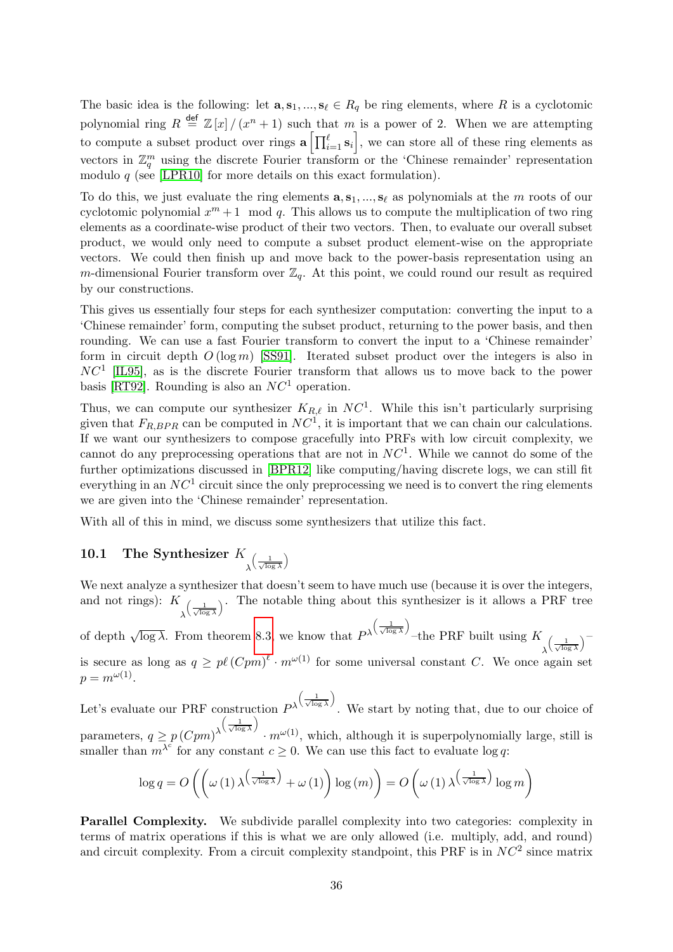The basic idea is the following: let  $\mathbf{a}, \mathbf{s}_1, ..., \mathbf{s}_\ell \in R_q$  be ring elements, where R is a cyclotomic polynomial ring  $R \stackrel{\text{def}}{=} \mathbb{Z}[x]/(x^n + 1)$  such that m is a power of 2. When we are attempting to compute a subset product over rings  $\mathbf{a} \left[ \prod_{i=1}^{\ell} \mathbf{s}_i \right]$ , we can store all of these ring elements as vectors in  $\mathbb{Z}_q^m$  using the discrete Fourier transform or the 'Chinese remainder' representation modulo  $q$  (see [\[LPR10\]](#page-46-9) for more details on this exact formulation).

To do this, we just evaluate the ring elements  $\mathbf{a}, \mathbf{s}_1, ..., \mathbf{s}_\ell$  as polynomials at the m roots of our cyclotomic polynomial  $x^m + 1 \mod q$ . This allows us to compute the multiplication of two ring elements as a coordinate-wise product of their two vectors. Then, to evaluate our overall subset product, we would only need to compute a subset product element-wise on the appropriate vectors. We could then finish up and move back to the power-basis representation using an m-dimensional Fourier transform over  $\mathbb{Z}_q$ . At this point, we could round our result as required by our constructions.

This gives us essentially four steps for each synthesizer computation: converting the input to a 'Chinese remainder' form, computing the subset product, returning to the power basis, and then rounding. We can use a fast Fourier transform to convert the input to a 'Chinese remainder' form in circuit depth  $O(\log m)$  [\[SS91\]](#page-47-9). Iterated subset product over the integers is also in  $NC<sup>1</sup>$  [\[IL95\]](#page-46-10), as is the discrete Fourier transform that allows us to move back to the power basis [\[RT92\]](#page-47-10). Rounding is also an  $NC<sup>1</sup>$  operation.

Thus, we can compute our synthesizer  $K_{R,\ell}$  in  $NC<sup>1</sup>$ . While this isn't particularly surprising given that  $F_{R,BPR}$  can be computed in  $NC<sup>1</sup>$ , it is important that we can chain our calculations. If we want our synthesizers to compose gracefully into PRFs with low circuit complexity, we cannot do any preprocessing operations that are not in  $NC<sup>1</sup>$ . While we cannot do some of the further optimizations discussed in [\[BPR12\]](#page-45-0) like computing/having discrete logs, we can still fit everything in an  $NC<sup>1</sup>$  circuit since the only preprocessing we need is to convert the ring elements we are given into the 'Chinese remainder' representation.

With all of this in mind, we discuss some synthesizers that utilize this fact.

#### 10.1 The Synthesizer K λ  $\left(\frac{1}{\sqrt{\log \lambda}}\right)$ λ

We next analyze a synthesizer that doesn't seem to have much use (because it is over the integers, and not rings):  $K_{\left(\frac{1}{\sqrt{2}}\right)}$ . The notable thing about this synthesizer is it allows a PRF tree  $\lambda^{\setminus \sqrt{\log \lambda}}$ 

of depth  $\sqrt{\log \lambda}$ . From theorem [8.3,](#page-31-1) we know that  $P^{\lambda}$  $\left(\frac{1}{\sqrt{\log \lambda}}\right)$  $\lambda$ –the PRF built using  $K$ λ  $\left(\frac{1}{\sqrt{\log \lambda}}\right)$  $\sqrt{-}$ is secure as long as  $q \geq p\ell(Cpm)^{\ell} \cdot m^{\omega(1)}$  for some universal constant C. We once again set  $p = m^{\omega(1)}$ .

Let's evaluate our PRF construction  $P^{\lambda}$  $\left(\frac{1}{\sqrt{\log \lambda}}\right)$ λ . We start by noting that, due to our choice of parameters,  $q \geq p \left( Cpm \right)^{\lambda}$  $\left(\frac{1}{\sqrt{\log \lambda}}\right)$ λ  $\cdot m^{\omega(1)}$ , which, although it is superpolynomially large, still is smaller than  $m^{\lambda^c}$  for any constant  $c \geq 0$ . We can use this fact to evaluate log q:

$$
\log q = O\left(\left(\omega\left(1\right)\lambda^{\left(\frac{1}{\sqrt{\log\lambda}}\right)} + \omega\left(1\right)\right) \log\left(m\right)\right) = O\left(\omega\left(1\right)\lambda^{\left(\frac{1}{\sqrt{\log\lambda}}\right)} \log m\right)
$$

Parallel Complexity. We subdivide parallel complexity into two categories: complexity in terms of matrix operations if this is what we are only allowed (i.e. multiply, add, and round) and circuit complexity. From a circuit complexity standpoint, this PRF is in  $NC<sup>2</sup>$  since matrix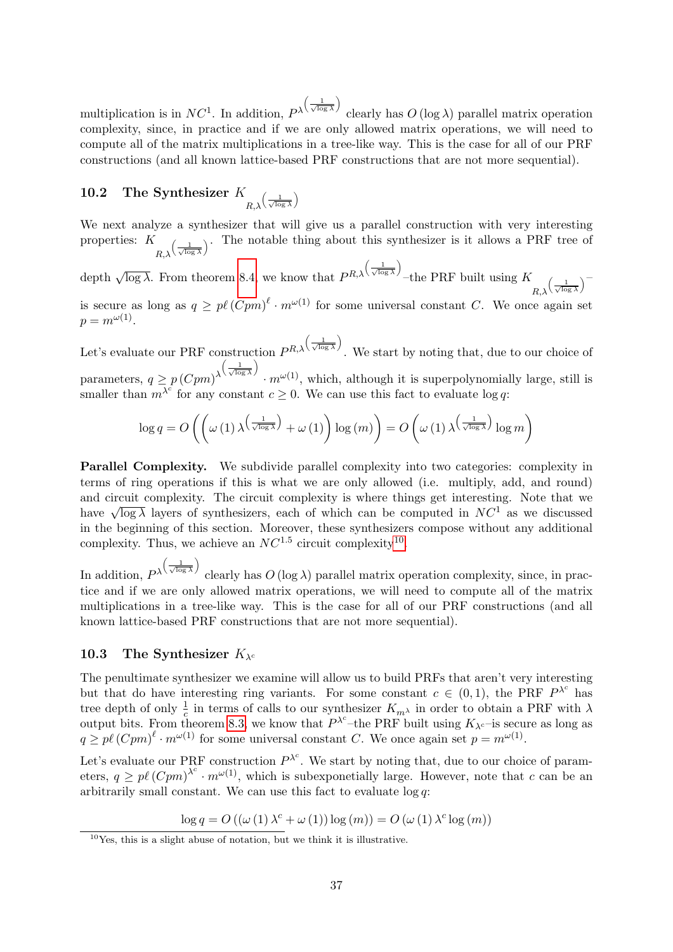multiplication is in  $NC<sup>1</sup>$ . In addition,  $P<sup>\lambda</sup>$  $\left(\frac{1}{\sqrt{\log \lambda}}\right)$  $\lambda$ clearly has  $O(\log \lambda)$  parallel matrix operation complexity, since, in practice and if we are only allowed matrix operations, we will need to compute all of the matrix multiplications in a tree-like way. This is the case for all of our PRF constructions (and all known lattice-based PRF constructions that are not more sequential).

#### 10.2 The Synthesizer K  $R, \lambda$  $\left(\frac{1}{\sqrt{\log \lambda}}\right)$ λ

We next analyze a synthesizer that will give us a parallel construction with very interesting properties: K  $_{R,\lambda}$  $\left(\frac{1}{\sqrt{\log x}}\right)$ . The notable thing about this synthesizer is it allows a PRF tree of

depth  $\sqrt{\log \lambda}$ . From theorem [8.4,](#page-32-0) we know that  $P^{R,\lambda}$  $\left(\frac{1}{\sqrt{\log \lambda}}\right)$ λ –the PRF built using  $K$  $R, \lambda$  $\left(\frac{1}{\sqrt{\log \lambda}}\right)^{-1}$ is secure as long as  $q \geq p\ell(Cpm)^{\ell} \cdot m^{\omega(1)}$  for some universal constant C. We once again set  $p = m^{\omega(1)}$ .

Let's evaluate our PRF construction  $P^{R,\lambda}$  $\left(\frac{1}{\sqrt{\log \lambda}}\right)$ λ . We start by noting that, due to our choice of parameters,  $q \ge p \left(Cpm\right)^{\lambda}$  $\left(\frac{1}{\sqrt{\log \lambda}}\right)$ λ  $\cdot m^{\omega(1)}$ , which, although it is superpolynomially large, still is smaller than  $m^{\lambda^c}$  for any constant  $c \geq 0$ . We can use this fact to evaluate log q:

$$
\log q = O\left(\left(\omega\left(1\right)\lambda^{\left(\frac{1}{\sqrt{\log\lambda}}\right)} + \omega\left(1\right)\right) \log\left(m\right)\right) = O\left(\omega\left(1\right)\lambda^{\left(\frac{1}{\sqrt{\log\lambda}}\right)} \log m\right)
$$

Parallel Complexity. We subdivide parallel complexity into two categories: complexity in terms of ring operations if this is what we are only allowed (i.e. multiply, add, and round) and circuit complexity. The circuit complexity is where things get interesting. Note that we and cheme complexity. The cheme complexity is where things get interesting. Note that we have  $\sqrt{\log \lambda}$  layers of synthesizers, each of which can be computed in  $NC^1$  as we discussed in the beginning of this section. Moreover, these synthesizers compose without any additional complexity. Thus, we achieve an  $NC^{1.5}$  circuit complexity<sup>[10](#page-36-0)</sup>.

In addition,  $P^{\lambda}$  $\left(\frac{1}{\sqrt{\log \lambda}}\right)$ clearly has  $O(\log \lambda)$  parallel matrix operation complexity, since, in practice and if we are only allowed matrix operations, we will need to compute all of the matrix multiplications in a tree-like way. This is the case for all of our PRF constructions (and all known lattice-based PRF constructions that are not more sequential).

## 10.3 The Synthesizer  $K_{\lambda^c}$

λ

The penultimate synthesizer we examine will allow us to build PRFs that aren't very interesting but that do have interesting ring variants. For some constant  $c \in (0,1)$ , the PRF  $P^{\lambda^c}$  has tree depth of only  $\frac{1}{c}$  in terms of calls to our synthesizer  $K_{m\lambda}$  in order to obtain a PRF with  $\lambda$ output bits. From theorem [8.3,](#page-31-1) we know that  $P^{\lambda^c}$ -the PRF built using  $K_{\lambda^c}$ -is secure as long as  $q \geq p\ell \left(Cpm\right)^{\ell} \cdot m^{\omega(1)}$  for some universal constant C. We once again set  $p = m^{\omega(1)}$ .

Let's evaluate our PRF construction  $P^{\lambda^c}$ . We start by noting that, due to our choice of parameters,  $q \geq p\ell \left(\frac{Cpm}{\right)^{\lambda^c}} \cdot m^{\omega(1)}$ , which is subexponetially large. However, note that c can be an arbitrarily small constant. We can use this fact to evaluate log q:

 $\log q = O\left((\omega(1) \lambda^c + \omega(1)) \log(m)\right) = O\left(\omega(1) \lambda^c \log(m)\right)$ 

<span id="page-36-0"></span> $10$ Yes, this is a slight abuse of notation, but we think it is illustrative.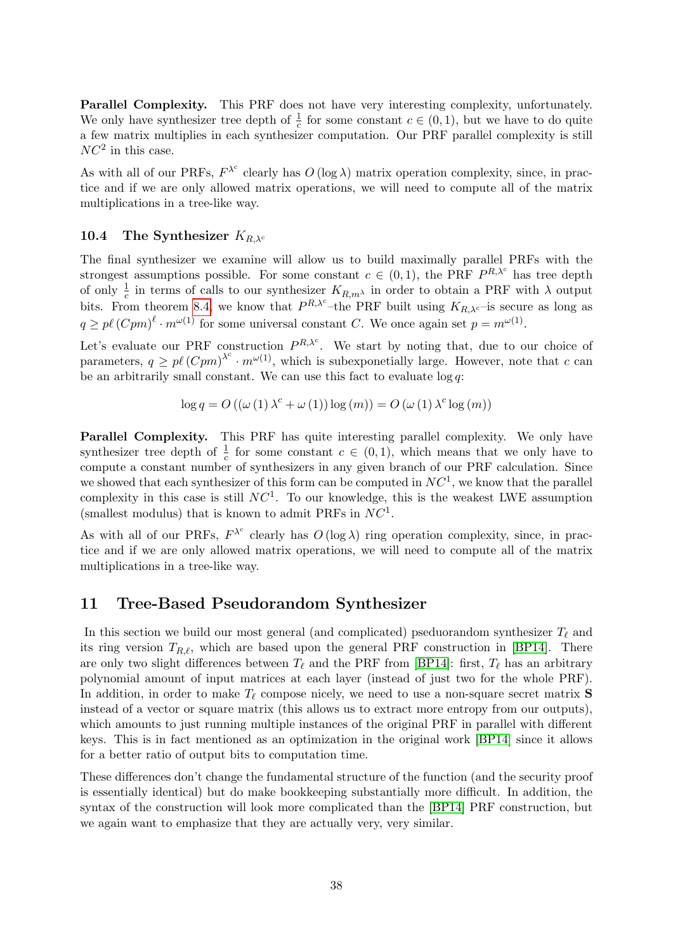Parallel Complexity. This PRF does not have very interesting complexity, unfortunately. We only have synthesizer tree depth of  $\frac{1}{c}$  for some constant  $c \in (0,1)$ , but we have to do quite a few matrix multiplies in each synthesizer computation. Our PRF parallel complexity is still  $NC^2$  in this case.

As with all of our PRFs,  $F^{\lambda^c}$  clearly has  $O(\log \lambda)$  matrix operation complexity, since, in practice and if we are only allowed matrix operations, we will need to compute all of the matrix multiplications in a tree-like way.

## 10.4 The Synthesizer  $K_{R,\lambda_c}$

The final synthesizer we examine will allow us to build maximally parallel PRFs with the strongest assumptions possible. For some constant  $c \in (0,1)$ , the PRF  $P^{R,\lambda^c}$  has tree depth of only  $\frac{1}{c}$  in terms of calls to our synthesizer  $K_{R,m}$  in order to obtain a PRF with  $\lambda$  output bits. From theorem [8.4,](#page-32-0) we know that  $P^{R,\lambda^c}$ -the PRF built using  $K_{R,\lambda^c}$ -is secure as long as  $q \geq p\ell \left(Cpm\right)^{\ell} \cdot m^{\omega(1)}$  for some universal constant C. We once again set  $p = m^{\omega(1)}$ .

Let's evaluate our PRF construction  $P^{R,\lambda^c}$ . We start by noting that, due to our choice of parameters,  $q \geq p\ell \left(\frac{Cpm}{\right)^{\lambda^c}} \cdot m^{\omega(1)}$ , which is subexponetially large. However, note that c can be an arbitrarily small constant. We can use this fact to evaluate  $log q$ :

$$
\log q = O\left(\left(\omega(1)\lambda^{c} + \omega(1)\right)\log(m)\right) = O\left(\omega(1)\lambda^{c}\log(m)\right)
$$

Parallel Complexity. This PRF has quite interesting parallel complexity. We only have synthesizer tree depth of  $\frac{1}{c}$  for some constant  $c \in (0,1)$ , which means that we only have to compute a constant number of synthesizers in any given branch of our PRF calculation. Since we showed that each synthesizer of this form can be computed in  $NC<sup>1</sup>$ , we know that the parallel complexity in this case is still  $NC<sup>1</sup>$ . To our knowledge, this is the weakest LWE assumption (smallest modulus) that is known to admit PRFs in  $NC<sup>1</sup>$ .

As with all of our PRFs,  $F^{\lambda^c}$  clearly has  $O(\log \lambda)$  ring operation complexity, since, in practice and if we are only allowed matrix operations, we will need to compute all of the matrix multiplications in a tree-like way.

# <span id="page-37-0"></span>11 Tree-Based Pseudorandom Synthesizer

In this section we build our most general (and complicated) pseduorandom synthesizer  $T_\ell$  and its ring version  $T_{R,\ell}$ , which are based upon the general PRF construction in [\[BP14\]](#page-45-1). There are only two slight differences between  $T_\ell$  and the PRF from [\[BP14\]](#page-45-1): first,  $T_\ell$  has an arbitrary polynomial amount of input matrices at each layer (instead of just two for the whole PRF). In addition, in order to make  $T_\ell$  compose nicely, we need to use a non-square secret matrix **S** instead of a vector or square matrix (this allows us to extract more entropy from our outputs), which amounts to just running multiple instances of the original PRF in parallel with different keys. This is in fact mentioned as an optimization in the original work [\[BP14\]](#page-45-1) since it allows for a better ratio of output bits to computation time.

These differences don't change the fundamental structure of the function (and the security proof is essentially identical) but do make bookkeeping substantially more difficult. In addition, the syntax of the construction will look more complicated than the [\[BP14\]](#page-45-1) PRF construction, but we again want to emphasize that they are actually very, very similar.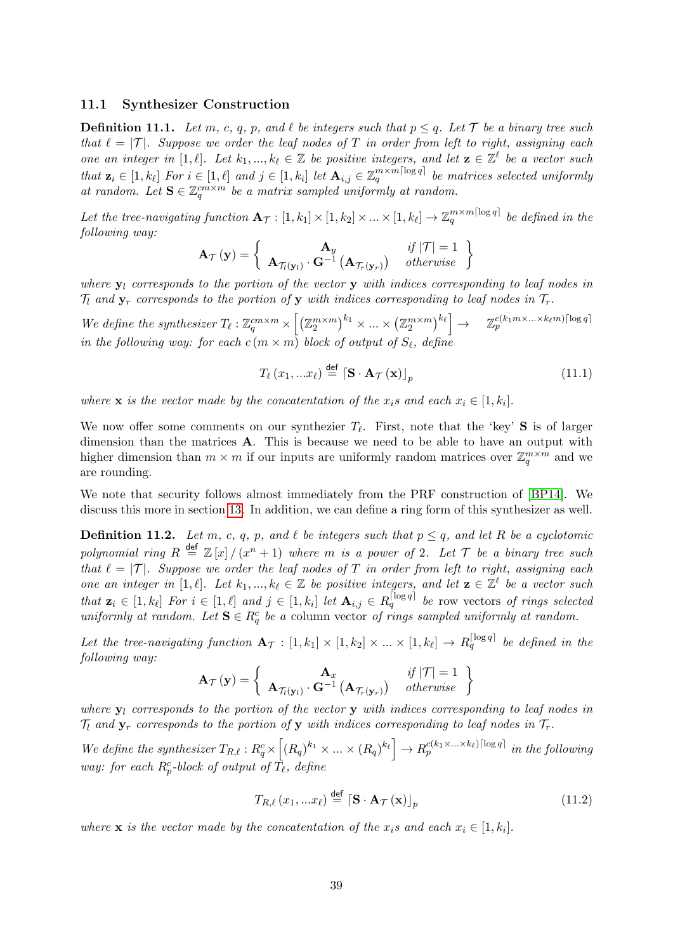### 11.1 Synthesizer Construction

<span id="page-38-0"></span>**Definition 11.1.** Let m, c, q, p, and  $\ell$  be integers such that  $p \leq q$ . Let T be a binary tree such that  $\ell = |\mathcal{T}|$ . Suppose we order the leaf nodes of T in order from left to right, assigning each one an integer in [1,  $\ell$ ]. Let  $k_1, ..., k_\ell \in \mathbb{Z}$  be positive integers, and let  $\mathbf{z} \in \mathbb{Z}^\ell$  be a vector such that  $\mathbf{z}_i \in [1, k_\ell]$  For  $i \in [1, \ell]$  and  $j \in [1, k_i]$  let  $\mathbf{A}_{i,j} \in \mathbb{Z}_q^{m \times m \lceil \log q \rceil}$  be matrices selected uniformly at random. Let  $S \in \mathbb{Z}_q^{cm \times m}$  be a matrix sampled uniformly at random.

Let the tree-navigating function  $A_{\mathcal{T}} : [1, k_1] \times [1, k_2] \times ... \times [1, k_\ell] \to \mathbb{Z}_q^{m \times m \lceil \log q \rceil}$  be defined in the following way:

$$
\mathbf{A}_{\mathcal{T}}(\mathbf{y}) = \begin{cases} \mathbf{A}_{y} & if |\mathcal{T}| = 1 \\ \mathbf{A}_{\mathcal{T}_{l}(\mathbf{y}_{l})} \cdot \mathbf{G}^{-1} \left( \mathbf{A}_{\mathcal{T}_{r}(\mathbf{y}_{r})} \right) & otherwise \end{cases}
$$

where  $y_l$  corresponds to the portion of the vector y with indices corresponding to leaf nodes in  $\mathcal{T}_l$  and  $\mathbf{y}_r$  corresponds to the portion of  $\mathbf{y}$  with indices corresponding to leaf nodes in  $\mathcal{T}_r$ .

We define the synthesizer  $T_{\ell}: \mathbb{Z}_q^{cm \times m} \times \left[ \left( \mathbb{Z}_2^{m \times m} \right)^{k_1} \times ... \times \left( \mathbb{Z}_2^{m \times m} \right)^{k_{\ell}} \right] \to \mathbb{Z}_p^{c(k_1 m \times ... \times k_{\ell} m) \cdot \log q}$ in the following way: for each  $c(m \times m)$  block of output of  $S_{\ell}$ , define

$$
T_{\ell}(x_1,...x_{\ell}) \stackrel{\text{def}}{=} \left[ \mathbf{S} \cdot \mathbf{A}_{\mathcal{T}}(\mathbf{x}) \right]_p \tag{11.1}
$$

where **x** is the vector made by the concatentation of the  $x_i$ s and each  $x_i \in [1, k_i]$ .

We now offer some comments on our synthezier  $T_{\ell}$ . First, note that the 'key' S is of larger dimension than the matrices **A**. This is because we need to be able to have an output with higher dimension than  $m \times m$  if our inputs are uniformly random matrices over  $\mathbb{Z}_q^{m \times m}$  and we are rounding.

We note that security follows almost immediately from the PRF construction of [\[BP14\]](#page-45-1). We discuss this more in section [13.](#page-41-0) In addition, we can define a ring form of this synthesizer as well.

<span id="page-38-1"></span>**Definition 11.2.** Let m, c, q, p, and  $\ell$  be integers such that  $p \leq q$ , and let R be a cyclotomic polynomial ring  $R \stackrel{\text{def}}{=} \mathbb{Z}[x]/(x^n+1)$  where m is a power of 2. Let  $\mathcal T$  be a binary tree such that  $\ell = |\mathcal{T}|$ . Suppose we order the leaf nodes of T in order from left to right, assigning each one an integer in [1,  $\ell$ ]. Let  $k_1, ..., k_\ell \in \mathbb{Z}$  be positive integers, and let  $\mathbf{z} \in \mathbb{Z}^\ell$  be a vector such that  $\mathbf{z}_i \in [1, k_\ell]$  For  $i \in [1, \ell]$  and  $j \in [1, k_i]$  let  $\mathbf{A}_{i,j} \in R_q^{\lceil \log q \rceil}$  be row vectors of rings selected uniformly at random. Let  $S \in R_q^c$  be a column vector of rings sampled uniformly at random.

Let the tree-navigating function  $\mathbf{A}_{\mathcal{T}} : [1, k_1] \times [1, k_2] \times ... \times [1, k_\ell] \to R_q^{\lceil \log q \rceil}$  be defined in the following way:

$$
\mathbf{A}_{\mathcal{T}}(\mathbf{y}) = \left\{ \begin{array}{cc} \mathbf{A}_{x} & if |\mathcal{T}| = 1 \\ \mathbf{A}_{\mathcal{T}_{t}(\mathbf{y}_{t})} \cdot \mathbf{G}^{-1} \left( \mathbf{A}_{\mathcal{T}_{r}(\mathbf{y}_{r})} \right) & otherwise \end{array} \right\}
$$

where  $y_l$  corresponds to the portion of the vector y with indices corresponding to leaf nodes in  $\mathcal{T}_1$  and  $\mathbf{y}_r$  corresponds to the portion of y with indices corresponding to leaf nodes in  $\mathcal{T}_r$ .

We define the synthesizer  $T_{R,\ell} : R_q^c \times \left[ (R_q)^{k_1} \times ... \times (R_q)^{k_\ell} \right] \to R_p^{c(k_1 \times ... \times k_\ell) \lfloor \log q \rfloor}$  in the following way: for each  $R_p^c$ -block of output of  $\tilde{T_\ell}$ , define

$$
T_{R,\ell}(x_1,...x_\ell) \stackrel{\text{def}}{=} \left[ \mathbf{S} \cdot \mathbf{A}_{\mathcal{T}}(\mathbf{x}) \right]_p \tag{11.2}
$$

where **x** is the vector made by the concatentation of the  $x_i$ s and each  $x_i \in [1, k_i]$ .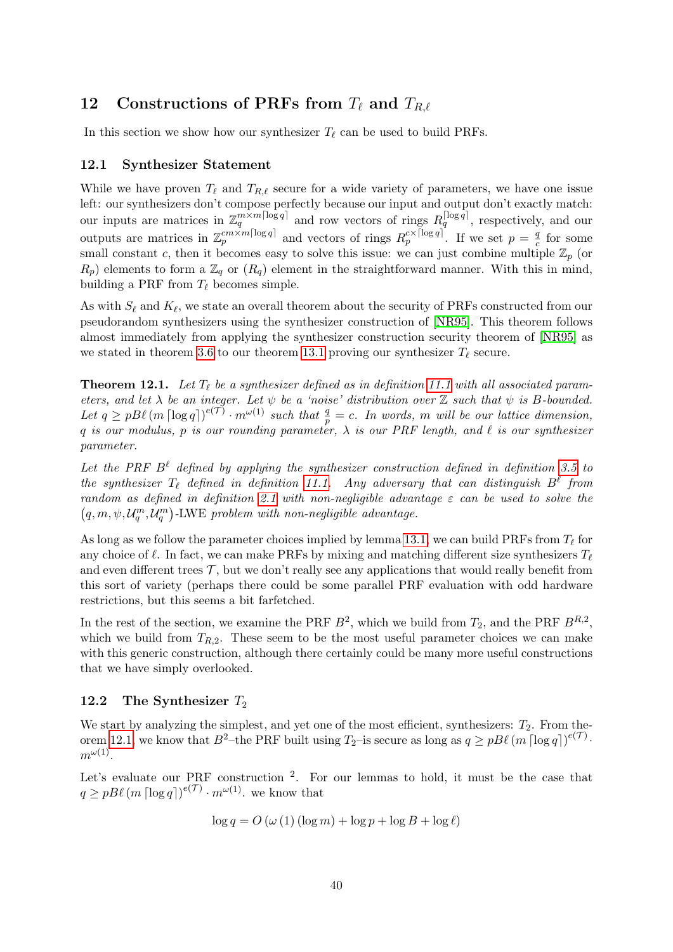# <span id="page-39-0"></span>12 Constructions of PRFs from  $T_\ell$  and  $T_{R,\ell}$

In this section we show how our synthesizer  $T_\ell$  can be used to build PRFs.

# 12.1 Synthesizer Statement

While we have proven  $T_\ell$  and  $T_{R,\ell}$  secure for a wide variety of parameters, we have one issue left: our synthesizers don't compose perfectly because our input and output don't exactly match: our inputs are matrices in  $\mathbb{Z}_q^{m \times m \lceil \log q \rceil}$  and row vectors of rings  $R_q^{\lceil \log q \rceil}$ , respectively, and our outputs are matrices in  $\mathbb{Z}_p^{cm \times m \lceil \log q \rceil}$  and vectors of rings  $R_p^{c \times \lceil \log q \rceil}$ . If we set  $p = \frac{q}{c}$  $\frac{q}{c}$  for some small constant c, then it becomes easy to solve this issue: we can just combine multiple  $\mathbb{Z}_p$  (or  $R_p$ ) elements to form a  $\mathbb{Z}_q$  or  $(R_q)$  element in the straightforward manner. With this in mind, building a PRF from  $T_{\ell}$  becomes simple.

As with  $S_\ell$  and  $K_\ell$ , we state an overall theorem about the security of PRFs constructed from our pseudorandom synthesizers using the synthesizer construction of [\[NR95\]](#page-47-3). This theorem follows almost immediately from applying the synthesizer construction security theorem of [\[NR95\]](#page-47-3) as we stated in theorem [3.6](#page-18-2) to our theorem [13.1](#page-42-1) proving our synthesizer  $T_\ell$  secure.

<span id="page-39-1"></span>**Theorem 12.1.** Let  $T_{\ell}$  be a synthesizer defined as in definition [11.1](#page-38-0) with all associated parameters, and let  $\lambda$  be an integer. Let  $\psi$  be a 'noise' distribution over  $\mathbb Z$  such that  $\psi$  is B-bounded. Let  $q \ge pB\ell \left(m \left\lceil \log q \right\rceil\right)^{e(\mathcal{T})} \cdot m^{\omega(1)}$  such that  $\frac{q}{p} = c$ . In words, m will be our lattice dimension, q is our modulus, p is our rounding parameter,  $\lambda$  is our PRF length, and  $\ell$  is our synthesizer parameter.

Let the PRF  $B^{\ell}$  defined by applying the synthesizer construction defined in definition [3.5](#page-18-1) to the synthesizer  $T_{\ell}$  defined in definition [11.1.](#page-38-0) Any adversary that can distinguish  $B^{\ell}$  from random as defined in definition [2.1](#page-11-0) with non-negligible advantage  $\varepsilon$  can be used to solve the  $(q, m, \psi, \mathcal{U}_q^m, \mathcal{U}_q^m)$ -LWE problem with non-negligible advantage.

As long as we follow the parameter choices implied by lemma [13.1,](#page-42-1) we can build PRFs from  $T_\ell$  for any choice of  $\ell$ . In fact, we can make PRFs by mixing and matching different size synthesizers  $T_{\ell}$ and even different trees  $\mathcal{T}$ , but we don't really see any applications that would really benefit from this sort of variety (perhaps there could be some parallel PRF evaluation with odd hardware restrictions, but this seems a bit farfetched.

In the rest of the section, we examine the PRF  $B^2$ , which we build from  $T_2$ , and the PRF  $B^{R,2}$ , which we build from  $T_{R,2}$ . These seem to be the most useful parameter choices we can make with this generic construction, although there certainly could be many more useful constructions that we have simply overlooked.

# 12.2 The Synthesizer  $T_2$

We start by analyzing the simplest, and yet one of the most efficient, synthesizers:  $T_2$ . From the-orem [12.1,](#page-39-1) we know that  $B^2$ -the PRF built using  $T_2$ -is secure as long as  $q \geq pB\ell \left(m \lceil \log q \rceil\right)^{e(\mathcal{T})}$ .  $m^{\omega(1)}$ .

Let's evaluate our PRF construction <sup>2</sup>. For our lemmas to hold, it must be the case that  $q \ge pB\ell \left(m \left\lceil \log q \right\rceil\right)^{e(\mathcal{T})} \cdot m^{\omega(1)}$ , we know that

$$
\log q = O\left(\omega\left(1\right)\left(\log m\right) + \log p + \log B + \log \ell\right)
$$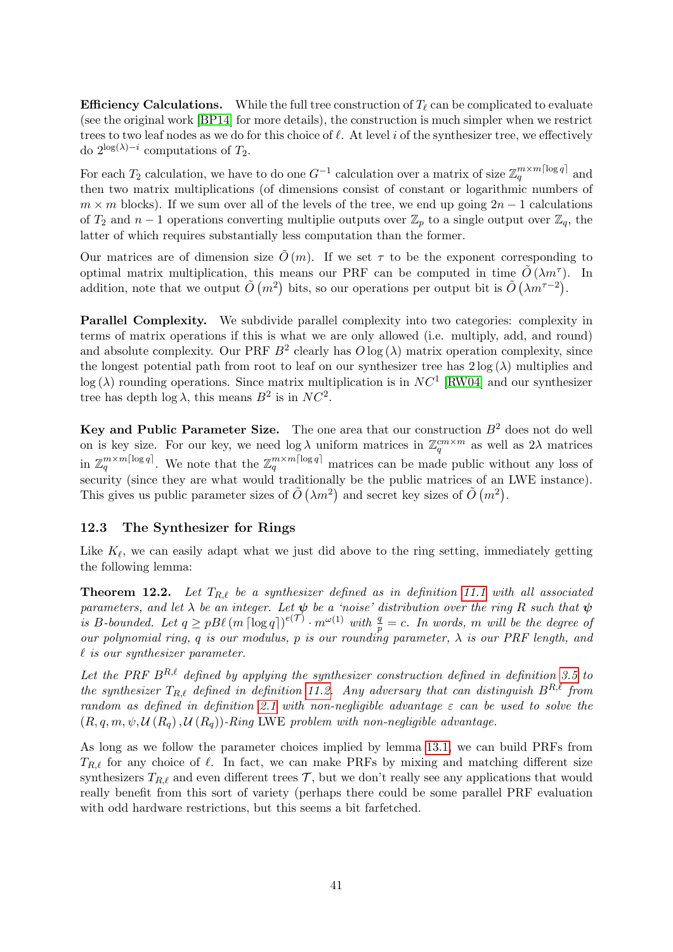**Efficiency Calculations.** While the full tree construction of  $T_\ell$  can be complicated to evaluate (see the original work [\[BP14\]](#page-45-1) for more details), the construction is much simpler when we restrict trees to two leaf nodes as we do for this choice of  $\ell$ . At level i of the synthesizer tree, we effectively do  $2^{\log(\lambda)-i}$  computations of  $T_2$ .

For each  $T_2$  calculation, we have to do one  $G^{-1}$  calculation over a matrix of size  $\mathbb{Z}_q^{m \times m \lceil \log q \rceil}$  and then two matrix multiplications (of dimensions consist of constant or logarithmic numbers of  $m \times m$  blocks). If we sum over all of the levels of the tree, we end up going  $2n - 1$  calculations of  $T_2$  and  $n-1$  operations converting multiplie outputs over  $\mathbb{Z}_p$  to a single output over  $\mathbb{Z}_q$ , the latter of which requires substantially less computation than the former.

Our matrices are of dimension size  $\tilde{O}(m)$ . If we set  $\tau$  to be the exponent corresponding to optimal matrix multiplication, this means our PRF can be computed in time  $\tilde{O}(\lambda m^{\tau})$ . In addition, note that we output  $\tilde{O}(m^2)$  bits, so our operations per output bit is  $\tilde{O}(\lambda m^{\tau-2})$ .

Parallel Complexity. We subdivide parallel complexity into two categories: complexity in terms of matrix operations if this is what we are only allowed (i.e. multiply, add, and round) and absolute complexity. Our PRF  $B^2$  clearly has  $O \log(\lambda)$  matrix operation complexity, since the longest potential path from root to leaf on our synthesizer tree has  $2 \log(\lambda)$  multiplies and  $log(\lambda)$  rounding operations. Since matrix multiplication is in  $NC<sup>1</sup>$  [\[RW04\]](#page-47-8) and our synthesizer tree has depth  $\log \lambda$ , this means  $B^2$  is in  $NC^2$ .

Key and Public Parameter Size. The one area that our construction  $B<sup>2</sup>$  does not do well on is key size. For our key, we need  $\log \lambda$  uniform matrices in  $\mathbb{Z}_q^{cm \times m}$  as well as  $2\lambda$  matrices in  $\mathbb{Z}_q^{m \times m \lceil \log q \rceil}$ . We note that the  $\mathbb{Z}_q^{m \times m \lceil \log q \rceil}$  matrices can be made public without any loss of security (since they are what would traditionally be the public matrices of an LWE instance). This gives us public parameter sizes of  $\tilde{O}(\lambda m^2)$  and secret key sizes of  $\tilde{O}(m^2)$ .

## 12.3 The Synthesizer for Rings

Like  $K_{\ell}$ , we can easily adapt what we just did above to the ring setting, immediately getting the following lemma:

**Theorem 12.2.** Let  $T_{R,\ell}$  be a synthesizer defined as in definition [11.1](#page-38-0) with all associated parameters, and let  $\lambda$  be an integer. Let  $\psi$  be a 'noise' distribution over the ring R such that  $\psi$ is B-bounded. Let  $q \ge pB\ell \left(m \left\lceil \log q \right\rceil\right)^{e(\mathcal{T})} \cdot m^{\omega(1)}$  with  $\frac{q}{p} = c$ . In words, m will be the degree of our polynomial ring, q is our modulus, p is our rounding parameter,  $\lambda$  is our PRF length, and  $\ell$  is our synthesizer parameter.

Let the PRF  $B^{R,\ell}$  defined by applying the synthesizer construction defined in definition [3.5](#page-18-1) to the synthesizer  $T_{R,\ell}$  defined in definition [11.2.](#page-38-1) Any adversary that can distinguish  $B^{R,\ell}$  from random as defined in definition [2.1](#page-11-0) with non-negligible advantage  $\varepsilon$  can be used to solve the  $(R, q, m, \psi, \mathcal{U}(R_q), \mathcal{U}(R_q))$ -Ring LWE problem with non-negligible advantage.

As long as we follow the parameter choices implied by lemma [13.1,](#page-42-1) we can build PRFs from  $T_{R,\ell}$  for any choice of  $\ell$ . In fact, we can make PRFs by mixing and matching different size synthesizers  $T_{R,\ell}$  and even different trees  $\mathcal T$ , but we don't really see any applications that would really benefit from this sort of variety (perhaps there could be some parallel PRF evaluation with odd hardware restrictions, but this seems a bit farfetched.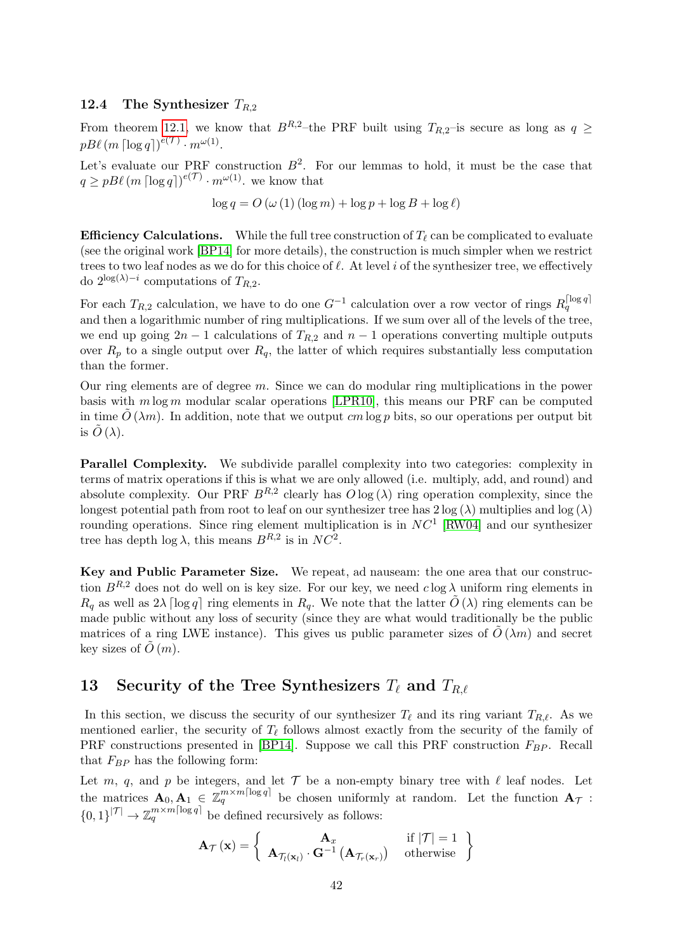### 12.4 The Synthesizer  $T_{R,2}$

From theorem [12.1,](#page-39-1) we know that  $B^{R,2}$ –the PRF built using  $T_{R,2}$ –is secure as long as  $q \geq$  $pB\ell$   $(m \lceil \log q \rceil)^{e(\mathcal{T})} \cdot m^{\omega(1)}.$ 

Let's evaluate our PRF construction  $B^2$ . For our lemmas to hold, it must be the case that  $q \ge pB\ell \left(m \left\lceil \log q \right\rceil\right)^{e(\mathcal{T})} \cdot m^{\omega(1)}$ , we know that

$$
\log q = O\left(\omega\left(1\right)\left(\log m\right) + \log p + \log B + \log \ell\right)
$$

**Efficiency Calculations.** While the full tree construction of  $T_\ell$  can be complicated to evaluate (see the original work [\[BP14\]](#page-45-1) for more details), the construction is much simpler when we restrict trees to two leaf nodes as we do for this choice of  $\ell$ . At level i of the synthesizer tree, we effectively do  $2^{\log(\lambda)-i}$  computations of  $T_{R,2}$ .

For each  $T_{R,2}$  calculation, we have to do one  $G^{-1}$  calculation over a row vector of rings  $R_q^{\lceil \log q \rceil}$ and then a logarithmic number of ring multiplications. If we sum over all of the levels of the tree, we end up going  $2n - 1$  calculations of  $T_{R,2}$  and  $n - 1$  operations converting multiple outputs over  $R_p$  to a single output over  $R_q$ , the latter of which requires substantially less computation than the former.

Our ring elements are of degree m. Since we can do modular ring multiplications in the power basis with  $m \log m$  modular scalar operations [\[LPR10\]](#page-46-9), this means our PRF can be computed in time  $\tilde{O}(\lambda m)$ . In addition, note that we output cm log p bits, so our operations per output bit is  $\ddot{O}(\lambda)$ .

Parallel Complexity. We subdivide parallel complexity into two categories: complexity in terms of matrix operations if this is what we are only allowed (i.e. multiply, add, and round) and absolute complexity. Our PRF  $B^{R,2}$  clearly has  $O \log(\lambda)$  ring operation complexity, since the longest potential path from root to leaf on our synthesizer tree has  $2 \log (\lambda)$  multiplies and  $\log (\lambda)$ rounding operations. Since ring element multiplication is in  $NC<sup>1</sup>$  [\[RW04\]](#page-47-8) and our synthesizer tree has depth  $\log \lambda$ , this means  $B^{R,2}$  is in  $NC^2$ .

Key and Public Parameter Size. We repeat, ad nauseam: the one area that our construction  $B^{R,2}$  does not do well on is key size. For our key, we need  $c \log \lambda$  uniform ring elements in  $R_q$  as well as  $2\lambda \lceil \log q \rceil$  ring elements in  $R_q$ . We note that the latter  $\tilde{O}(\lambda)$  ring elements can be made public without any loss of security (since they are what would traditionally be the public matrices of a ring LWE instance). This gives us public parameter sizes of  $O(\lambda m)$  and secret key sizes of  $\tilde{O}(m)$ .

# <span id="page-41-0"></span>13 Security of the Tree Synthesizers  $T_\ell$  and  $T_{R,\ell}$

In this section, we discuss the security of our synthesizer  $T_\ell$  and its ring variant  $T_{R,\ell}$ . As we mentioned earlier, the security of  $T_\ell$  follows almost exactly from the security of the family of PRF constructions presented in [\[BP14\]](#page-45-1). Suppose we call this PRF construction  $F_{BP}$ . Recall that  $F_{BP}$  has the following form:

Let m, q, and p be integers, and let  $\mathcal T$  be a non-empty binary tree with  $\ell$  leaf nodes. Let the matrices  $A_0, A_1 \in \mathbb{Z}_q^{m \times m \lceil \log q \rceil}$  be chosen uniformly at random. Let the function  $A_\mathcal{T}$ :  $\{0,1\}^{|\mathcal{T}|} \to \mathbb{Z}_q^{m \times m \lceil \log q \rceil}$  be defined recursively as follows:

$$
\mathbf{A}_{\mathcal{T}}(\mathbf{x}) = \left\{ \begin{array}{ll} \mathbf{A}_{x} & \text{if } |\mathcal{T}| = 1 \\ \mathbf{A}_{\mathcal{T}_{l}(\mathbf{x}_{l})} \cdot \mathbf{G}^{-1} \left( \mathbf{A}_{\mathcal{T}_{r}(\mathbf{x}_{r})} \right) & \text{otherwise} \end{array} \right\}
$$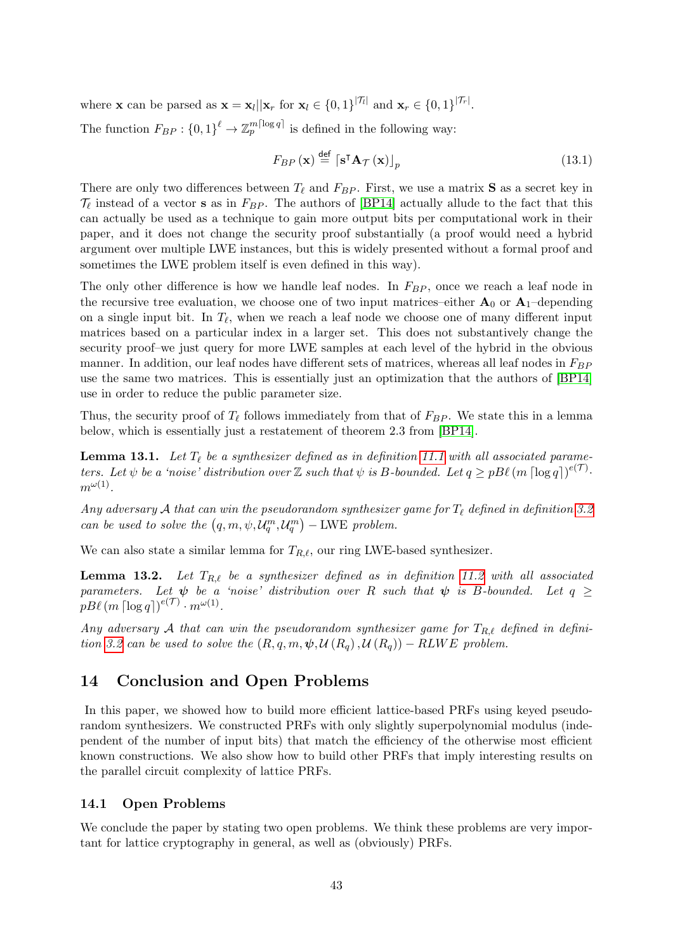where **x** can be parsed as  $\mathbf{x} = \mathbf{x}_l || \mathbf{x}_r$  for  $\mathbf{x}_l \in \{0, 1\}^{|\mathcal{T}_l|}$  and  $\mathbf{x}_r \in \{0, 1\}^{|\mathcal{T}_r|}$ .

The function  $F_{BP}: \{0,1\}^{\ell} \to \mathbb{Z}_p^{m\lceil \log q \rceil}$  is defined in the following way:

$$
F_{BP}\left(\mathbf{x}\right) \stackrel{\text{def}}{=} \left\lceil \mathbf{s}^{\mathsf{T}} \mathbf{A}_{\mathcal{T}}\left(\mathbf{x}\right) \right\rceil_{p} \tag{13.1}
$$

There are only two differences between  $T_\ell$  and  $F_{BP}$ . First, we use a matrix **S** as a secret key in  $\mathcal{T}_{\ell}$  instead of a vector **s** as in  $F_{BP}$ . The authors of [\[BP14\]](#page-45-1) actually allude to the fact that this can actually be used as a technique to gain more output bits per computational work in their paper, and it does not change the security proof substantially (a proof would need a hybrid argument over multiple LWE instances, but this is widely presented without a formal proof and sometimes the LWE problem itself is even defined in this way).

The only other difference is how we handle leaf nodes. In  $F_{BP}$ , once we reach a leaf node in the recursive tree evaluation, we choose one of two input matrices–either  $A_0$  or  $A_1$ –depending on a single input bit. In  $T_{\ell}$ , when we reach a leaf node we choose one of many different input matrices based on a particular index in a larger set. This does not substantively change the security proof–we just query for more LWE samples at each level of the hybrid in the obvious manner. In addition, our leaf nodes have different sets of matrices, whereas all leaf nodes in  $F_{BP}$ use the same two matrices. This is essentially just an optimization that the authors of [\[BP14\]](#page-45-1) use in order to reduce the public parameter size.

Thus, the security proof of  $T_{\ell}$  follows immediately from that of  $F_{BP}$ . We state this in a lemma below, which is essentially just a restatement of theorem 2.3 from [\[BP14\]](#page-45-1).

<span id="page-42-1"></span>**Lemma 13.1.** Let  $T_\ell$  be a synthesizer defined as in definition [11.1](#page-38-0) with all associated parameters. Let  $\psi$  be a 'noise' distribution over  $\mathbb Z$  such that  $\psi$  is B-bounded. Let  $q \geq pB\ell \left(m \left\lceil \log q \right\rceil\right)^{e(\mathcal{T})}$ .  $m^{\omega(1)}$ .

Any adversary A that can win the pseudorandom synthesizer game for  $T_{\ell}$  defined in definition [3.2](#page-17-0) can be used to solve the  $(q, m, \psi, \mathcal{U}_q^m, \mathcal{U}_q^m)$  – LWE problem.

We can also state a similar lemma for  $T_{R,\ell}$ , our ring LWE-based synthesizer.

**Lemma 13.2.** Let  $T_{R,\ell}$  be a synthesizer defined as in definition [11.2](#page-38-1) with all associated parameters. Let  $\psi$  be a 'noise' distribution over R such that  $\psi$  is B-bounded. Let  $q \geq$  $pB\ell$   $(m \lceil \log q \rceil)^{e(\mathcal{T})} \cdot m^{\omega(1)}$ .

Any adversary A that can win the pseudorandom synthesizer game for  $T_{R,\ell}$  defined in defini-tion [3.2](#page-17-0) can be used to solve the  $(R, q, m, \psi, \mathcal{U}(R_q), \mathcal{U}(R_q)) - RLWE$  problem.

# <span id="page-42-0"></span>14 Conclusion and Open Problems

In this paper, we showed how to build more efficient lattice-based PRFs using keyed pseudorandom synthesizers. We constructed PRFs with only slightly superpolynomial modulus (independent of the number of input bits) that match the efficiency of the otherwise most efficient known constructions. We also show how to build other PRFs that imply interesting results on the parallel circuit complexity of lattice PRFs.

### 14.1 Open Problems

We conclude the paper by stating two open problems. We think these problems are very important for lattice cryptography in general, as well as (obviously) PRFs.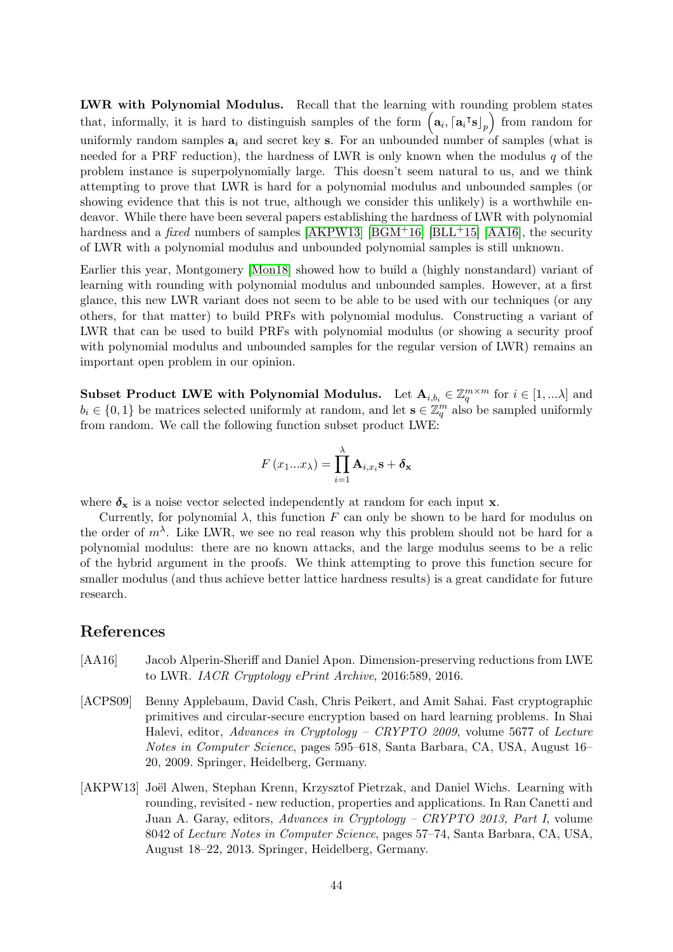LWR with Polynomial Modulus. Recall that the learning with rounding problem states that, informally, it is hard to distinguish samples of the form  $(a_i, [a_i]s]_p$  from random for uniformly random samples  $a_i$  and secret key s. For an unbounded number of samples (what is needed for a PRF reduction), the hardness of LWR is only known when the modulus  $q$  of the problem instance is superpolynomially large. This doesn't seem natural to us, and we think attempting to prove that LWR is hard for a polynomial modulus and unbounded samples (or showing evidence that this is not true, although we consider this unlikely) is a worthwhile endeavor. While there have been several papers establishing the hardness of LWR with polynomial hardness and a *fixed* numbers of samples [\[AKPW13\]](#page-43-1) [\[BGM](#page-44-8)<sup>+</sup>16] [\[BLL](#page-44-9)<sup>+</sup>15] [\[AA16\]](#page-43-2), the security of LWR with a polynomial modulus and unbounded polynomial samples is still unknown.

Earlier this year, Montgomery [\[Mon18\]](#page-46-11) showed how to build a (highly nonstandard) variant of learning with rounding with polynomial modulus and unbounded samples. However, at a first glance, this new LWR variant does not seem to be able to be used with our techniques (or any others, for that matter) to build PRFs with polynomial modulus. Constructing a variant of LWR that can be used to build PRFs with polynomial modulus (or showing a security proof with polynomial modulus and unbounded samples for the regular version of LWR) remains an important open problem in our opinion.

Subset Product LWE with Polynomial Modulus. Let  $\mathbf{A}_{i,b_i} \in \mathbb{Z}_q^{m \times m}$  for  $i \in [1,...\lambda]$  and  $b_i \in \{0,1\}$  be matrices selected uniformly at random, and let  $\mathbf{s} \in \mathbb{Z}_q^m$  also be sampled uniformly from random. We call the following function subset product LWE:

$$
F(x_1...x_\lambda) = \prod_{i=1}^{\lambda} \mathbf{A}_{i,x_i} \mathbf{s} + \delta_{\mathbf{x}}
$$

where  $\delta_{\mathbf{x}}$  is a noise vector selected independently at random for each input **x**.

Currently, for polynomial  $\lambda$ , this function F can only be shown to be hard for modulus on the order of  $m^{\lambda}$ . Like LWR, we see no real reason why this problem should not be hard for a polynomial modulus: there are no known attacks, and the large modulus seems to be a relic of the hybrid argument in the proofs. We think attempting to prove this function secure for smaller modulus (and thus achieve better lattice hardness results) is a great candidate for future research.

# References

- <span id="page-43-2"></span>[AA16] Jacob Alperin-Sheriff and Daniel Apon. Dimension-preserving reductions from LWE to LWR. IACR Cryptology ePrint Archive, 2016:589, 2016.
- <span id="page-43-0"></span>[ACPS09] Benny Applebaum, David Cash, Chris Peikert, and Amit Sahai. Fast cryptographic primitives and circular-secure encryption based on hard learning problems. In Shai Halevi, editor, Advances in Cryptology – CRYPTO 2009, volume 5677 of Lecture Notes in Computer Science, pages 595–618, Santa Barbara, CA, USA, August 16– 20, 2009. Springer, Heidelberg, Germany.
- <span id="page-43-1"></span>[AKPW13] Joël Alwen, Stephan Krenn, Krzysztof Pietrzak, and Daniel Wichs. Learning with rounding, revisited - new reduction, properties and applications. In Ran Canetti and Juan A. Garay, editors, Advances in Cryptology – CRYPTO 2013, Part I, volume 8042 of Lecture Notes in Computer Science, pages 57–74, Santa Barbara, CA, USA, August 18–22, 2013. Springer, Heidelberg, Germany.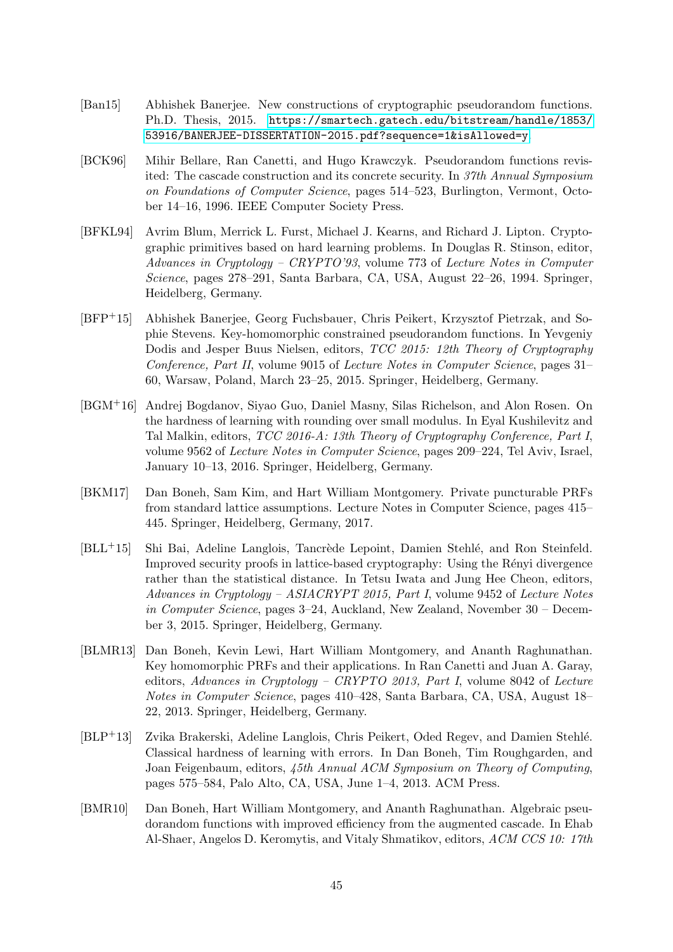- <span id="page-44-1"></span>[Ban15] Abhishek Banerjee. New constructions of cryptographic pseudorandom functions. Ph.D. Thesis, 2015. [https://smartech.gatech.edu/bitstream/handle/1853/](https://smartech.gatech.edu/bitstream/handle/1853/53916/BANERJEE-DISSERTATION-2015.pdf?sequence=1&isAllowed=y) [53916/BANERJEE-DISSERTATION-2015.pdf?sequence=1&isAllowed=y](https://smartech.gatech.edu/bitstream/handle/1853/53916/BANERJEE-DISSERTATION-2015.pdf?sequence=1&isAllowed=y).
- <span id="page-44-6"></span>[BCK96] Mihir Bellare, Ran Canetti, and Hugo Krawczyk. Pseudorandom functions revisited: The cascade construction and its concrete security. In 37th Annual Symposium on Foundations of Computer Science, pages 514–523, Burlington, Vermont, October 14–16, 1996. IEEE Computer Society Press.
- <span id="page-44-2"></span>[BFKL94] Avrim Blum, Merrick L. Furst, Michael J. Kearns, and Richard J. Lipton. Cryptographic primitives based on hard learning problems. In Douglas R. Stinson, editor, Advances in Cryptology – CRYPTO'93, volume 773 of Lecture Notes in Computer Science, pages 278–291, Santa Barbara, CA, USA, August 22–26, 1994. Springer, Heidelberg, Germany.
- <span id="page-44-4"></span>[BFP+15] Abhishek Banerjee, Georg Fuchsbauer, Chris Peikert, Krzysztof Pietrzak, and Sophie Stevens. Key-homomorphic constrained pseudorandom functions. In Yevgeniy Dodis and Jesper Buus Nielsen, editors, TCC 2015: 12th Theory of Cryptography Conference, Part II, volume 9015 of Lecture Notes in Computer Science, pages 31– 60, Warsaw, Poland, March 23–25, 2015. Springer, Heidelberg, Germany.
- <span id="page-44-8"></span>[BGM+16] Andrej Bogdanov, Siyao Guo, Daniel Masny, Silas Richelson, and Alon Rosen. On the hardness of learning with rounding over small modulus. In Eyal Kushilevitz and Tal Malkin, editors, TCC 2016-A: 13th Theory of Cryptography Conference, Part I, volume 9562 of Lecture Notes in Computer Science, pages 209–224, Tel Aviv, Israel, January 10–13, 2016. Springer, Heidelberg, Germany.
- <span id="page-44-5"></span>[BKM17] Dan Boneh, Sam Kim, and Hart William Montgomery. Private puncturable PRFs from standard lattice assumptions. Lecture Notes in Computer Science, pages 415– 445. Springer, Heidelberg, Germany, 2017.
- <span id="page-44-9"></span>[BLL<sup>+</sup>15] Shi Bai, Adeline Langlois, Tancrède Lepoint, Damien Stehlé, and Ron Steinfeld. Improved security proofs in lattice-based cryptography: Using the Rényi divergence rather than the statistical distance. In Tetsu Iwata and Jung Hee Cheon, editors, Advances in Cryptology – ASIACRYPT 2015, Part I, volume 9452 of Lecture Notes in Computer Science, pages 3–24, Auckland, New Zealand, November 30 – December 3, 2015. Springer, Heidelberg, Germany.
- <span id="page-44-0"></span>[BLMR13] Dan Boneh, Kevin Lewi, Hart William Montgomery, and Ananth Raghunathan. Key homomorphic PRFs and their applications. In Ran Canetti and Juan A. Garay, editors, Advances in Cryptology – CRYPTO 2013, Part I, volume 8042 of Lecture Notes in Computer Science, pages 410–428, Santa Barbara, CA, USA, August 18– 22, 2013. Springer, Heidelberg, Germany.
- <span id="page-44-7"></span>[BLP<sup>+</sup>13] Zvika Brakerski, Adeline Langlois, Chris Peikert, Oded Regev, and Damien Stehlé. Classical hardness of learning with errors. In Dan Boneh, Tim Roughgarden, and Joan Feigenbaum, editors, 45th Annual ACM Symposium on Theory of Computing, pages 575–584, Palo Alto, CA, USA, June 1–4, 2013. ACM Press.
- <span id="page-44-3"></span>[BMR10] Dan Boneh, Hart William Montgomery, and Ananth Raghunathan. Algebraic pseudorandom functions with improved efficiency from the augmented cascade. In Ehab Al-Shaer, Angelos D. Keromytis, and Vitaly Shmatikov, editors, ACM CCS 10: 17th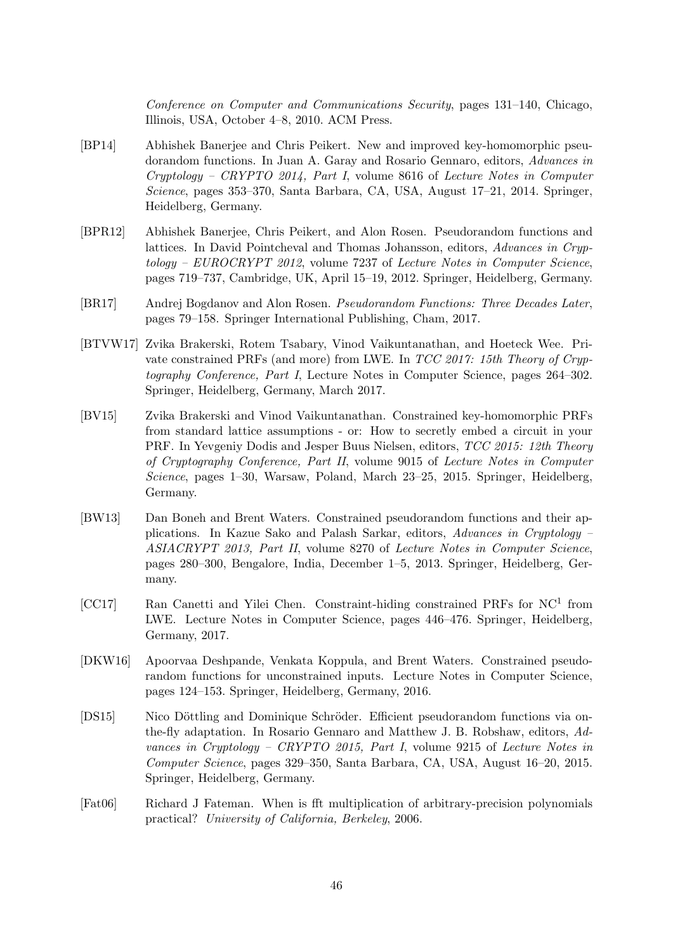Conference on Computer and Communications Security, pages 131–140, Chicago, Illinois, USA, October 4–8, 2010. ACM Press.

- <span id="page-45-1"></span>[BP14] Abhishek Banerjee and Chris Peikert. New and improved key-homomorphic pseudorandom functions. In Juan A. Garay and Rosario Gennaro, editors, Advances in Cryptology – CRYPTO 2014, Part I, volume 8616 of Lecture Notes in Computer Science, pages 353–370, Santa Barbara, CA, USA, August 17–21, 2014. Springer, Heidelberg, Germany.
- <span id="page-45-0"></span>[BPR12] Abhishek Banerjee, Chris Peikert, and Alon Rosen. Pseudorandom functions and lattices. In David Pointcheval and Thomas Johansson, editors, Advances in Cryptology – EUROCRYPT 2012, volume 7237 of Lecture Notes in Computer Science, pages 719–737, Cambridge, UK, April 15–19, 2012. Springer, Heidelberg, Germany.
- <span id="page-45-2"></span>[BR17] Andrej Bogdanov and Alon Rosen. Pseudorandom Functions: Three Decades Later, pages 79–158. Springer International Publishing, Cham, 2017.
- <span id="page-45-8"></span>[BTVW17] Zvika Brakerski, Rotem Tsabary, Vinod Vaikuntanathan, and Hoeteck Wee. Private constrained PRFs (and more) from LWE. In TCC 2017: 15th Theory of Cryptography Conference, Part I, Lecture Notes in Computer Science, pages 264–302. Springer, Heidelberg, Germany, March 2017.
- <span id="page-45-6"></span>[BV15] Zvika Brakerski and Vinod Vaikuntanathan. Constrained key-homomorphic PRFs from standard lattice assumptions - or: How to secretly embed a circuit in your PRF. In Yevgeniy Dodis and Jesper Buus Nielsen, editors, TCC 2015: 12th Theory of Cryptography Conference, Part II, volume 9015 of Lecture Notes in Computer Science, pages 1–30, Warsaw, Poland, March 23–25, 2015. Springer, Heidelberg, Germany.
- <span id="page-45-4"></span>[BW13] Dan Boneh and Brent Waters. Constrained pseudorandom functions and their applications. In Kazue Sako and Palash Sarkar, editors, Advances in Cryptology – ASIACRYPT 2013, Part II, volume 8270 of Lecture Notes in Computer Science, pages 280–300, Bengalore, India, December 1–5, 2013. Springer, Heidelberg, Germany.
- <span id="page-45-7"></span>[CC17] Ran Canetti and Yilei Chen. Constraint-hiding constrained PRFs for NC<sup>1</sup> from LWE. Lecture Notes in Computer Science, pages 446–476. Springer, Heidelberg, Germany, 2017.
- <span id="page-45-5"></span>[DKW16] Apoorvaa Deshpande, Venkata Koppula, and Brent Waters. Constrained pseudorandom functions for unconstrained inputs. Lecture Notes in Computer Science, pages 124–153. Springer, Heidelberg, Germany, 2016.
- <span id="page-45-3"></span>[DS15] Nico Döttling and Dominique Schröder. Efficient pseudorandom functions via onthe-fly adaptation. In Rosario Gennaro and Matthew J. B. Robshaw, editors, Advances in Cryptology – CRYPTO 2015, Part I, volume 9215 of Lecture Notes in Computer Science, pages 329–350, Santa Barbara, CA, USA, August 16–20, 2015. Springer, Heidelberg, Germany.
- <span id="page-45-9"></span>[Fat06] Richard J Fateman. When is fft multiplication of arbitrary-precision polynomials practical? University of California, Berkeley, 2006.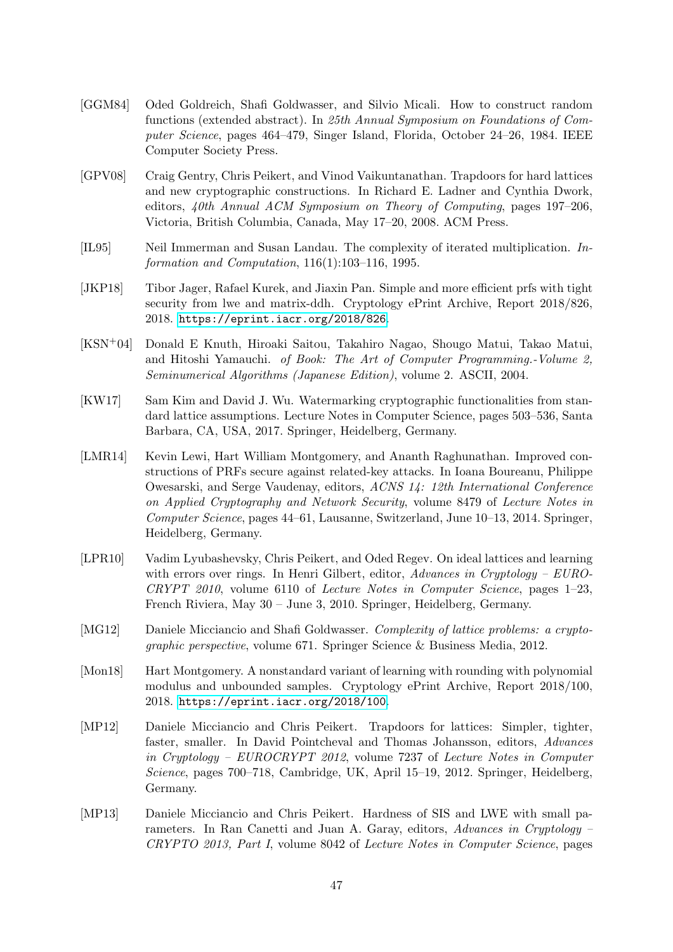- <span id="page-46-0"></span>[GGM84] Oded Goldreich, Shafi Goldwasser, and Silvio Micali. How to construct random functions (extended abstract). In 25th Annual Symposium on Foundations of Computer Science, pages 464–479, Singer Island, Florida, October 24–26, 1984. IEEE Computer Society Press.
- <span id="page-46-6"></span>[GPV08] Craig Gentry, Chris Peikert, and Vinod Vaikuntanathan. Trapdoors for hard lattices and new cryptographic constructions. In Richard E. Ladner and Cynthia Dwork, editors, 40th Annual ACM Symposium on Theory of Computing, pages 197–206, Victoria, British Columbia, Canada, May 17–20, 2008. ACM Press.
- <span id="page-46-10"></span>[IL95] Neil Immerman and Susan Landau. The complexity of iterated multiplication. Information and Computation, 116(1):103–116, 1995.
- <span id="page-46-2"></span>[JKP18] Tibor Jager, Rafael Kurek, and Jiaxin Pan. Simple and more efficient prfs with tight security from lwe and matrix-ddh. Cryptology ePrint Archive, Report 2018/826, 2018. <https://eprint.iacr.org/2018/826>.
- <span id="page-46-5"></span>[KSN+04] Donald E Knuth, Hiroaki Saitou, Takahiro Nagao, Shougo Matui, Takao Matui, and Hitoshi Yamauchi. of Book: The Art of Computer Programming.-Volume 2, Seminumerical Algorithms (Japanese Edition), volume 2. ASCII, 2004.
- <span id="page-46-4"></span>[KW17] Sam Kim and David J. Wu. Watermarking cryptographic functionalities from standard lattice assumptions. Lecture Notes in Computer Science, pages 503–536, Santa Barbara, CA, USA, 2017. Springer, Heidelberg, Germany.
- <span id="page-46-3"></span>[LMR14] Kevin Lewi, Hart William Montgomery, and Ananth Raghunathan. Improved constructions of PRFs secure against related-key attacks. In Ioana Boureanu, Philippe Owesarski, and Serge Vaudenay, editors, ACNS 14: 12th International Conference on Applied Cryptography and Network Security, volume 8479 of Lecture Notes in Computer Science, pages 44–61, Lausanne, Switzerland, June 10–13, 2014. Springer, Heidelberg, Germany.
- <span id="page-46-9"></span>[LPR10] Vadim Lyubashevsky, Chris Peikert, and Oded Regev. On ideal lattices and learning with errors over rings. In Henri Gilbert, editor,  $Advances$  in Cryptology –  $EURO$ -CRYPT 2010, volume 6110 of Lecture Notes in Computer Science, pages 1–23, French Riviera, May 30 – June 3, 2010. Springer, Heidelberg, Germany.
- <span id="page-46-1"></span>[MG12] Daniele Micciancio and Shafi Goldwasser. Complexity of lattice problems: a cryptographic perspective, volume 671. Springer Science & Business Media, 2012.
- <span id="page-46-11"></span>[Mon18] Hart Montgomery. A nonstandard variant of learning with rounding with polynomial modulus and unbounded samples. Cryptology ePrint Archive, Report 2018/100, 2018. <https://eprint.iacr.org/2018/100>.
- <span id="page-46-7"></span>[MP12] Daniele Micciancio and Chris Peikert. Trapdoors for lattices: Simpler, tighter, faster, smaller. In David Pointcheval and Thomas Johansson, editors, Advances in Cryptology – EUROCRYPT 2012, volume 7237 of Lecture Notes in Computer Science, pages 700–718, Cambridge, UK, April 15–19, 2012. Springer, Heidelberg, Germany.
- <span id="page-46-8"></span>[MP13] Daniele Micciancio and Chris Peikert. Hardness of SIS and LWE with small parameters. In Ran Canetti and Juan A. Garay, editors, Advances in Cryptology – CRYPTO 2013, Part I, volume 8042 of Lecture Notes in Computer Science, pages